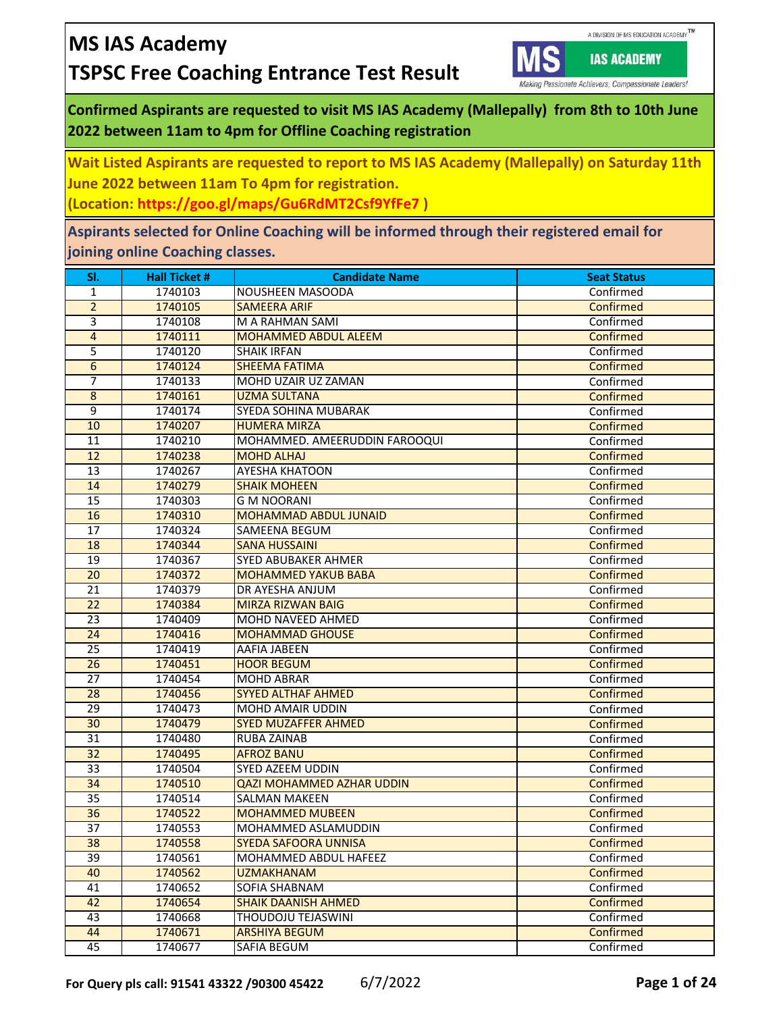

Making Passionate Achievers, Compassionate Leaders!

**IAS ACADEMY** 

## **Confirmed Aspirants are requested to visit MS IAS Academy (Mallepally) from 8th to 10th June 2022 between 11am to 4pm for Offline Coaching registration**

**Wait Listed Aspirants are requested to report to MS IAS Academy (Mallepally) on Saturday 11th June 2022 between 11am To 4pm for registration.**

**(Location: https://goo.gl/maps/Gu6RdMT2Csf9YfFe7 )** 

**Aspirants selected for Online Coaching will be informed through their registered email for joining online Coaching classes.**

| SI.             | <b>Hall Ticket #</b> | <b>Candidate Name</b>         | <b>Seat Status</b> |
|-----------------|----------------------|-------------------------------|--------------------|
| 1               | 1740103              | NOUSHEEN MASOODA              | Confirmed          |
| $\overline{2}$  | 1740105              | <b>SAMEERA ARIF</b>           | Confirmed          |
| 3               | 1740108              | M A RAHMAN SAMI               | Confirmed          |
| $\overline{4}$  | 1740111              | <b>MOHAMMED ABDUL ALEEM</b>   | Confirmed          |
| 5               | 1740120              | <b>SHAIK IRFAN</b>            | Confirmed          |
| $\overline{6}$  | 1740124              | <b>SHEEMA FATIMA</b>          | Confirmed          |
| 7               | 1740133              | MOHD UZAIR UZ ZAMAN           | Confirmed          |
| 8               | 1740161              | <b>UZMA SULTANA</b>           | Confirmed          |
| 9               | 1740174              | SYEDA SOHINA MUBARAK          | Confirmed          |
| 10              | 1740207              | <b>HUMERA MIRZA</b>           | Confirmed          |
| 11              | 1740210              | MOHAMMED. AMEERUDDIN FAROOQUI | Confirmed          |
| 12              | 1740238              | <b>MOHD ALHAJ</b>             | Confirmed          |
| 13              | 1740267              | AYESHA KHATOON                | Confirmed          |
| 14              | 1740279              | <b>SHAIK MOHEEN</b>           | Confirmed          |
| 15              | 1740303              | <b>G M NOORANI</b>            | Confirmed          |
| 16              | 1740310              | <b>MOHAMMAD ABDUL JUNAID</b>  | Confirmed          |
| 17              | 1740324              | SAMEENA BEGUM                 | Confirmed          |
| 18              | 1740344              | <b>SANA HUSSAINI</b>          | Confirmed          |
| 19              | 1740367              | SYED ABUBAKER AHMER           | Confirmed          |
| 20              | 1740372              | <b>MOHAMMED YAKUB BABA</b>    | Confirmed          |
| $\overline{21}$ | 1740379              | DR AYESHA ANJUM               | Confirmed          |
| 22              | 1740384              | <b>MIRZA RIZWAN BAIG</b>      | Confirmed          |
| 23              | 1740409              | MOHD NAVEED AHMED             | Confirmed          |
| 24              | 1740416              | <b>MOHAMMAD GHOUSE</b>        | Confirmed          |
| $\overline{25}$ | 1740419              | AAFIA JABEEN                  | Confirmed          |
| 26              | 1740451              | <b>HOOR BEGUM</b>             | Confirmed          |
| $\overline{27}$ | 1740454              | <b>MOHD ABRAR</b>             | Confirmed          |
| 28              | 1740456              | <b>SYYED ALTHAF AHMED</b>     | Confirmed          |
| 29              | 1740473              | MOHD AMAIR UDDIN              | Confirmed          |
| 30              | 1740479              | <b>SYED MUZAFFER AHMED</b>    | Confirmed          |
| $\overline{31}$ | 1740480              | RUBA ZAINAB                   | Confirmed          |
| 32              | 1740495              | <b>AFROZ BANU</b>             | Confirmed          |
| 33              | 1740504              | SYED AZEEM UDDIN              | Confirmed          |
| 34              | 1740510              | QAZI MOHAMMED AZHAR UDDIN     | Confirmed          |
| $\overline{35}$ | 1740514              | <b>SALMAN MAKEEN</b>          | Confirmed          |
| $\overline{36}$ | 1740522              | <b>MOHAMMED MUBEEN</b>        | Confirmed          |
| 37              | 1740553              | MOHAMMED ASLAMUDDIN           | Confirmed          |
| 38              | 1740558              | <b>SYEDA SAFOORA UNNISA</b>   | Confirmed          |
| 39              | 1740561              | MOHAMMED ABDUL HAFEEZ         | Confirmed          |
| 40              | 1740562              | <b>UZMAKHANAM</b>             | Confirmed          |
| 41              | 1740652              | SOFIA SHABNAM                 | Confirmed          |
| 42              | 1740654              | <b>SHAIK DAANISH AHMED</b>    | Confirmed          |
| 43              | 1740668              | THOUDOJU TEJASWINI            | Confirmed          |
| 44              | 1740671              | <b>ARSHIYA BEGUM</b>          | Confirmed          |
| 45              | 1740677              | SAFIA BEGUM                   | Confirmed          |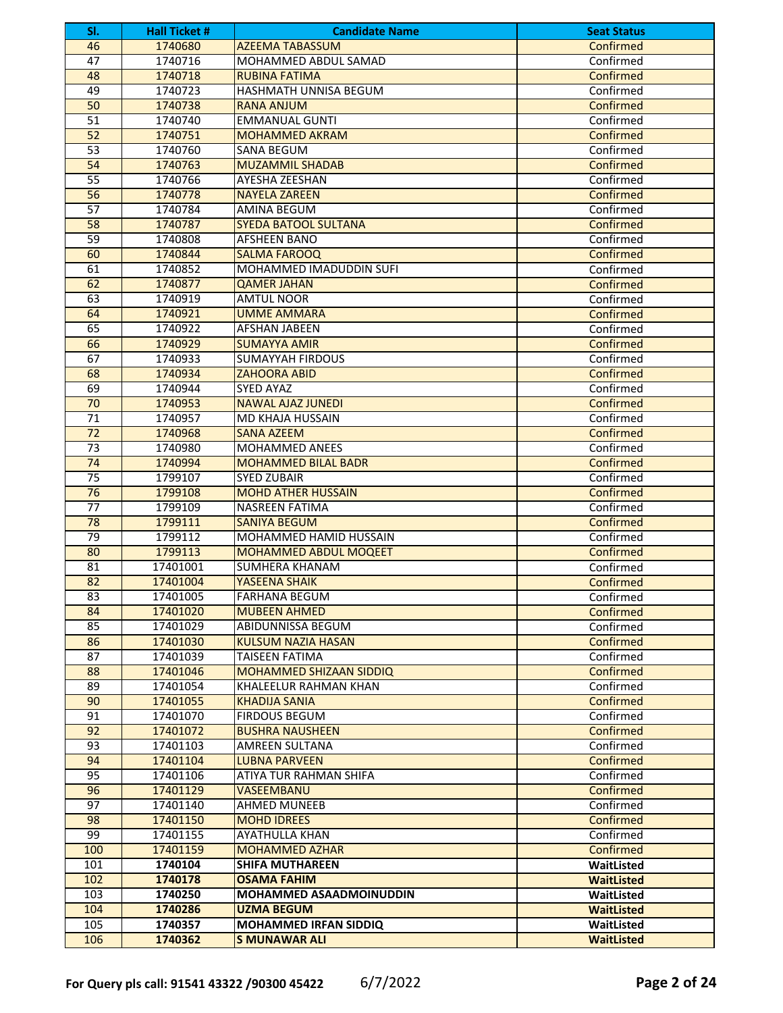| SI.             | <b>Hall Ticket #</b> | <b>Candidate Name</b>                                  | <b>Seat Status</b>     |
|-----------------|----------------------|--------------------------------------------------------|------------------------|
| 46              | 1740680              | <b>AZEEMA TABASSUM</b>                                 | Confirmed              |
| 47              | 1740716              | MOHAMMED ABDUL SAMAD                                   | Confirmed              |
| 48              | 1740718              | <b>RUBINA FATIMA</b>                                   | Confirmed              |
| 49              | 1740723              | HASHMATH UNNISA BEGUM                                  | Confirmed              |
| 50              | 1740738              | <b>RANA ANJUM</b>                                      | Confirmed              |
| 51              | 1740740              | <b>EMMANUAL GUNTI</b>                                  | Confirmed              |
| 52              | 1740751              | <b>MOHAMMED AKRAM</b>                                  | Confirmed              |
| 53              | 1740760              | <b>SANA BEGUM</b>                                      | Confirmed              |
| 54              | 1740763              | <b>MUZAMMIL SHADAB</b>                                 | Confirmed              |
| $\overline{55}$ | 1740766              | AYESHA ZEESHAN                                         | Confirmed              |
| 56              | 1740778              | <b>NAYELA ZAREEN</b>                                   | Confirmed              |
| 57              | 1740784              | AMINA BEGUM                                            | Confirmed              |
| 58              | 1740787              | <b>SYEDA BATOOL SULTANA</b>                            | Confirmed              |
| 59              | 1740808              | <b>AFSHEEN BANO</b>                                    | Confirmed              |
| 60              | 1740844              | <b>SALMA FAROOQ</b>                                    | Confirmed              |
| 61              | 1740852              | MOHAMMED IMADUDDIN SUFI                                | Confirmed              |
| 62              | 1740877              | <b>QAMER JAHAN</b>                                     | Confirmed              |
| 63              | 1740919              | <b>AMTUL NOOR</b>                                      | Confirmed              |
| 64              | 1740921              | <b>UMME AMMARA</b>                                     | Confirmed              |
| 65              | 1740922              | AFSHAN JABEEN                                          | Confirmed              |
| 66              | 1740929              | <b>SUMAYYA AMIR</b>                                    | Confirmed              |
| 67              | 1740933              | <b>SUMAYYAH FIRDOUS</b>                                | Confirmed              |
| 68              | 1740934              | <b>ZAHOORA ABID</b>                                    | Confirmed              |
| 69              | 1740944              | <b>SYED AYAZ</b>                                       | Confirmed              |
| 70              | 1740953              | <b>NAWAL AJAZ JUNEDI</b>                               | Confirmed              |
| $\overline{71}$ | 1740957              | MD KHAJA HUSSAIN                                       | Confirmed              |
| 72              | 1740968              | <b>SANA AZEEM</b>                                      | Confirmed              |
| $\overline{73}$ | 1740980              | <b>MOHAMMED ANEES</b>                                  | Confirmed              |
| 74              | 1740994              | <b>MOHAMMED BILAL BADR</b>                             | Confirmed              |
| 75              | 1799107              | <b>SYED ZUBAIR</b>                                     | Confirmed              |
| 76              | 1799108              | <b>MOHD ATHER HUSSAIN</b>                              | Confirmed              |
| $\overline{77}$ | 1799109              | NASREEN FATIMA                                         | Confirmed              |
| 78              | 1799111              |                                                        |                        |
| 79              |                      | <b>SANIYA BEGUM</b>                                    | Confirmed              |
|                 | 1799112              | MOHAMMED HAMID HUSSAIN<br><b>MOHAMMED ABDUL MOQEET</b> | Confirmed              |
| 80              | 1799113<br>17401001  | <b>SUMHERA KHANAM</b>                                  | Confirmed<br>Confirmed |
| 81<br>82        | 17401004             | <b>YASEENA SHAIK</b>                                   | Confirmed              |
| 83              |                      |                                                        |                        |
|                 | 17401005             | <b>FARHANA BEGUM</b>                                   | Confirmed              |
| 84              | 17401020             | <b>MUBEEN AHMED</b>                                    | Confirmed              |
| 85              | 17401029             | ABIDUNNISSA BEGUM                                      | Confirmed              |
| 86              | 17401030             | <b>KULSUM NAZIA HASAN</b>                              | Confirmed              |
| 87              | 17401039             | <b>TAISEEN FATIMA</b>                                  | Confirmed              |
| 88              | 17401046             | <b>MOHAMMED SHIZAAN SIDDIQ</b>                         | Confirmed              |
| 89              | 17401054             | KHALEELUR RAHMAN KHAN                                  | Confirmed              |
| 90              | 17401055             | <b>KHADIJA SANIA</b>                                   | Confirmed              |
| 91              | 17401070             | <b>FIRDOUS BEGUM</b>                                   | Confirmed              |
| 92              | 17401072             | <b>BUSHRA NAUSHEEN</b>                                 | Confirmed              |
| 93              | 17401103             | AMREEN SULTANA                                         | Confirmed              |
| 94              | 17401104             | <b>LUBNA PARVEEN</b>                                   | Confirmed              |
| 95              | 17401106             | ATIYA TUR RAHMAN SHIFA                                 | Confirmed              |
| 96              | 17401129             | VASEEMBANU                                             | Confirmed              |
| 97              | 17401140             | <b>AHMED MUNEEB</b>                                    | Confirmed              |
| 98              | 17401150             | <b>MOHD IDREES</b>                                     | Confirmed              |
| 99              | 17401155             | AYATHULLA KHAN                                         | Confirmed              |
| 100             | 17401159             | <b>MOHAMMED AZHAR</b>                                  | Confirmed              |
| 101             | 1740104              | <b>SHIFA MUTHAREEN</b>                                 | WaitListed             |
| 102             | 1740178              | <b>OSAMA FAHIM</b>                                     | <b>WaitListed</b>      |
| 103             | 1740250              | MOHAMMED ASAADMOINUDDIN                                | WaitListed             |
| 104             | 1740286              | <b>UZMA BEGUM</b>                                      | <b>WaitListed</b>      |
| 105             | 1740357              | <b>MOHAMMED IRFAN SIDDIQ</b>                           | WaitListed             |
| 106             | 1740362              | <b>S MUNAWAR ALI</b>                                   | <b>WaitListed</b>      |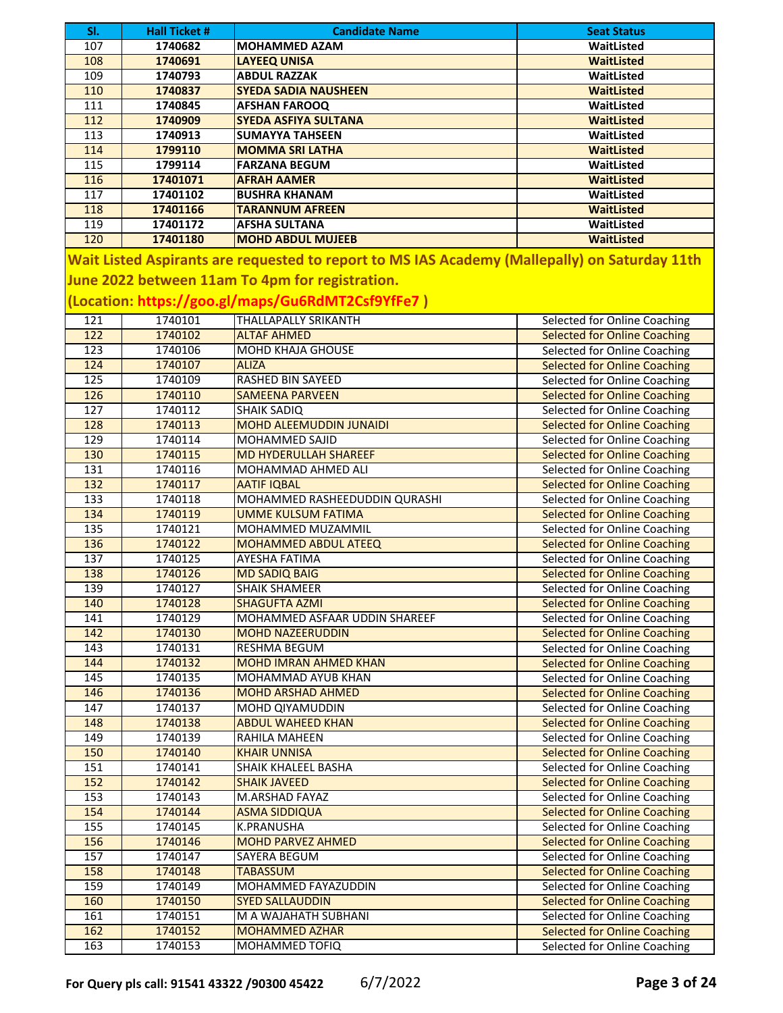| SI.              | <b>Hall Ticket #</b> | <b>Candidate Name</b>                                                                                                                                                                                 | <b>Seat Status</b>                                                  |
|------------------|----------------------|-------------------------------------------------------------------------------------------------------------------------------------------------------------------------------------------------------|---------------------------------------------------------------------|
| 107              | 1740682              | <b>MOHAMMED AZAM</b>                                                                                                                                                                                  | WaitListed                                                          |
| 108              | 1740691              | <b>LAYEEQ UNISA</b>                                                                                                                                                                                   | <b>WaitListed</b>                                                   |
| 109              | 1740793              | <b>ABDUL RAZZAK</b>                                                                                                                                                                                   | WaitListed                                                          |
| 110              | 1740837              | <b>SYEDA SADIA NAUSHEEN</b>                                                                                                                                                                           | <b>WaitListed</b>                                                   |
| 111              | 1740845              | <b>AFSHAN FAROOQ</b>                                                                                                                                                                                  | WaitListed                                                          |
| 112              | 1740909              | <b>SYEDA ASFIYA SULTANA</b>                                                                                                                                                                           | <b>WaitListed</b>                                                   |
| $\frac{113}{2}$  | 1740913              | <b>SUMAYYA TAHSEEN</b>                                                                                                                                                                                | WaitListed                                                          |
| 114              | 1799110              | <b>MOMMA SRI LATHA</b>                                                                                                                                                                                | <b>WaitListed</b>                                                   |
| 115              | 1799114              | <b>FARZANA BEGUM</b>                                                                                                                                                                                  | WaitListed                                                          |
| $\frac{116}{1}$  | 17401071             | <b>AFRAH AAMER</b>                                                                                                                                                                                    | <b>WaitListed</b>                                                   |
| $\overline{117}$ | 17401102             | <b>BUSHRA KHANAM</b>                                                                                                                                                                                  | WaitListed                                                          |
| 118              | 17401166             | <b>TARANNUM AFREEN</b>                                                                                                                                                                                | <b>WaitListed</b>                                                   |
| 119              | 17401172             | <b>AFSHA SULTANA</b>                                                                                                                                                                                  | WaitListed                                                          |
| 120              | 17401180             | <b>MOHD ABDUL MUJEEB</b>                                                                                                                                                                              | <b>WaitListed</b>                                                   |
|                  |                      | Wait Listed Aspirants are requested to report to MS IAS Academy (Mallepally) on Saturday 11th<br>June 2022 between 11am To 4pm for registration.<br>(Location: https://goo.gl/maps/Gu6RdMT2Csf9YfFe7) |                                                                     |
| 121              | 1740101              | <b>THALLAPALLY SRIKANTH</b>                                                                                                                                                                           | Selected for Online Coaching                                        |
| $\overline{122}$ | 1740102              | <b>ALTAF AHMED</b>                                                                                                                                                                                    | <b>Selected for Online Coaching</b>                                 |
| 123              | 1740106              | <b>MOHD KHAJA GHOUSE</b>                                                                                                                                                                              | Selected for Online Coaching                                        |
| 124<br>125       | 1740107              | <b>ALIZA</b><br><b>RASHED BIN SAYEED</b>                                                                                                                                                              | <b>Selected for Online Coaching</b><br>Selected for Online Coaching |
| 126              | 1740109<br>1740110   | <b>SAMEENA PARVEEN</b>                                                                                                                                                                                | <b>Selected for Online Coaching</b>                                 |
| 127              | 1740112              | <b>SHAIK SADIQ</b>                                                                                                                                                                                    | Selected for Online Coaching                                        |
| 128              | 1740113              | MOHD ALEEMUDDIN JUNAIDI                                                                                                                                                                               | <b>Selected for Online Coaching</b>                                 |
| 129              | 1740114              | MOHAMMED SAJID                                                                                                                                                                                        | Selected for Online Coaching                                        |
| 130              | 1740115              | <b>MD HYDERULLAH SHAREEF</b>                                                                                                                                                                          | <b>Selected for Online Coaching</b>                                 |
| 131              | 1740116              | MOHAMMAD AHMED ALI                                                                                                                                                                                    | Selected for Online Coaching                                        |
| 132              | 1740117              | <b>AATIF IQBAL</b>                                                                                                                                                                                    | <b>Selected for Online Coaching</b>                                 |
| 133              | 1740118              | MOHAMMED RASHEEDUDDIN QURASHI                                                                                                                                                                         | Selected for Online Coaching                                        |
| 134              | 1740119              | <b>UMME KULSUM FATIMA</b>                                                                                                                                                                             | <b>Selected for Online Coaching</b>                                 |
| $\frac{135}{2}$  | 1740121              | MOHAMMED MUZAMMIL                                                                                                                                                                                     | Selected for Online Coaching                                        |
| 136              | 1740122              | MOHAMMED ABDUL ATEEQ                                                                                                                                                                                  | <b>Selected for Online Coaching</b>                                 |
| 137              | 1740125              | <b>AYESHA FATIMA</b>                                                                                                                                                                                  | <b>Selected for Online Coaching</b>                                 |
| 138              | 1740126              | <b>MD SADIQ BAIG</b>                                                                                                                                                                                  | <b>Selected for Online Coaching</b>                                 |
| 139              | 1740127              | <b>SHAIK SHAMEER</b>                                                                                                                                                                                  | Selected for Online Coaching                                        |
| 140              | 1740128              | <b>SHAGUFTA AZMI</b>                                                                                                                                                                                  | <b>Selected for Online Coaching</b>                                 |
| 141              | 1740129              | MOHAMMED ASFAAR UDDIN SHAREEF                                                                                                                                                                         | Selected for Online Coaching                                        |
| 142              | 1740130              | <b>MOHD NAZEERUDDIN</b>                                                                                                                                                                               | <b>Selected for Online Coaching</b>                                 |
| 143              | 1740131              | RESHMA BEGUM                                                                                                                                                                                          | Selected for Online Coaching                                        |
| 144              | 1740132              | <b>MOHD IMRAN AHMED KHAN</b>                                                                                                                                                                          | <b>Selected for Online Coaching</b>                                 |
| 145              | 1740135              | MOHAMMAD AYUB KHAN                                                                                                                                                                                    | Selected for Online Coaching                                        |
| 146              | 1740136              | <b>MOHD ARSHAD AHMED</b>                                                                                                                                                                              | <b>Selected for Online Coaching</b>                                 |
| 147              | 1740137              | <b>MOHD QIYAMUDDIN</b>                                                                                                                                                                                | Selected for Online Coaching                                        |
| 148              | 1740138              | <b>ABDUL WAHEED KHAN</b>                                                                                                                                                                              | <b>Selected for Online Coaching</b>                                 |
| 149              | 1740139              | RAHILA MAHEEN                                                                                                                                                                                         | Selected for Online Coaching                                        |
| 150              | 1740140              | <b>KHAIR UNNISA</b>                                                                                                                                                                                   | <b>Selected for Online Coaching</b>                                 |
| 151              | 1740141              | <b>SHAIK KHALEEL BASHA</b>                                                                                                                                                                            | Selected for Online Coaching                                        |
| 152              | 1740142              | <b>SHAIK JAVEED</b>                                                                                                                                                                                   | <b>Selected for Online Coaching</b>                                 |
| 153              | 1740143              | M.ARSHAD FAYAZ                                                                                                                                                                                        | Selected for Online Coaching                                        |
| 154              | 1740144              | <b>ASMA SIDDIQUA</b>                                                                                                                                                                                  | <b>Selected for Online Coaching</b>                                 |
| 155              | 1740145              | <b>K.PRANUSHA</b>                                                                                                                                                                                     | Selected for Online Coaching                                        |
| 156              | 1740146              | <b>MOHD PARVEZ AHMED</b>                                                                                                                                                                              | <b>Selected for Online Coaching</b>                                 |
| 157              | 1740147              | SAYERA BEGUM                                                                                                                                                                                          | Selected for Online Coaching                                        |
| 158              | 1740148              | <b>TABASSUM</b>                                                                                                                                                                                       | <b>Selected for Online Coaching</b>                                 |
| 159              | 1740149              | MOHAMMED FAYAZUDDIN                                                                                                                                                                                   | Selected for Online Coaching                                        |
| 160              | 1740150              | <b>SYED SALLAUDDIN</b>                                                                                                                                                                                | <b>Selected for Online Coaching</b>                                 |
| 161              | 1740151              | M A WAJAHATH SUBHANI                                                                                                                                                                                  | Selected for Online Coaching                                        |
| 162              | 1740152              | <b>MOHAMMED AZHAR</b>                                                                                                                                                                                 | <b>Selected for Online Coaching</b>                                 |
| 163              | 1740153              | MOHAMMED TOFIQ                                                                                                                                                                                        | Selected for Online Coaching                                        |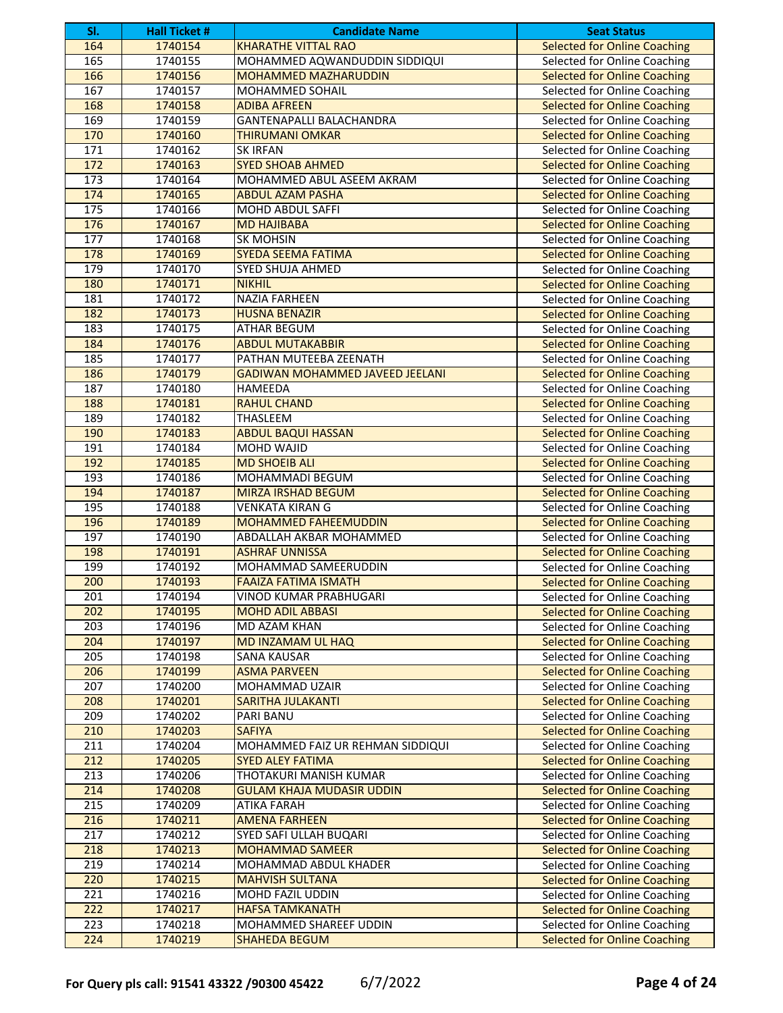| SI.              | <b>Hall Ticket #</b> | <b>Candidate Name</b>                  | <b>Seat Status</b>                  |
|------------------|----------------------|----------------------------------------|-------------------------------------|
| 164              | 1740154              | <b>KHARATHE VITTAL RAO</b>             | <b>Selected for Online Coaching</b> |
| 165              | 1740155              | MOHAMMED AQWANDUDDIN SIDDIQUI          | Selected for Online Coaching        |
| 166              | 1740156              | <b>MOHAMMED MAZHARUDDIN</b>            | <b>Selected for Online Coaching</b> |
| 167              | 1740157              | MOHAMMED SOHAIL                        | Selected for Online Coaching        |
| 168              | 1740158              | <b>ADIBA AFREEN</b>                    | <b>Selected for Online Coaching</b> |
| 169              | 1740159              | <b>GANTENAPALLI BALACHANDRA</b>        | Selected for Online Coaching        |
| 170              | 1740160              | <b>THIRUMANI OMKAR</b>                 | <b>Selected for Online Coaching</b> |
| 171              | 1740162              | <b>SK IRFAN</b>                        | Selected for Online Coaching        |
| 172              | 1740163              | <b>SYED SHOAB AHMED</b>                | <b>Selected for Online Coaching</b> |
| 173              | 1740164              | MOHAMMED ABUL ASEEM AKRAM              | Selected for Online Coaching        |
| 174              | 1740165              | <b>ABDUL AZAM PASHA</b>                | <b>Selected for Online Coaching</b> |
| 175              | 1740166              | MOHD ABDUL SAFFI                       | Selected for Online Coaching        |
| 176              | 1740167              | <b>MD HAJIBABA</b>                     | <b>Selected for Online Coaching</b> |
| 177              | 1740168              | SK MOHSIN                              | Selected for Online Coaching        |
| 178              | 1740169              | <b>SYEDA SEEMA FATIMA</b>              | <b>Selected for Online Coaching</b> |
| 179              | 1740170              | <b>SYED SHUJA AHMED</b>                | Selected for Online Coaching        |
| 180              | 1740171              | <b>NIKHIL</b>                          | <b>Selected for Online Coaching</b> |
| 181              | 1740172              | <b>NAZIA FARHEEN</b>                   | Selected for Online Coaching        |
| 182              | 1740173              | <b>HUSNA BENAZIR</b>                   | <b>Selected for Online Coaching</b> |
| 183              | 1740175              | <b>ATHAR BEGUM</b>                     | Selected for Online Coaching        |
| 184              | 1740176              | <b>ABDUL MUTAKABBIR</b>                | <b>Selected for Online Coaching</b> |
| 185              | 1740177              | PATHAN MUTEEBA ZEENATH                 | Selected for Online Coaching        |
| 186              | 1740179              | <b>GADIWAN MOHAMMED JAVEED JEELANI</b> | <b>Selected for Online Coaching</b> |
| 187              | 1740180              | <b>HAMEEDA</b>                         | Selected for Online Coaching        |
| 188              | 1740181              | <b>RAHUL CHAND</b>                     | <b>Selected for Online Coaching</b> |
| 189              | 1740182              | THASLEEM                               | Selected for Online Coaching        |
| 190              | 1740183              | <b>ABDUL BAQUI HASSAN</b>              | <b>Selected for Online Coaching</b> |
| 191              | 1740184              | MOHD WAJID                             | Selected for Online Coaching        |
| 192              | 1740185              | <b>MD SHOEIB ALI</b>                   | <b>Selected for Online Coaching</b> |
| 193              | 1740186              | MOHAMMADI BEGUM                        | Selected for Online Coaching        |
| 194              | 1740187              | <b>MIRZA IRSHAD BEGUM</b>              | <b>Selected for Online Coaching</b> |
| 195              | 1740188              | <b>VENKATA KIRAN G</b>                 | Selected for Online Coaching        |
| 196              | 1740189              | <b>MOHAMMED FAHEEMUDDIN</b>            | <b>Selected for Online Coaching</b> |
| 197              | 1740190              | ABDALLAH AKBAR MOHAMMED                | Selected for Online Coaching        |
| 198              | 1740191              | <b>ASHRAF UNNISSA</b>                  | <b>Selected for Online Coaching</b> |
| 199              | 1740192              | MOHAMMAD SAMEERUDDIN                   | Selected for Online Coaching        |
| 200              | 1740193              | <b>FAAIZA FATIMA ISMATH</b>            | <b>Selected for Online Coaching</b> |
| 201              | 1740194              | VINOD KUMAR PRABHUGARI                 | Selected for Online Coaching        |
| 202              | 1740195              | <b>MOHD ADIL ABBASI</b>                | <b>Selected for Online Coaching</b> |
| 203              | 1740196              | MD AZAM KHAN                           | Selected for Online Coaching        |
| 204              | 1740197              | <b>MD INZAMAM UL HAQ</b>               | <b>Selected for Online Coaching</b> |
| 205              | 1740198              | <b>SANA KAUSAR</b>                     | Selected for Online Coaching        |
| 206              | 1740199              | <b>ASMA PARVEEN</b>                    | <b>Selected for Online Coaching</b> |
| $\overline{207}$ | 1740200              | MOHAMMAD UZAIR                         | Selected for Online Coaching        |
| 208              | 1740201              | <b>SARITHA JULAKANTI</b>               | <b>Selected for Online Coaching</b> |
| 209              | 1740202              | PARI BANU                              | Selected for Online Coaching        |
| 210              | 1740203              | <b>SAFIYA</b>                          | <b>Selected for Online Coaching</b> |
| 211              | 1740204              | MOHAMMED FAIZ UR REHMAN SIDDIQUI       | Selected for Online Coaching        |
| 212              | 1740205              | <b>SYED ALEY FATIMA</b>                | <b>Selected for Online Coaching</b> |
| 213              | 1740206              | THOTAKURI MANISH KUMAR                 | Selected for Online Coaching        |
| 214              | 1740208              | <b>GULAM KHAJA MUDASIR UDDIN</b>       | <b>Selected for Online Coaching</b> |
| 215              | 1740209              | <b>ATIKA FARAH</b>                     | Selected for Online Coaching        |
| 216              | 1740211              | <b>AMENA FARHEEN</b>                   | <b>Selected for Online Coaching</b> |
| 217              | 1740212              | SYED SAFI ULLAH BUQARI                 | Selected for Online Coaching        |
| 218              | 1740213              | <b>MOHAMMAD SAMEER</b>                 | <b>Selected for Online Coaching</b> |
| 219              | 1740214              | MOHAMMAD ABDUL KHADER                  | Selected for Online Coaching        |
| 220              | 1740215              | <b>MAHVISH SULTANA</b>                 | <b>Selected for Online Coaching</b> |
| 221              | 1740216              | MOHD FAZIL UDDIN                       | Selected for Online Coaching        |
| 222              | 1740217              | <b>HAFSA TAMKANATH</b>                 | <b>Selected for Online Coaching</b> |
| 223              | 1740218              | MOHAMMED SHAREEF UDDIN                 | Selected for Online Coaching        |
| 224              | 1740219              | <b>SHAHEDA BEGUM</b>                   | <b>Selected for Online Coaching</b> |
|                  |                      |                                        |                                     |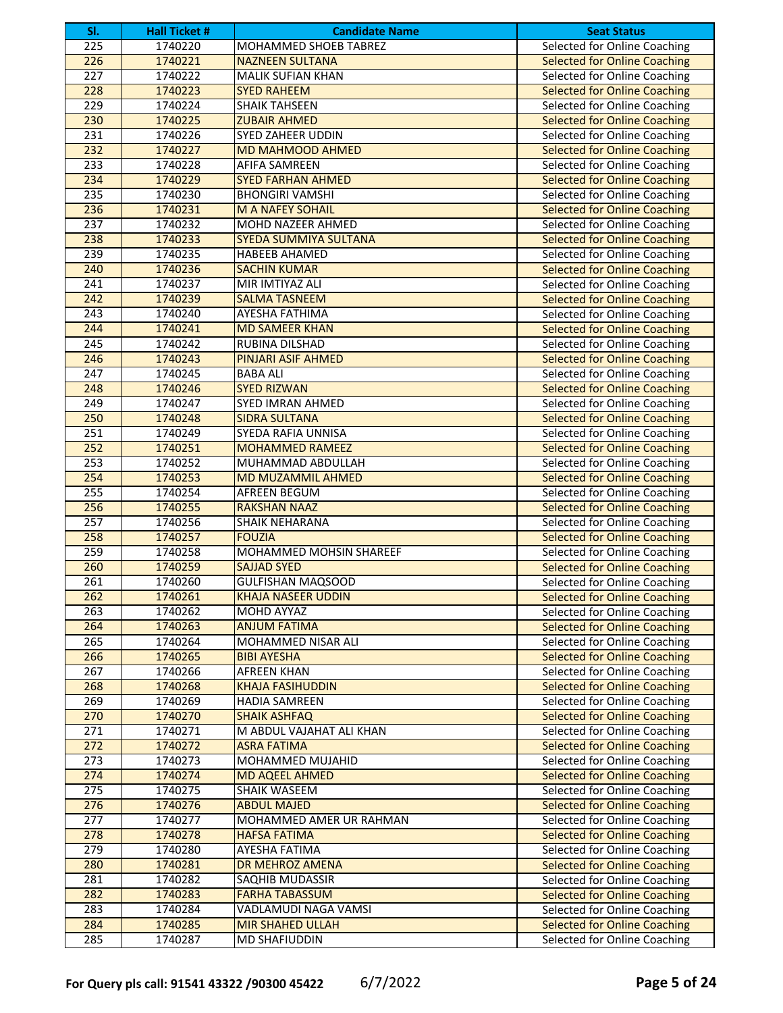| SI. | <b>Hall Ticket #</b> | <b>Candidate Name</b>        | <b>Seat Status</b>                  |
|-----|----------------------|------------------------------|-------------------------------------|
| 225 | 1740220              | MOHAMMED SHOEB TABREZ        | <b>Selected for Online Coaching</b> |
| 226 | 1740221              | <b>NAZNEEN SULTANA</b>       | <b>Selected for Online Coaching</b> |
| 227 | 1740222              | <b>MALIK SUFIAN KHAN</b>     | Selected for Online Coaching        |
| 228 | 1740223              | <b>SYED RAHEEM</b>           | <b>Selected for Online Coaching</b> |
| 229 | 1740224              | <b>SHAIK TAHSEEN</b>         | Selected for Online Coaching        |
| 230 | 1740225              | <b>ZUBAIR AHMED</b>          | <b>Selected for Online Coaching</b> |
| 231 | 1740226              | <b>SYED ZAHEER UDDIN</b>     | Selected for Online Coaching        |
| 232 | 1740227              | <b>MD MAHMOOD AHMED</b>      | <b>Selected for Online Coaching</b> |
| 233 | 1740228              | AFIFA SAMREEN                | Selected for Online Coaching        |
| 234 | 1740229              | <b>SYED FARHAN AHMED</b>     | <b>Selected for Online Coaching</b> |
| 235 | 1740230              | <b>BHONGIRI VAMSHI</b>       | Selected for Online Coaching        |
| 236 | 1740231              | <b>M A NAFEY SOHAIL</b>      | <b>Selected for Online Coaching</b> |
| 237 | 1740232              | MOHD NAZEER AHMED            | Selected for Online Coaching        |
| 238 | 1740233              | <b>SYEDA SUMMIYA SULTANA</b> | <b>Selected for Online Coaching</b> |
| 239 | 1740235              | HABEEB AHAMED                | Selected for Online Coaching        |
| 240 | 1740236              | <b>SACHIN KUMAR</b>          | <b>Selected for Online Coaching</b> |
| 241 | 1740237              | MIR IMTIYAZ ALI              | Selected for Online Coaching        |
| 242 | 1740239              | <b>SALMA TASNEEM</b>         | <b>Selected for Online Coaching</b> |
| 243 | 1740240              | AYESHA FATHIMA               | Selected for Online Coaching        |
| 244 | 1740241              | <b>MD SAMEER KHAN</b>        | <b>Selected for Online Coaching</b> |
| 245 | 1740242              | RUBINA DILSHAD               | Selected for Online Coaching        |
| 246 | 1740243              | <b>PINJARI ASIF AHMED</b>    | <b>Selected for Online Coaching</b> |
| 247 | 1740245              | <b>BABA ALI</b>              | Selected for Online Coaching        |
| 248 | 1740246              | <b>SYED RIZWAN</b>           | <b>Selected for Online Coaching</b> |
| 249 | 1740247              | <b>SYED IMRAN AHMED</b>      | Selected for Online Coaching        |
| 250 | 1740248              | <b>SIDRA SULTANA</b>         | <b>Selected for Online Coaching</b> |
| 251 | 1740249              | SYEDA RAFIA UNNISA           | Selected for Online Coaching        |
| 252 | 1740251              | <b>MOHAMMED RAMEEZ</b>       | <b>Selected for Online Coaching</b> |
| 253 | 1740252              | MUHAMMAD ABDULLAH            | Selected for Online Coaching        |
| 254 | 1740253              | MD MUZAMMIL AHMED            | <b>Selected for Online Coaching</b> |
| 255 | 1740254              | <b>AFREEN BEGUM</b>          | Selected for Online Coaching        |
| 256 | 1740255              | <b>RAKSHAN NAAZ</b>          | <b>Selected for Online Coaching</b> |
| 257 | 1740256              | SHAIK NEHARANA               | Selected for Online Coaching        |
| 258 | 1740257              | <b>FOUZIA</b>                | <b>Selected for Online Coaching</b> |
| 259 | 1740258              | MOHAMMED MOHSIN SHAREEF      | Selected for Online Coaching        |
| 260 | 1740259              | <b>SAJJAD SYED</b>           | <b>Selected for Online Coaching</b> |
| 261 | 1740260              | <b>GULFISHAN MAQSOOD</b>     | Selected for Online Coaching        |
| 262 | 1740261              | <b>KHAJA NASEER UDDIN</b>    | <b>Selected for Online Coaching</b> |
| 263 | 1740262              | MOHD AYYAZ                   | Selected for Online Coaching        |
| 264 | 1740263              | <b>ANJUM FATIMA</b>          | <b>Selected for Online Coaching</b> |
| 265 | 1740264              | MOHAMMED NISAR ALI           | Selected for Online Coaching        |
| 266 | 1740265              | <b>BIBI AYESHA</b>           | <b>Selected for Online Coaching</b> |
| 267 | 1740266              | <b>AFREEN KHAN</b>           | Selected for Online Coaching        |
| 268 | 1740268              | <b>KHAJA FASIHUDDIN</b>      | <b>Selected for Online Coaching</b> |
| 269 | 1740269              | <b>HADIA SAMREEN</b>         | Selected for Online Coaching        |
| 270 | 1740270              | <b>SHAIK ASHFAQ</b>          | <b>Selected for Online Coaching</b> |
| 271 | 1740271              | M ABDUL VAJAHAT ALI KHAN     | Selected for Online Coaching        |
| 272 | 1740272              | <b>ASRA FATIMA</b>           | <b>Selected for Online Coaching</b> |
| 273 | 1740273              | MOHAMMED MUJAHID             | Selected for Online Coaching        |
| 274 | 1740274              | <b>MD AQEEL AHMED</b>        | <b>Selected for Online Coaching</b> |
| 275 | 1740275              | SHAIK WASEEM                 | Selected for Online Coaching        |
| 276 | 1740276              | <b>ABDUL MAJED</b>           | <b>Selected for Online Coaching</b> |
| 277 | 1740277              | MOHAMMED AMER UR RAHMAN      | Selected for Online Coaching        |
| 278 | 1740278              | <b>HAFSA FATIMA</b>          | <b>Selected for Online Coaching</b> |
| 279 | 1740280              | AYESHA FATIMA                | Selected for Online Coaching        |
| 280 | 1740281              | DR MEHROZ AMENA              | <b>Selected for Online Coaching</b> |
| 281 | 1740282              | SAQHIB MUDASSIR              | Selected for Online Coaching        |
| 282 | 1740283              | <b>FARHA TABASSUM</b>        | <b>Selected for Online Coaching</b> |
| 283 | 1740284              | VADLAMUDI NAGA VAMSI         | Selected for Online Coaching        |
| 284 | 1740285              | <b>MIR SHAHED ULLAH</b>      | <b>Selected for Online Coaching</b> |
| 285 | 1740287              | <b>MD SHAFIUDDIN</b>         | Selected for Online Coaching        |
|     |                      |                              |                                     |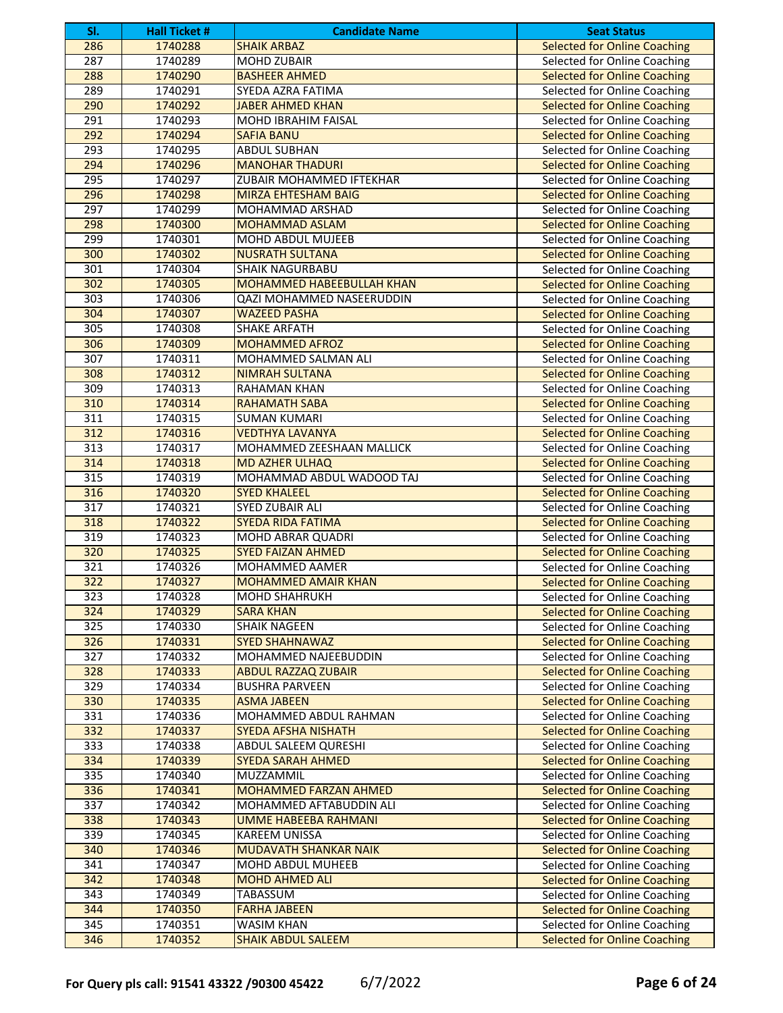| SI.                    | <b>Hall Ticket #</b> | <b>Candidate Name</b>                               | <b>Seat Status</b>                                                  |
|------------------------|----------------------|-----------------------------------------------------|---------------------------------------------------------------------|
| 286                    | 1740288              | <b>SHAIK ARBAZ</b>                                  | <b>Selected for Online Coaching</b>                                 |
| 287                    | 1740289              | <b>MOHD ZUBAIR</b>                                  | Selected for Online Coaching                                        |
| 288                    | 1740290              | <b>BASHEER AHMED</b>                                | <b>Selected for Online Coaching</b>                                 |
| 289                    | 1740291              | SYEDA AZRA FATIMA                                   | Selected for Online Coaching                                        |
| 290                    | 1740292              | <b>JABER AHMED KHAN</b>                             | <b>Selected for Online Coaching</b>                                 |
| 291                    | 1740293              | MOHD IBRAHIM FAISAL                                 | Selected for Online Coaching                                        |
| 292                    | 1740294              | <b>SAFIA BANU</b>                                   | <b>Selected for Online Coaching</b>                                 |
| 293                    | 1740295              | <b>ABDUL SUBHAN</b>                                 | Selected for Online Coaching                                        |
| 294                    | 1740296              | <b>MANOHAR THADURI</b>                              | <b>Selected for Online Coaching</b>                                 |
| 295                    | 1740297              | ZUBAIR MOHAMMED IFTEKHAR                            | Selected for Online Coaching                                        |
| 296                    | 1740298              | <b>MIRZA EHTESHAM BAIG</b>                          | <b>Selected for Online Coaching</b>                                 |
| 297                    | 1740299              | MOHAMMAD ARSHAD                                     | Selected for Online Coaching                                        |
| 298                    | 1740300              | <b>MOHAMMAD ASLAM</b>                               | <b>Selected for Online Coaching</b>                                 |
| 299                    | 1740301              | MOHD ABDUL MUJEEB                                   | Selected for Online Coaching                                        |
| 300                    | 1740302              | <b>NUSRATH SULTANA</b>                              | <b>Selected for Online Coaching</b>                                 |
| 301                    | 1740304              | <b>SHAIK NAGURBABU</b>                              | Selected for Online Coaching                                        |
| 302                    | 1740305              | <b>MOHAMMED HABEEBULLAH KHAN</b>                    | <b>Selected for Online Coaching</b>                                 |
| 303                    | 1740306              | QAZI MOHAMMED NASEERUDDIN                           | Selected for Online Coaching                                        |
| 304                    | 1740307              | <b>WAZEED PASHA</b>                                 | <b>Selected for Online Coaching</b>                                 |
| 305                    | 1740308              | <b>SHAKE ARFATH</b>                                 | Selected for Online Coaching                                        |
| 306                    | 1740309              | <b>MOHAMMED AFROZ</b>                               | <b>Selected for Online Coaching</b>                                 |
| 307                    | 1740311              | MOHAMMED SALMAN ALI                                 | Selected for Online Coaching                                        |
| 308                    | 1740312              | <b>NIMRAH SULTANA</b>                               | <b>Selected for Online Coaching</b>                                 |
| 309                    | 1740313              | <b>RAHAMAN KHAN</b>                                 | Selected for Online Coaching                                        |
| 310                    | 1740314              | <b>RAHAMATH SABA</b>                                | <b>Selected for Online Coaching</b>                                 |
| 311                    | 1740315              | <b>SUMAN KUMARI</b>                                 | Selected for Online Coaching                                        |
| 312                    | 1740316              | <b>VEDTHYA LAVANYA</b>                              | <b>Selected for Online Coaching</b>                                 |
| 313                    | 1740317              | MOHAMMED ZEESHAAN MALLICK                           | Selected for Online Coaching                                        |
| 314                    | 1740318              | <b>MD AZHER ULHAQ</b>                               | <b>Selected for Online Coaching</b>                                 |
| 315                    | 1740319              | MOHAMMAD ABDUL WADOOD TAJ                           | Selected for Online Coaching                                        |
| 316                    | 1740320              | <b>SYED KHALEEL</b>                                 | <b>Selected for Online Coaching</b>                                 |
| 317                    | 1740321              | SYED ZUBAIR ALI                                     | Selected for Online Coaching                                        |
| 318                    | 1740322              | <b>SYEDA RIDA FATIMA</b>                            | <b>Selected for Online Coaching</b>                                 |
| 319                    | 1740323              | MOHD ABRAR QUADRI                                   | Selected for Online Coaching                                        |
| 320                    | 1740325              | <b>SYED FAIZAN AHMED</b>                            | <b>Selected for Online Coaching</b>                                 |
| 321                    | 1740326              | MOHAMMED AAMER                                      | Selected for Online Coaching                                        |
| 322                    | 1740327              | MOHAMMED AMAIR KHAN                                 | <b>Selected for Online Coaching</b>                                 |
| 323                    | 1740328              | <b>MOHD SHAHRUKH</b>                                | Selected for Online Coaching                                        |
| 324                    | 1740329              | <b>SARA KHAN</b>                                    | <b>Selected for Online Coaching</b>                                 |
| 325                    | 1740330              | SHAIK NAGEEN                                        | Selected for Online Coaching                                        |
| $\frac{1}{326}$        | 1740331              | <b>SYED SHAHNAWAZ</b>                               | <b>Selected for Online Coaching</b>                                 |
| 327                    | 1740332              | MOHAMMED NAJEEBUDDIN                                | Selected for Online Coaching                                        |
| 328                    | 1740333              | <b>ABDUL RAZZAQ ZUBAIR</b>                          | <b>Selected for Online Coaching</b>                                 |
| 329                    | 1740334              | <b>BUSHRA PARVEEN</b>                               | Selected for Online Coaching                                        |
| 330<br>331             | 1740335<br>1740336   | <b>ASMA JABEEN</b>                                  | <b>Selected for Online Coaching</b><br>Selected for Online Coaching |
| 332                    | 1740337              | MOHAMMED ABDUL RAHMAN<br><b>SYEDA AFSHA NISHATH</b> |                                                                     |
| 333                    |                      | <b>ABDUL SALEEM QURESHI</b>                         | <b>Selected for Online Coaching</b>                                 |
|                        | 1740338              | <b>SYEDA SARAH AHMED</b>                            | Selected for Online Coaching                                        |
| 334<br>$\frac{1}{335}$ | 1740339              |                                                     | <b>Selected for Online Coaching</b>                                 |
| 336                    | 1740340              | MUZZAMMIL                                           | Selected for Online Coaching                                        |
|                        | 1740341              | MOHAMMED FARZAN AHMED                               | <b>Selected for Online Coaching</b>                                 |
| 337<br>338             | 1740342              | MOHAMMED AFTABUDDIN ALI                             | Selected for Online Coaching                                        |
| 339                    | 1740343<br>1740345   | <b>UMME HABEEBA RAHMANI</b><br><b>KAREEM UNISSA</b> | <b>Selected for Online Coaching</b><br>Selected for Online Coaching |
| 340                    | 1740346              | MUDAVATH SHANKAR NAIK                               | <b>Selected for Online Coaching</b>                                 |
| 341                    | 1740347              | MOHD ABDUL MUHEEB                                   | Selected for Online Coaching                                        |
| 342                    | 1740348              | <b>MOHD AHMED ALI</b>                               | <b>Selected for Online Coaching</b>                                 |
| 343                    | 1740349              | TABASSUM                                            | Selected for Online Coaching                                        |
| 344                    | 1740350              | <b>FARHA JABEEN</b>                                 | <b>Selected for Online Coaching</b>                                 |
| 345                    | 1740351              | WASIM KHAN                                          | Selected for Online Coaching                                        |
| 346                    |                      |                                                     | <b>Selected for Online Coaching</b>                                 |
|                        | 1740352              | <b>SHAIK ABDUL SALEEM</b>                           |                                                                     |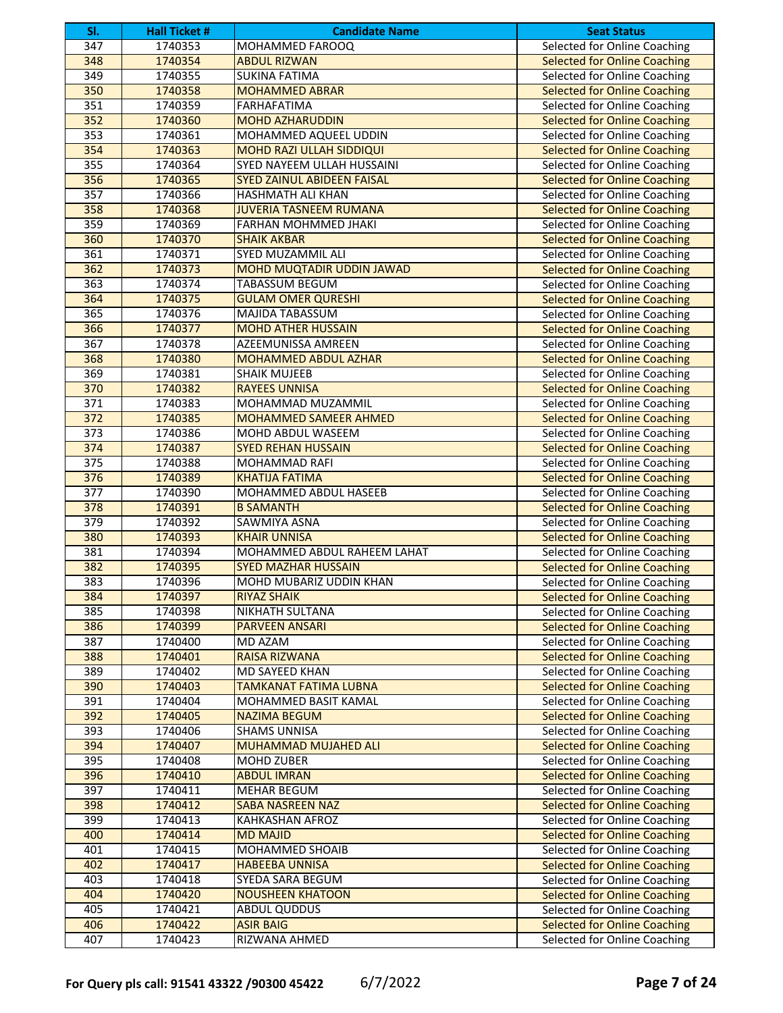| SI.              | <b>Hall Ticket #</b> | <b>Candidate Name</b>             | <b>Seat Status</b>                                                  |
|------------------|----------------------|-----------------------------------|---------------------------------------------------------------------|
| 347              | 1740353              | MOHAMMED FAROOQ                   | <b>Selected for Online Coaching</b>                                 |
| 348              | 1740354              | <b>ABDUL RIZWAN</b>               | <b>Selected for Online Coaching</b>                                 |
| 349              | 1740355              | <b>SUKINA FATIMA</b>              | Selected for Online Coaching                                        |
| 350              | 1740358              | <b>MOHAMMED ABRAR</b>             | <b>Selected for Online Coaching</b>                                 |
| 351              | 1740359              | FARHAFATIMA                       | Selected for Online Coaching                                        |
| 352              | 1740360              | <b>MOHD AZHARUDDIN</b>            | <b>Selected for Online Coaching</b>                                 |
| 353              | 1740361              | MOHAMMED AQUEEL UDDIN             | Selected for Online Coaching                                        |
| 354              | 1740363              | MOHD RAZI ULLAH SIDDIQUI          | <b>Selected for Online Coaching</b>                                 |
| 355              | 1740364              | SYED NAYEEM ULLAH HUSSAINI        | Selected for Online Coaching                                        |
| 356              | 1740365              | <b>SYED ZAINUL ABIDEEN FAISAL</b> | <b>Selected for Online Coaching</b>                                 |
| 357              | 1740366              | HASHMATH ALI KHAN                 | Selected for Online Coaching                                        |
| 358              | 1740368              | <b>JUVERIA TASNEEM RUMANA</b>     | <b>Selected for Online Coaching</b>                                 |
| 359              | 1740369              | FARHAN MOHMMED JHAKI              | Selected for Online Coaching                                        |
| 360              | 1740370              | <b>SHAIK AKBAR</b>                | <b>Selected for Online Coaching</b>                                 |
| 361              | 1740371              | SYED MUZAMMIL ALI                 | Selected for Online Coaching                                        |
| 362              | 1740373              | MOHD MUQTADIR UDDIN JAWAD         | <b>Selected for Online Coaching</b>                                 |
| 363              | 1740374              | TABASSUM BEGUM                    | Selected for Online Coaching                                        |
| 364              | 1740375              | <b>GULAM OMER QURESHI</b>         | <b>Selected for Online Coaching</b>                                 |
| 365              | 1740376              | <b>MAJIDA TABASSUM</b>            | Selected for Online Coaching                                        |
| 366              | 1740377              | <b>MOHD ATHER HUSSAIN</b>         | <b>Selected for Online Coaching</b>                                 |
| 367              | 1740378              | AZEEMUNISSA AMREEN                | Selected for Online Coaching                                        |
| 368              | 1740380              | MOHAMMED ABDUL AZHAR              | <b>Selected for Online Coaching</b>                                 |
| 369              | 1740381              | <b>SHAIK MUJEEB</b>               | Selected for Online Coaching                                        |
| 370              | 1740382              | <b>RAYEES UNNISA</b>              | <b>Selected for Online Coaching</b>                                 |
| 371              | 1740383              | MOHAMMAD MUZAMMIL                 | Selected for Online Coaching                                        |
| 372              | 1740385              | <b>MOHAMMED SAMEER AHMED</b>      | <b>Selected for Online Coaching</b>                                 |
| 373              | 1740386              | MOHD ABDUL WASEEM                 | Selected for Online Coaching                                        |
| 374              | 1740387              | <b>SYED REHAN HUSSAIN</b>         | <b>Selected for Online Coaching</b>                                 |
| 375              | 1740388              | MOHAMMAD RAFI                     | Selected for Online Coaching                                        |
| 376              | 1740389              | <b>KHATIJA FATIMA</b>             | <b>Selected for Online Coaching</b>                                 |
| $\overline{377}$ | 1740390              | <b>MOHAMMED ABDUL HASEEB</b>      | Selected for Online Coaching                                        |
| $\overline{378}$ | 1740391              | <b>B SAMANTH</b>                  | <b>Selected for Online Coaching</b>                                 |
| $\overline{379}$ | 1740392              | SAWMIYA ASNA                      | Selected for Online Coaching                                        |
| 380              | 1740393              | <b>KHAIR UNNISA</b>               | <b>Selected for Online Coaching</b>                                 |
| 381              | 1740394              | MOHAMMED ABDUL RAHEEM LAHAT       | Selected for Online Coaching                                        |
| 382              | 1740395              | <b>SYED MAZHAR HUSSAIN</b>        | <b>Selected for Online Coaching</b>                                 |
| 383              | 1740396              | MOHD MUBARIZ UDDIN KHAN           | Selected for Online Coaching                                        |
| 384              | 1740397              | <b>RIYAZ SHAIK</b>                | <b>Selected for Online Coaching</b>                                 |
| 385              | 1740398              | NIKHATH SULTANA                   | Selected for Online Coaching                                        |
| 386              | 1740399              | <b>PARVEEN ANSARI</b>             | <b>Selected for Online Coaching</b>                                 |
| 387              | 1740400              | MD AZAM                           | Selected for Online Coaching                                        |
| 388              | 1740401              | <b>RAISA RIZWANA</b>              | <b>Selected for Online Coaching</b>                                 |
| 389              | 1740402              | <b>MD SAYEED KHAN</b>             | Selected for Online Coaching                                        |
| 390              | 1740403              | <b>TAMKANAT FATIMA LUBNA</b>      | <b>Selected for Online Coaching</b>                                 |
| 391              | 1740404              | MOHAMMED BASIT KAMAL              | Selected for Online Coaching                                        |
| 392              | 1740405              | <b>NAZIMA BEGUM</b>               | <b>Selected for Online Coaching</b>                                 |
| 393              | 1740406              | <b>SHAMS UNNISA</b>               | Selected for Online Coaching                                        |
| 394              | 1740407              | MUHAMMAD MUJAHED ALI              | <b>Selected for Online Coaching</b>                                 |
| 395              | 1740408              | MOHD ZUBER                        | Selected for Online Coaching                                        |
| 396              | 1740410              | <b>ABDUL IMRAN</b>                | <b>Selected for Online Coaching</b>                                 |
| 397              | 1740411              | MEHAR BEGUM                       |                                                                     |
| 398              | 1740412              | <b>SABA NASREEN NAZ</b>           | Selected for Online Coaching<br><b>Selected for Online Coaching</b> |
| 399              |                      |                                   |                                                                     |
| 400              | 1740413              | KAHKASHAN AFROZ                   | Selected for Online Coaching<br><b>Selected for Online Coaching</b> |
| 401              | 1740414              | <b>MD MAJID</b>                   |                                                                     |
|                  | 1740415              | MOHAMMED SHOAIB                   | Selected for Online Coaching                                        |
| 402              | 1740417              | <b>HABEEBA UNNISA</b>             | <b>Selected for Online Coaching</b>                                 |
| 403              | 1740418              | SYEDA SARA BEGUM                  | Selected for Online Coaching                                        |
| 404              | 1740420              | <b>NOUSHEEN KHATOON</b>           | <b>Selected for Online Coaching</b>                                 |
| 405              | 1740421              | <b>ABDUL QUDDUS</b>               | Selected for Online Coaching                                        |
| 406              | 1740422              | <b>ASIR BAIG</b>                  | <b>Selected for Online Coaching</b>                                 |
| 407              | 1740423              | RIZWANA AHMED                     | Selected for Online Coaching                                        |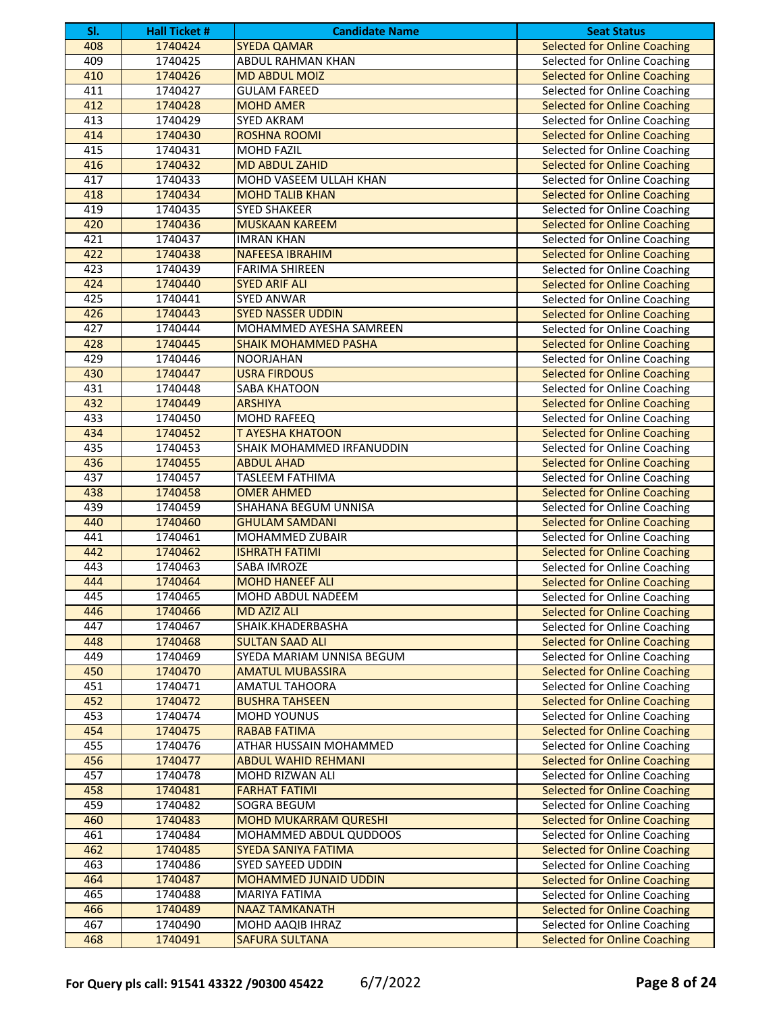| SI. | <b>Hall Ticket #</b> | <b>Candidate Name</b>        | <b>Seat Status</b>                  |
|-----|----------------------|------------------------------|-------------------------------------|
| 408 | 1740424              | <b>SYEDA QAMAR</b>           | <b>Selected for Online Coaching</b> |
| 409 | 1740425              | <b>ABDUL RAHMAN KHAN</b>     | Selected for Online Coaching        |
| 410 | 1740426              | <b>MD ABDUL MOIZ</b>         | <b>Selected for Online Coaching</b> |
| 411 | 1740427              | <b>GULAM FAREED</b>          | Selected for Online Coaching        |
| 412 | 1740428              | <b>MOHD AMER</b>             | <b>Selected for Online Coaching</b> |
| 413 | 1740429              | <b>SYED AKRAM</b>            | Selected for Online Coaching        |
| 414 | 1740430              | <b>ROSHNA ROOMI</b>          | <b>Selected for Online Coaching</b> |
| 415 | 1740431              | <b>MOHD FAZIL</b>            | Selected for Online Coaching        |
| 416 | 1740432              | <b>MD ABDUL ZAHID</b>        | <b>Selected for Online Coaching</b> |
| 417 | 1740433              | MOHD VASEEM ULLAH KHAN       | Selected for Online Coaching        |
| 418 | 1740434              | <b>MOHD TALIB KHAN</b>       | <b>Selected for Online Coaching</b> |
| 419 | 1740435              | <b>SYED SHAKEER</b>          | Selected for Online Coaching        |
| 420 | 1740436              | <b>MUSKAAN KAREEM</b>        | <b>Selected for Online Coaching</b> |
| 421 | 1740437              | <b>IMRAN KHAN</b>            | Selected for Online Coaching        |
| 422 | 1740438              | <b>NAFEESA IBRAHIM</b>       | <b>Selected for Online Coaching</b> |
| 423 | 1740439              | <b>FARIMA SHIREEN</b>        | Selected for Online Coaching        |
| 424 | 1740440              | <b>SYED ARIF ALI</b>         | <b>Selected for Online Coaching</b> |
| 425 | 1740441              | <b>SYED ANWAR</b>            | Selected for Online Coaching        |
| 426 | 1740443              | <b>SYED NASSER UDDIN</b>     | <b>Selected for Online Coaching</b> |
| 427 | 1740444              | MOHAMMED AYESHA SAMREEN      | Selected for Online Coaching        |
| 428 | 1740445              | <b>SHAIK MOHAMMED PASHA</b>  | <b>Selected for Online Coaching</b> |
| 429 | 1740446              | <b>NOORJAHAN</b>             | Selected for Online Coaching        |
| 430 | 1740447              | <b>USRA FIRDOUS</b>          | <b>Selected for Online Coaching</b> |
| 431 | 1740448              | SABA KHATOON                 | Selected for Online Coaching        |
| 432 | 1740449              | <b>ARSHIYA</b>               | <b>Selected for Online Coaching</b> |
| 433 | 1740450              | <b>MOHD RAFEEQ</b>           | Selected for Online Coaching        |
| 434 | 1740452              | <b>T AYESHA KHATOON</b>      | <b>Selected for Online Coaching</b> |
| 435 | 1740453              | SHAIK MOHAMMED IRFANUDDIN    | Selected for Online Coaching        |
| 436 | 1740455              | <b>ABDUL AHAD</b>            | <b>Selected for Online Coaching</b> |
| 437 | 1740457              | <b>TASLEEM FATHIMA</b>       | Selected for Online Coaching        |
| 438 | 1740458              | <b>OMER AHMED</b>            | <b>Selected for Online Coaching</b> |
| 439 | 1740459              | SHAHANA BEGUM UNNISA         | Selected for Online Coaching        |
| 440 | 1740460              | <b>GHULAM SAMDANI</b>        | <b>Selected for Online Coaching</b> |
| 441 | 1740461              | MOHAMMED ZUBAIR              | Selected for Online Coaching        |
| 442 | 1740462              | <b>ISHRATH FATIMI</b>        | <b>Selected for Online Coaching</b> |
| 443 | 1740463              | SABA IMROZE                  | Selected for Online Coaching        |
| 444 | 1740464              | <b>MOHD HANEEF ALI</b>       | <b>Selected for Online Coaching</b> |
| 445 | 1740465              | MOHD ABDUL NADEEM            | Selected for Online Coaching        |
| 446 | 1740466              | <b>MD AZIZ ALI</b>           | <b>Selected for Online Coaching</b> |
| 447 | 1740467              | SHAIK.KHADERBASHA            | Selected for Online Coaching        |
| 448 | 1740468              | <b>SULTAN SAAD ALI</b>       | <b>Selected for Online Coaching</b> |
| 449 | 1740469              | SYEDA MARIAM UNNISA BEGUM    | Selected for Online Coaching        |
| 450 | 1740470              | <b>AMATUL MUBASSIRA</b>      | <b>Selected for Online Coaching</b> |
| 451 | 1740471              | AMATUL TAHOORA               | Selected for Online Coaching        |
| 452 | 1740472              | <b>BUSHRA TAHSEEN</b>        | <b>Selected for Online Coaching</b> |
| 453 | 1740474              | <b>MOHD YOUNUS</b>           | Selected for Online Coaching        |
| 454 | 1740475              | <b>RABAB FATIMA</b>          | <b>Selected for Online Coaching</b> |
| 455 | 1740476              | ATHAR HUSSAIN MOHAMMED       | Selected for Online Coaching        |
| 456 | 1740477              | <b>ABDUL WAHID REHMANI</b>   | <b>Selected for Online Coaching</b> |
| 457 | 1740478              | MOHD RIZWAN ALI              | Selected for Online Coaching        |
| 458 | 1740481              | <b>FARHAT FATIMI</b>         | <b>Selected for Online Coaching</b> |
| 459 | 1740482              | SOGRA BEGUM                  | Selected for Online Coaching        |
| 460 | 1740483              | <b>MOHD MUKARRAM QURESHI</b> | <b>Selected for Online Coaching</b> |
| 461 | 1740484              | MOHAMMED ABDUL QUDDOOS       | Selected for Online Coaching        |
| 462 | 1740485              | SYEDA SANIYA FATIMA          | <b>Selected for Online Coaching</b> |
| 463 | 1740486              | SYED SAYEED UDDIN            | Selected for Online Coaching        |
| 464 | 1740487              | MOHAMMED JUNAID UDDIN        | <b>Selected for Online Coaching</b> |
| 465 | 1740488              | MARIYA FATIMA                | Selected for Online Coaching        |
| 466 | 1740489              | <b>NAAZ TAMKANATH</b>        | <b>Selected for Online Coaching</b> |
| 467 | 1740490              | MOHD AAQIB IHRAZ             | Selected for Online Coaching        |
| 468 | 1740491              | <b>SAFURA SULTANA</b>        | <b>Selected for Online Coaching</b> |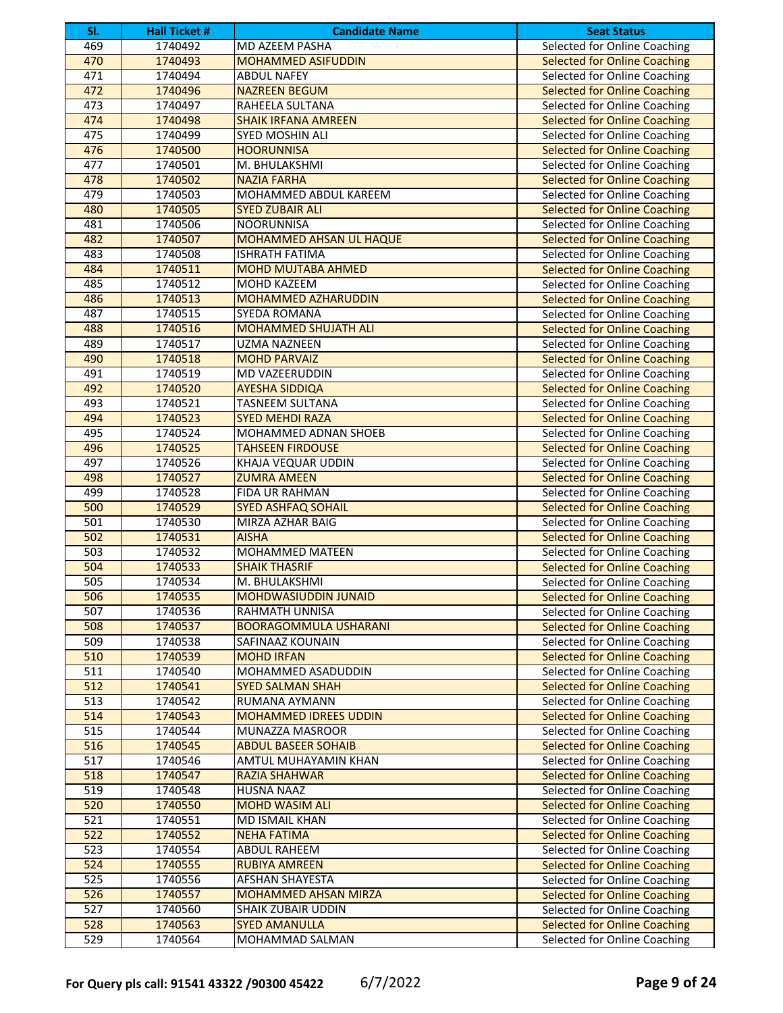| SI.              | <b>Hall Ticket #</b> | <b>Candidate Name</b>        | <b>Seat Status</b>                  |
|------------------|----------------------|------------------------------|-------------------------------------|
| 469              | 1740492              | MD AZEEM PASHA               | <b>Selected for Online Coaching</b> |
| 470              | 1740493              | <b>MOHAMMED ASIFUDDIN</b>    | <b>Selected for Online Coaching</b> |
| 471              | 1740494              | <b>ABDUL NAFEY</b>           | Selected for Online Coaching        |
| 472              | 1740496              | <b>NAZREEN BEGUM</b>         | <b>Selected for Online Coaching</b> |
| 473              | 1740497              | RAHEELA SULTANA              | Selected for Online Coaching        |
| 474              | 1740498              | <b>SHAIK IRFANA AMREEN</b>   | <b>Selected for Online Coaching</b> |
| 475              | 1740499              | SYED MOSHIN ALI              | Selected for Online Coaching        |
| 476              | 1740500              | <b>HOORUNNISA</b>            | <b>Selected for Online Coaching</b> |
| 477              | 1740501              | M. BHULAKSHMI                | Selected for Online Coaching        |
| 478              | 1740502              | <b>NAZIA FARHA</b>           | <b>Selected for Online Coaching</b> |
| 479              | 1740503              | <b>MOHAMMED ABDUL KAREEM</b> | Selected for Online Coaching        |
| 480              | 1740505              | <b>SYED ZUBAIR ALI</b>       | <b>Selected for Online Coaching</b> |
| 481              | 1740506              | <b>NOORUNNISA</b>            | Selected for Online Coaching        |
| 482              | 1740507              | MOHAMMED AHSAN UL HAQUE      | <b>Selected for Online Coaching</b> |
| 483              | 1740508              | <b>ISHRATH FATIMA</b>        | Selected for Online Coaching        |
| 484              | 1740511              | <b>MOHD MUJTABA AHMED</b>    | <b>Selected for Online Coaching</b> |
| 485              | 1740512              | <b>MOHD KAZEEM</b>           | Selected for Online Coaching        |
| 486              | 1740513              | <b>MOHAMMED AZHARUDDIN</b>   | <b>Selected for Online Coaching</b> |
| 487              | 1740515              | SYEDA ROMANA                 | Selected for Online Coaching        |
| 488              | 1740516              | <b>MOHAMMED SHUJATH ALI</b>  | <b>Selected for Online Coaching</b> |
| 489              | 1740517              | <b>UZMA NAZNEEN</b>          | Selected for Online Coaching        |
| 490              | 1740518              | <b>MOHD PARVAIZ</b>          | <b>Selected for Online Coaching</b> |
| 491              | 1740519              | <b>MD VAZEERUDDIN</b>        | Selected for Online Coaching        |
| 492              | 1740520              | <b>AYESHA SIDDIQA</b>        | <b>Selected for Online Coaching</b> |
| 493              | 1740521              | <b>TASNEEM SULTANA</b>       | Selected for Online Coaching        |
| 494              | 1740523              | <b>SYED MEHDI RAZA</b>       | <b>Selected for Online Coaching</b> |
| 495              | 1740524              | MOHAMMED ADNAN SHOEB         | Selected for Online Coaching        |
| 496              | 1740525              | <b>TAHSEEN FIRDOUSE</b>      | <b>Selected for Online Coaching</b> |
| 497              | 1740526              | <b>KHAJA VEQUAR UDDIN</b>    | Selected for Online Coaching        |
| 498              | 1740527              | <b>ZUMRA AMEEN</b>           | <b>Selected for Online Coaching</b> |
| 499              | 1740528              | FIDA UR RAHMAN               | Selected for Online Coaching        |
| 500              | 1740529              | <b>SYED ASHFAQ SOHAIL</b>    | <b>Selected for Online Coaching</b> |
| 501              | 1740530              | MIRZA AZHAR BAIG             | Selected for Online Coaching        |
| 502              | 1740531              | <b>AISHA</b>                 | <b>Selected for Online Coaching</b> |
| 503              | 1740532              | MOHAMMED MATEEN              | Selected for Online Coaching        |
| 504              | 1740533              | <b>SHAIK THASRIF</b>         | <b>Selected for Online Coaching</b> |
| 505              | 1740534              | M. BHULAKSHMI                | Selected for Online Coaching        |
| 506              | 1740535              | <b>MOHDWASIUDDIN JUNAID</b>  | <b>Selected for Online Coaching</b> |
| 507              | 1740536              | RAHMATH UNNISA               | Selected for Online Coaching        |
| 508              | 1740537              | <b>BOORAGOMMULA USHARANI</b> | <b>Selected for Online Coaching</b> |
| 509              | 1740538              | SAFINAAZ KOUNAIN             | Selected for Online Coaching        |
| 510              | 1740539              | <b>MOHD IRFAN</b>            | <b>Selected for Online Coaching</b> |
| 511              | 1740540              | MOHAMMED ASADUDDIN           | Selected for Online Coaching        |
| 512              | 1740541              | <b>SYED SALMAN SHAH</b>      | <b>Selected for Online Coaching</b> |
| 513              | 1740542              | RUMANA AYMANN                | Selected for Online Coaching        |
| 514              | 1740543              | <b>MOHAMMED IDREES UDDIN</b> | <b>Selected for Online Coaching</b> |
| 515              | 1740544              | MUNAZZA MASROOR              | Selected for Online Coaching        |
| 516              | 1740545              | <b>ABDUL BASEER SOHAIB</b>   | <b>Selected for Online Coaching</b> |
| 517              | 1740546              | AMTUL MUHAYAMIN KHAN         | Selected for Online Coaching        |
| 518              | 1740547              | <b>RAZIA SHAHWAR</b>         | <b>Selected for Online Coaching</b> |
| 519              | 1740548              | HUSNA NAAZ                   | Selected for Online Coaching        |
| 520              | 1740550              | <b>MOHD WASIM ALI</b>        | <b>Selected for Online Coaching</b> |
| 521              | 1740551              | MD ISMAIL KHAN               | Selected for Online Coaching        |
| 522              | 1740552              | <b>NEHA FATIMA</b>           | <b>Selected for Online Coaching</b> |
| 523              | 1740554              | ABDUL RAHEEM                 | Selected for Online Coaching        |
| 524              | 1740555              | <b>RUBIYA AMREEN</b>         | <b>Selected for Online Coaching</b> |
| 525              | 1740556              | AFSHAN SHAYESTA              | Selected for Online Coaching        |
| 526              | 1740557              | MOHAMMED AHSAN MIRZA         | <b>Selected for Online Coaching</b> |
| $\overline{527}$ | 1740560              | SHAIK ZUBAIR UDDIN           | Selected for Online Coaching        |
| 528              | 1740563              | <b>SYED AMANULLA</b>         | <b>Selected for Online Coaching</b> |
| 529              | 1740564              | MOHAMMAD SALMAN              | Selected for Online Coaching        |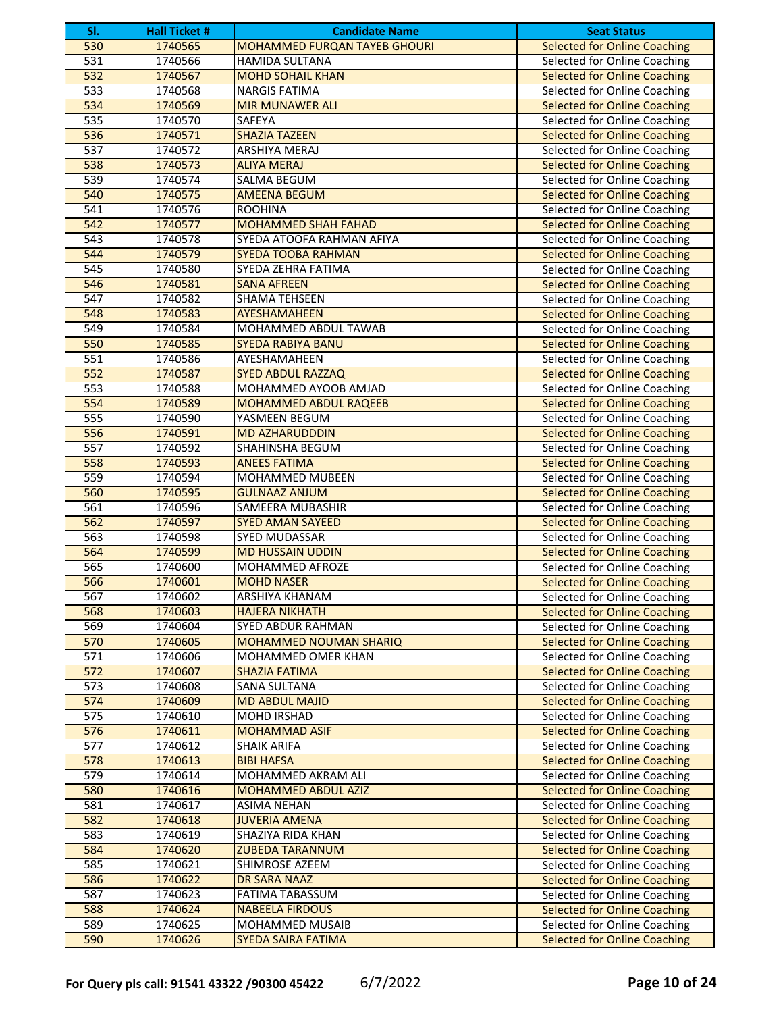| SI.              | <b>Hall Ticket #</b> | <b>Candidate Name</b>               | <b>Seat Status</b>                  |
|------------------|----------------------|-------------------------------------|-------------------------------------|
| 530              | 1740565              | <b>MOHAMMED FURQAN TAYEB GHOURI</b> | <b>Selected for Online Coaching</b> |
| 531              | 1740566              | <b>HAMIDA SULTANA</b>               | Selected for Online Coaching        |
| 532              | 1740567              | <b>MOHD SOHAIL KHAN</b>             | <b>Selected for Online Coaching</b> |
| 533              | 1740568              | <b>NARGIS FATIMA</b>                | Selected for Online Coaching        |
| 534              | 1740569              | <b>MIR MUNAWER ALI</b>              | <b>Selected for Online Coaching</b> |
| 535              | 1740570              | SAFEYA                              | Selected for Online Coaching        |
| 536              | 1740571              | <b>SHAZIA TAZEEN</b>                | <b>Selected for Online Coaching</b> |
| 537              | 1740572              | ARSHIYA MERAJ                       | Selected for Online Coaching        |
| 538              | 1740573              | <b>ALIYA MERAJ</b>                  | <b>Selected for Online Coaching</b> |
| 539              | 1740574              | SALMA BEGUM                         | Selected for Online Coaching        |
| 540              | 1740575              | <b>AMEENA BEGUM</b>                 | <b>Selected for Online Coaching</b> |
| 541              | 1740576              | <b>ROOHINA</b>                      | Selected for Online Coaching        |
| 542              | 1740577              | <b>MOHAMMED SHAH FAHAD</b>          | <b>Selected for Online Coaching</b> |
| $\overline{543}$ | 1740578              | SYEDA ATOOFA RAHMAN AFIYA           | <b>Selected for Online Coaching</b> |
| 544              | 1740579              | <b>SYEDA TOOBA RAHMAN</b>           | <b>Selected for Online Coaching</b> |
| $\overline{545}$ | 1740580              | SYEDA ZEHRA FATIMA                  | Selected for Online Coaching        |
| 546              | 1740581              | <b>SANA AFREEN</b>                  | <b>Selected for Online Coaching</b> |
| $\overline{547}$ | 1740582              | <b>SHAMA TEHSEEN</b>                | Selected for Online Coaching        |
| 548              | 1740583              | AYESHAMAHEEN                        | <b>Selected for Online Coaching</b> |
| 549              | 1740584              | MOHAMMED ABDUL TAWAB                | Selected for Online Coaching        |
| 550              | 1740585              | <b>SYEDA RABIYA BANU</b>            | <b>Selected for Online Coaching</b> |
| 551              | 1740586              | AYESHAMAHEEN                        | Selected for Online Coaching        |
| 552              | 1740587              | <b>SYED ABDUL RAZZAQ</b>            | <b>Selected for Online Coaching</b> |
| 553              | 1740588              | MOHAMMED AYOOB AMJAD                | Selected for Online Coaching        |
| 554              | 1740589              | <b>MOHAMMED ABDUL RAQEEB</b>        | <b>Selected for Online Coaching</b> |
| 555              | 1740590              | YASMEEN BEGUM                       | Selected for Online Coaching        |
| 556              | 1740591              | <b>MD AZHARUDDDIN</b>               | <b>Selected for Online Coaching</b> |
| 557              | 1740592              | SHAHINSHA BEGUM                     | Selected for Online Coaching        |
| 558              | 1740593              | <b>ANEES FATIMA</b>                 | <b>Selected for Online Coaching</b> |
| 559              | 1740594              | MOHAMMED MUBEEN                     | Selected for Online Coaching        |
| 560              | 1740595              | <b>GULNAAZ ANJUM</b>                | <b>Selected for Online Coaching</b> |
| 561              | 1740596              | SAMEERA MUBASHIR                    | Selected for Online Coaching        |
| 562              | 1740597              | <b>SYED AMAN SAYEED</b>             | <b>Selected for Online Coaching</b> |
| 563              | 1740598              | <b>SYED MUDASSAR</b>                | Selected for Online Coaching        |
| 564              | 1740599              | <b>MD HUSSAIN UDDIN</b>             | <b>Selected for Online Coaching</b> |
| 565              | 1740600              | MOHAMMED AFROZE                     | Selected for Online Coaching        |
| 566              | 1740601              | <b>MOHD NASER</b>                   | <b>Selected for Online Coaching</b> |
| 567              | 1740602              | <b>ARSHIYA KHANAM</b>               | Selected for Online Coaching        |
| 568              | 1740603              | <b>HAJERA NIKHATH</b>               | <b>Selected for Online Coaching</b> |
| 569              | 1740604              | SYED ABDUR RAHMAN                   | Selected for Online Coaching        |
| 570              | 1740605              | MOHAMMED NOUMAN SHARIQ              | <b>Selected for Online Coaching</b> |
| 571              | 1740606              | MOHAMMED OMER KHAN                  | Selected for Online Coaching        |
| 572              | 1740607              | <b>SHAZIA FATIMA</b>                | <b>Selected for Online Coaching</b> |
| 573              | 1740608              | SANA SULTANA                        | Selected for Online Coaching        |
| 574              | 1740609              | <b>MD ABDUL MAJID</b>               | <b>Selected for Online Coaching</b> |
| 575              | 1740610              | <b>MOHD IRSHAD</b>                  | Selected for Online Coaching        |
| 576              | 1740611              | <b>MOHAMMAD ASIF</b>                | <b>Selected for Online Coaching</b> |
| 577              | 1740612              | <b>SHAIK ARIFA</b>                  | Selected for Online Coaching        |
| 578              | 1740613              | <b>BIBI HAFSA</b>                   | <b>Selected for Online Coaching</b> |
| 579              | 1740614              | MOHAMMED AKRAM ALI                  | Selected for Online Coaching        |
| 580              | 1740616              | MOHAMMED ABDUL AZIZ                 | <b>Selected for Online Coaching</b> |
| 581              | 1740617              | <b>ASIMA NEHAN</b>                  | Selected for Online Coaching        |
| 582              | 1740618              | <b>JUVERIA AMENA</b>                | <b>Selected for Online Coaching</b> |
| 583<br>584       | 1740619              | SHAZIYA RIDA KHAN                   | Selected for Online Coaching        |
|                  | 1740620              | <b>ZUBEDA TARANNUM</b>              | <b>Selected for Online Coaching</b> |
| 585              | 1740621              | SHIMROSE AZEEM                      | Selected for Online Coaching        |
| 586<br>587       | 1740622              | DR SARA NAAZ                        | <b>Selected for Online Coaching</b> |
| 588              | 1740623              | FATIMA TABASSUM                     | Selected for Online Coaching        |
|                  | 1740624              | <b>NABEELA FIRDOUS</b>              | <b>Selected for Online Coaching</b> |
| 589              | 1740625              | MOHAMMED MUSAIB                     | Selected for Online Coaching        |
| 590              | 1740626              | <b>SYEDA SAIRA FATIMA</b>           | <b>Selected for Online Coaching</b> |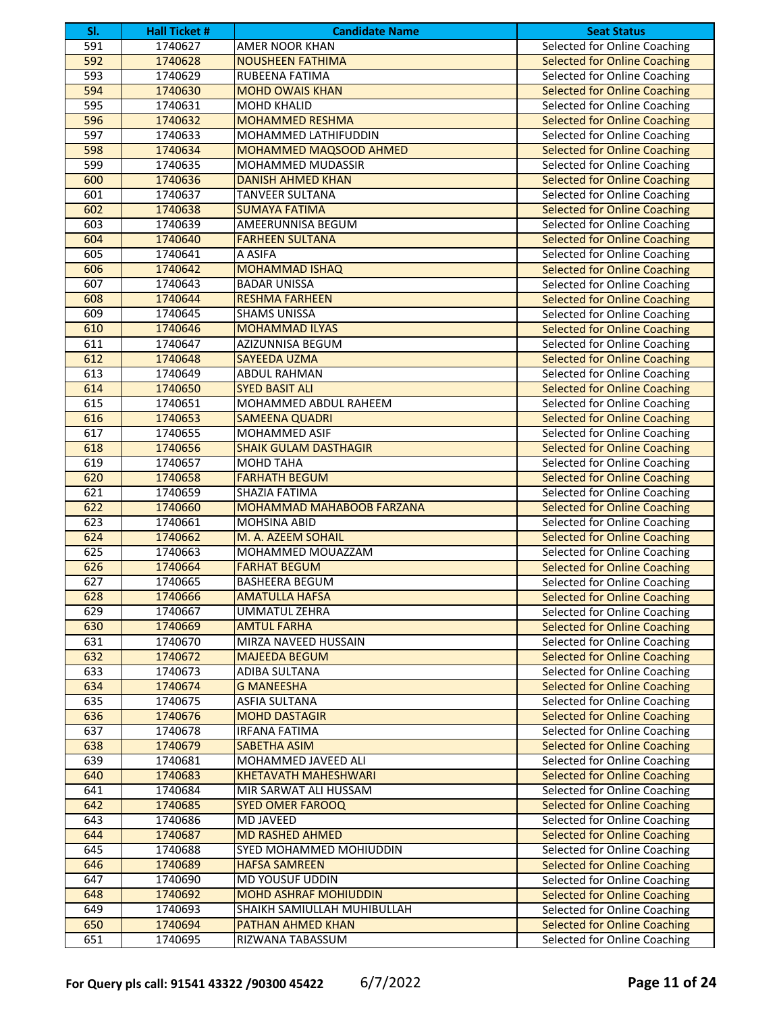| SI. | <b>Hall Ticket #</b> | <b>Candidate Name</b>            | <b>Seat Status</b>                  |
|-----|----------------------|----------------------------------|-------------------------------------|
| 591 | 1740627              | AMER NOOR KHAN                   | <b>Selected for Online Coaching</b> |
| 592 | 1740628              | <b>NOUSHEEN FATHIMA</b>          | <b>Selected for Online Coaching</b> |
| 593 | 1740629              | RUBEENA FATIMA                   | Selected for Online Coaching        |
| 594 | 1740630              | <b>MOHD OWAIS KHAN</b>           | <b>Selected for Online Coaching</b> |
| 595 | 1740631              | <b>MOHD KHALID</b>               | Selected for Online Coaching        |
| 596 | 1740632              | <b>MOHAMMED RESHMA</b>           | <b>Selected for Online Coaching</b> |
| 597 | 1740633              | MOHAMMED LATHIFUDDIN             | Selected for Online Coaching        |
| 598 | 1740634              | MOHAMMED MAQSOOD AHMED           | <b>Selected for Online Coaching</b> |
| 599 | 1740635              | MOHAMMED MUDASSIR                | Selected for Online Coaching        |
| 600 | 1740636              | <b>DANISH AHMED KHAN</b>         | <b>Selected for Online Coaching</b> |
| 601 | 1740637              | <b>TANVEER SULTANA</b>           | Selected for Online Coaching        |
| 602 | 1740638              | <b>SUMAYA FATIMA</b>             | <b>Selected for Online Coaching</b> |
| 603 | 1740639              | AMEERUNNISA BEGUM                | Selected for Online Coaching        |
| 604 | 1740640              | <b>FARHEEN SULTANA</b>           | <b>Selected for Online Coaching</b> |
| 605 | 1740641              | A ASIFA                          | Selected for Online Coaching        |
| 606 | 1740642              | <b>MOHAMMAD ISHAQ</b>            | <b>Selected for Online Coaching</b> |
| 607 | 1740643              | <b>BADAR UNISSA</b>              | Selected for Online Coaching        |
| 608 | 1740644              | <b>RESHMA FARHEEN</b>            | <b>Selected for Online Coaching</b> |
| 609 | 1740645              | <b>SHAMS UNISSA</b>              | Selected for Online Coaching        |
| 610 | 1740646              | <b>MOHAMMAD ILYAS</b>            | <b>Selected for Online Coaching</b> |
| 611 | 1740647              | AZIZUNNISA BEGUM                 | Selected for Online Coaching        |
| 612 | 1740648              | <b>SAYEEDA UZMA</b>              | <b>Selected for Online Coaching</b> |
| 613 | 1740649              | <b>ABDUL RAHMAN</b>              | Selected for Online Coaching        |
| 614 | 1740650              | <b>SYED BASIT ALI</b>            | <b>Selected for Online Coaching</b> |
| 615 | 1740651              | MOHAMMED ABDUL RAHEEM            | Selected for Online Coaching        |
| 616 | 1740653              | <b>SAMEENA QUADRI</b>            | <b>Selected for Online Coaching</b> |
| 617 | 1740655              | MOHAMMED ASIF                    | Selected for Online Coaching        |
| 618 | 1740656              | <b>SHAIK GULAM DASTHAGIR</b>     | <b>Selected for Online Coaching</b> |
| 619 | 1740657              | <b>MOHD TAHA</b>                 | Selected for Online Coaching        |
| 620 | 1740658              | <b>FARHATH BEGUM</b>             | <b>Selected for Online Coaching</b> |
| 621 | 1740659              | SHAZIA FATIMA                    | <b>Selected for Online Coaching</b> |
| 622 | 1740660              | <b>MOHAMMAD MAHABOOB FARZANA</b> | <b>Selected for Online Coaching</b> |
| 623 | 1740661              | <b>MOHSINA ABID</b>              | <b>Selected for Online Coaching</b> |
| 624 | 1740662              | M. A. AZEEM SOHAIL               | <b>Selected for Online Coaching</b> |
| 625 | 1740663              | MOHAMMED MOUAZZAM                | Selected for Online Coaching        |
| 626 | 1740664              | <b>FARHAT BEGUM</b>              | <b>Selected for Online Coaching</b> |
| 627 | 1740665              | <b>BASHEERA BEGUM</b>            | Selected for Online Coaching        |
| 628 | 1740666              | <b>AMATULLA HAFSA</b>            | <b>Selected for Online Coaching</b> |
| 629 | 1740667              | <b>UMMATUL ZEHRA</b>             | Selected for Online Coaching        |
| 630 | 1740669              | <b>AMTUL FARHA</b>               | <b>Selected for Online Coaching</b> |
| 631 | 1740670              | MIRZA NAVEED HUSSAIN             | Selected for Online Coaching        |
| 632 | 1740672              | <b>MAJEEDA BEGUM</b>             | <b>Selected for Online Coaching</b> |
| 633 | 1740673              | ADIBA SULTANA                    | Selected for Online Coaching        |
| 634 | 1740674              | <b>G MANEESHA</b>                | <b>Selected for Online Coaching</b> |
| 635 | 1740675              | <b>ASFIA SULTANA</b>             | Selected for Online Coaching        |
| 636 | 1740676              | <b>MOHD DASTAGIR</b>             | <b>Selected for Online Coaching</b> |
| 637 | 1740678              | <b>IRFANA FATIMA</b>             | <b>Selected for Online Coaching</b> |
| 638 | 1740679              | <b>SABETHA ASIM</b>              | <b>Selected for Online Coaching</b> |
| 639 | 1740681              | MOHAMMED JAVEED ALI              | Selected for Online Coaching        |
| 640 | 1740683              | <b>KHETAVATH MAHESHWARI</b>      | <b>Selected for Online Coaching</b> |
| 641 | 1740684              | MIR SARWAT ALI HUSSAM            | Selected for Online Coaching        |
| 642 | 1740685              | <b>SYED OMER FAROOQ</b>          | <b>Selected for Online Coaching</b> |
| 643 | 1740686              | <b>MD JAVEED</b>                 | Selected for Online Coaching        |
| 644 | 1740687              | <b>MD RASHED AHMED</b>           | <b>Selected for Online Coaching</b> |
| 645 | 1740688              | SYED MOHAMMED MOHIUDDIN          | <b>Selected for Online Coaching</b> |
| 646 | 1740689              | <b>HAFSA SAMREEN</b>             | <b>Selected for Online Coaching</b> |
| 647 | 1740690              | MD YOUSUF UDDIN                  | Selected for Online Coaching        |
| 648 | 1740692              | <b>MOHD ASHRAF MOHIUDDIN</b>     | <b>Selected for Online Coaching</b> |
| 649 | 1740693              | SHAIKH SAMIULLAH MUHIBULLAH      | Selected for Online Coaching        |
| 650 | 1740694              | PATHAN AHMED KHAN                | <b>Selected for Online Coaching</b> |
| 651 |                      |                                  |                                     |
|     | 1740695              | RIZWANA TABASSUM                 | Selected for Online Coaching        |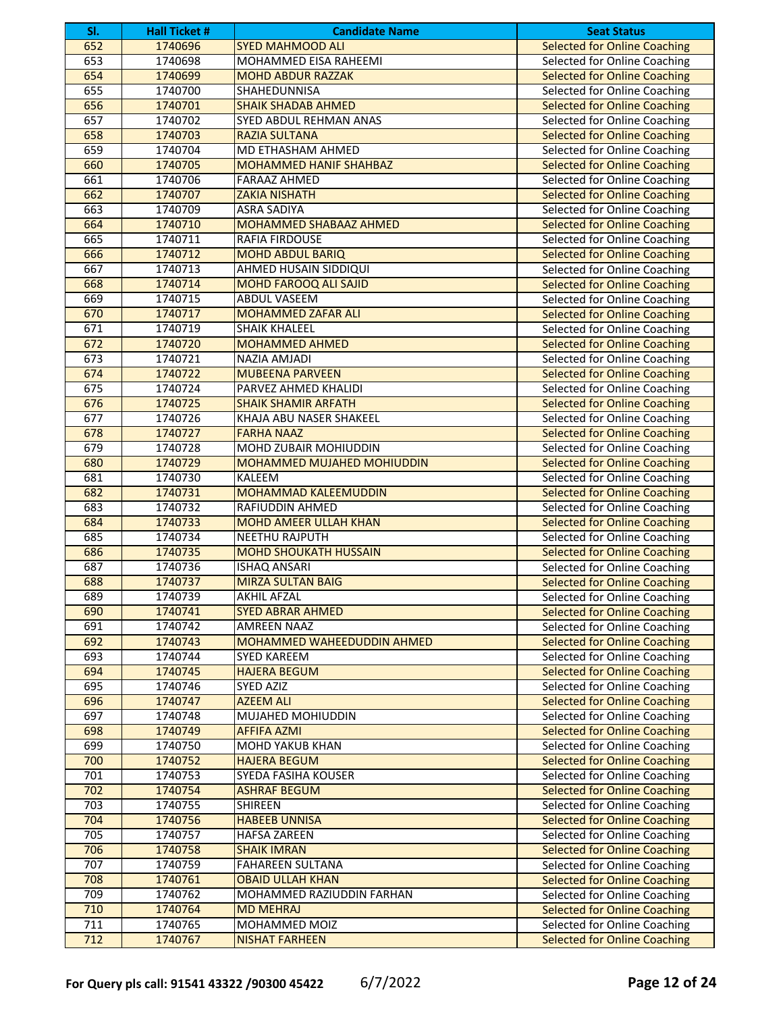| SI.              | <b>Hall Ticket #</b> | <b>Candidate Name</b>         | <b>Seat Status</b>                  |
|------------------|----------------------|-------------------------------|-------------------------------------|
| 652              | 1740696              | <b>SYED MAHMOOD ALI</b>       | <b>Selected for Online Coaching</b> |
| 653              | 1740698              | MOHAMMED EISA RAHEEMI         | Selected for Online Coaching        |
| 654              | 1740699              | <b>MOHD ABDUR RAZZAK</b>      | <b>Selected for Online Coaching</b> |
| 655              | 1740700              | <b>SHAHEDUNNISA</b>           | Selected for Online Coaching        |
| 656              | 1740701              | <b>SHAIK SHADAB AHMED</b>     | <b>Selected for Online Coaching</b> |
| 657              | 1740702              | <b>SYED ABDUL REHMAN ANAS</b> | Selected for Online Coaching        |
| 658              | 1740703              | <b>RAZIA SULTANA</b>          | <b>Selected for Online Coaching</b> |
| 659              | 1740704              | MD ETHASHAM AHMED             | Selected for Online Coaching        |
| 660              | 1740705              | <b>MOHAMMED HANIF SHAHBAZ</b> | <b>Selected for Online Coaching</b> |
| 661              | 1740706              | <b>FARAAZ AHMED</b>           | Selected for Online Coaching        |
| 662              | 1740707              | <b>ZAKIA NISHATH</b>          | <b>Selected for Online Coaching</b> |
| 663              | 1740709              | <b>ASRA SADIYA</b>            | Selected for Online Coaching        |
| 664              | 1740710              | MOHAMMED SHABAAZ AHMED        | <b>Selected for Online Coaching</b> |
| 665              | 1740711              | RAFIA FIRDOUSE                | Selected for Online Coaching        |
| 666              | 1740712              | <b>MOHD ABDUL BARIQ</b>       | <b>Selected for Online Coaching</b> |
| 667              | 1740713              | AHMED HUSAIN SIDDIQUI         | Selected for Online Coaching        |
| 668              | 1740714              | <b>MOHD FAROOQ ALI SAJID</b>  | <b>Selected for Online Coaching</b> |
| 669              | 1740715              | <b>ABDUL VASEEM</b>           | Selected for Online Coaching        |
| 670              | 1740717              | <b>MOHAMMED ZAFAR ALI</b>     | <b>Selected for Online Coaching</b> |
| 671              | 1740719              | <b>SHAIK KHALEEL</b>          | Selected for Online Coaching        |
| 672              | 1740720              | <b>MOHAMMED AHMED</b>         | <b>Selected for Online Coaching</b> |
| 673              | 1740721              | NAZIA AMJADI                  | Selected for Online Coaching        |
| 674              | 1740722              | <b>MUBEENA PARVEEN</b>        | <b>Selected for Online Coaching</b> |
| 675              | 1740724              | PARVEZ AHMED KHALIDI          | Selected for Online Coaching        |
| 676              | 1740725              | <b>SHAIK SHAMIR ARFATH</b>    | <b>Selected for Online Coaching</b> |
| 677              | 1740726              | KHAJA ABU NASER SHAKEEL       | Selected for Online Coaching        |
| 678              | 1740727              | <b>FARHA NAAZ</b>             | <b>Selected for Online Coaching</b> |
| 679              | 1740728              | MOHD ZUBAIR MOHIUDDIN         | Selected for Online Coaching        |
| 680              | 1740729              | MOHAMMED MUJAHED MOHIUDDIN    | <b>Selected for Online Coaching</b> |
| 681              | 1740730              | <b>KALEEM</b>                 | Selected for Online Coaching        |
| 682              | 1740731              | <b>MOHAMMAD KALEEMUDDIN</b>   | <b>Selected for Online Coaching</b> |
| 683              | 1740732              | RAFIUDDIN AHMED               | Selected for Online Coaching        |
| 684              | 1740733              | <b>MOHD AMEER ULLAH KHAN</b>  | <b>Selected for Online Coaching</b> |
| 685              | 1740734              | <b>NEETHU RAJPUTH</b>         | Selected for Online Coaching        |
| 686              | 1740735              | <b>MOHD SHOUKATH HUSSAIN</b>  | <b>Selected for Online Coaching</b> |
| 687              | 1740736              | <b>ISHAQ ANSARI</b>           | Selected for Online Coaching        |
| 688              | 1740737              | <b>MIRZA SULTAN BAIG</b>      | <b>Selected for Online Coaching</b> |
| 689              | 1740739              | <b>AKHIL AFZAL</b>            | <b>Selected for Online Coaching</b> |
| 690              | 1740741              | <b>SYED ABRAR AHMED</b>       | <b>Selected for Online Coaching</b> |
| 691              | 1740742              | <b>AMREEN NAAZ</b>            | Selected for Online Coaching        |
| 692              | 1740743              | MOHAMMED WAHEEDUDDIN AHMED    | <b>Selected for Online Coaching</b> |
| 693              | 1740744              | SYED KAREEM                   | Selected for Online Coaching        |
| 694              | 1740745              | <b>HAJERA BEGUM</b>           | <b>Selected for Online Coaching</b> |
| 695              | 1740746              | SYED AZIZ                     | Selected for Online Coaching        |
| 696              | 1740747              | <b>AZEEM ALI</b>              | <b>Selected for Online Coaching</b> |
| 697              | 1740748              | MUJAHED MOHIUDDIN             | Selected for Online Coaching        |
| 698              | 1740749              | <b>AFFIFA AZMI</b>            | <b>Selected for Online Coaching</b> |
| 699              | 1740750              | <b>MOHD YAKUB KHAN</b>        | Selected for Online Coaching        |
| 700              | 1740752              | <b>HAJERA BEGUM</b>           | <b>Selected for Online Coaching</b> |
| 701              | 1740753              | SYEDA FASIHA KOUSER           | Selected for Online Coaching        |
| 702              | 1740754              | <b>ASHRAF BEGUM</b>           | <b>Selected for Online Coaching</b> |
| 703              | 1740755              | <b>SHIREEN</b>                | Selected for Online Coaching        |
| 704              | 1740756              | <b>HABEEB UNNISA</b>          | <b>Selected for Online Coaching</b> |
| 705              | 1740757              | <b>HAFSA ZAREEN</b>           | Selected for Online Coaching        |
| 706              | 1740758              | <b>SHAIK IMRAN</b>            | <b>Selected for Online Coaching</b> |
| 707              | 1740759              | FAHAREEN SULTANA              | Selected for Online Coaching        |
| 708              | 1740761              | <b>OBAID ULLAH KHAN</b>       | <b>Selected for Online Coaching</b> |
| 709              | 1740762              | MOHAMMED RAZIUDDIN FARHAN     | Selected for Online Coaching        |
| 710              | 1740764              | <b>MD MEHRAJ</b>              | <b>Selected for Online Coaching</b> |
| 711              | 1740765              | MOHAMMED MOIZ                 | Selected for Online Coaching        |
| $\overline{712}$ | 1740767              | <b>NISHAT FARHEEN</b>         | <b>Selected for Online Coaching</b> |
|                  |                      |                               |                                     |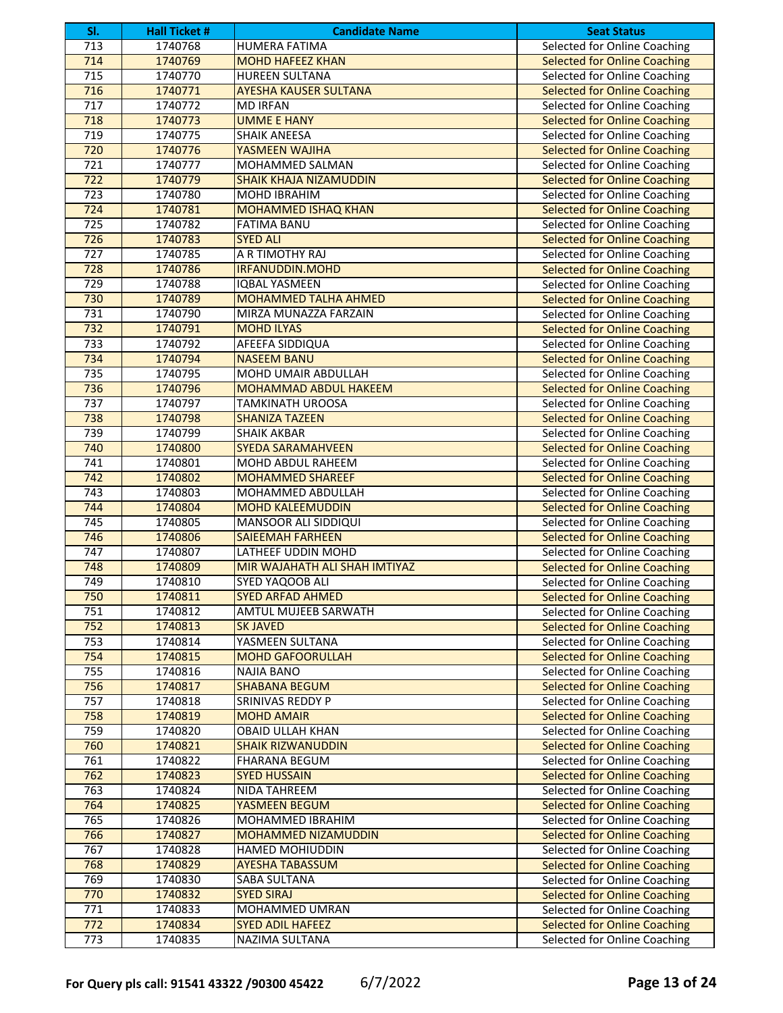| SI.              | <b>Hall Ticket #</b> | <b>Candidate Name</b>                | <b>Seat Status</b>                  |
|------------------|----------------------|--------------------------------------|-------------------------------------|
| $\overline{713}$ | 1740768              | HUMERA FATIMA                        | Selected for Online Coaching        |
| 714              | 1740769              | <b>MOHD HAFEEZ KHAN</b>              | <b>Selected for Online Coaching</b> |
| 715              | 1740770              | <b>HUREEN SULTANA</b>                | Selected for Online Coaching        |
| 716              | 1740771              | <b>AYESHA KAUSER SULTANA</b>         | <b>Selected for Online Coaching</b> |
| $\overline{717}$ | 1740772              | <b>MD IRFAN</b>                      | Selected for Online Coaching        |
| 718              | 1740773              | <b>UMME E HANY</b>                   | <b>Selected for Online Coaching</b> |
| 719              | 1740775              | <b>SHAIK ANEESA</b>                  | Selected for Online Coaching        |
| 720              | 1740776              | YASMEEN WAJIHA                       | <b>Selected for Online Coaching</b> |
| 721              | 1740777              | MOHAMMED SALMAN                      | Selected for Online Coaching        |
| $\overline{722}$ | 1740779              | <b>SHAIK KHAJA NIZAMUDDIN</b>        | <b>Selected for Online Coaching</b> |
| $\overline{723}$ | 1740780              | MOHD IBRAHIM                         | Selected for Online Coaching        |
| 724              | 1740781              | <b>MOHAMMED ISHAQ KHAN</b>           | <b>Selected for Online Coaching</b> |
| 725              | 1740782              | <b>FATIMA BANU</b>                   | <b>Selected for Online Coaching</b> |
| 726              | 1740783              | <b>SYED ALI</b>                      | <b>Selected for Online Coaching</b> |
| 727              | 1740785              | A R TIMOTHY RAJ                      | Selected for Online Coaching        |
| 728              | 1740786              | <b>IRFANUDDIN.MOHD</b>               | <b>Selected for Online Coaching</b> |
| 729              | 1740788              | <b>IQBAL YASMEEN</b>                 | Selected for Online Coaching        |
| 730              | 1740789              | <b>MOHAMMED TALHA AHMED</b>          | <b>Selected for Online Coaching</b> |
| 731              | 1740790              | MIRZA MUNAZZA FARZAIN                | Selected for Online Coaching        |
| 732              | 1740791              | <b>MOHD ILYAS</b>                    | <b>Selected for Online Coaching</b> |
| 733              | 1740792              | AFEEFA SIDDIQUA                      | Selected for Online Coaching        |
| 734              | 1740794              | <b>NASEEM BANU</b>                   | <b>Selected for Online Coaching</b> |
| 735              | 1740795              | MOHD UMAIR ABDULLAH                  | Selected for Online Coaching        |
| 736              | 1740796              | <b>MOHAMMAD ABDUL HAKEEM</b>         | <b>Selected for Online Coaching</b> |
| 737              | 1740797              | <b>TAMKINATH UROOSA</b>              | Selected for Online Coaching        |
| 738              | 1740798              | <b>SHANIZA TAZEEN</b>                | <b>Selected for Online Coaching</b> |
| 739              | 1740799              | <b>SHAIK AKBAR</b>                   | Selected for Online Coaching        |
| 740              | 1740800              | <b>SYEDA SARAMAHVEEN</b>             | <b>Selected for Online Coaching</b> |
| 741              | 1740801              | MOHD ABDUL RAHEEM                    | Selected for Online Coaching        |
| 742              | 1740802              | <b>MOHAMMED SHAREEF</b>              | <b>Selected for Online Coaching</b> |
| 743              | 1740803              | MOHAMMED ABDULLAH                    | Selected for Online Coaching        |
| 744              | 1740804              | <b>MOHD KALEEMUDDIN</b>              | <b>Selected for Online Coaching</b> |
| 745              | 1740805              | <b>MANSOOR ALI SIDDIQUI</b>          | Selected for Online Coaching        |
| 746              | 1740806              | <b>SAIEEMAH FARHEEN</b>              | <b>Selected for Online Coaching</b> |
| 747              | 1740807              | LATHEEF UDDIN MOHD                   | Selected for Online Coaching        |
| 748              | 1740809              | <b>MIR WAJAHATH ALI SHAH IMTIYAZ</b> | <b>Selected for Online Coaching</b> |
| 749              | 1740810              | SYED YAQOOB ALI                      | Selected for Online Coaching        |
| 750              | 1740811              | <b>SYED ARFAD AHMED</b>              | <b>Selected for Online Coaching</b> |
| 751              | 1740812              | <b>AMTUL MUJEEB SARWATH</b>          | Selected for Online Coaching        |
| 752              | 1740813              | <b>SK JAVED</b>                      | <b>Selected for Online Coaching</b> |
| 753              | 1740814              | YASMEEN SULTANA                      | Selected for Online Coaching        |
| 754              | 1740815              | <b>MOHD GAFOORULLAH</b>              | <b>Selected for Online Coaching</b> |
| 755              | 1740816              | <b>NAJIA BANO</b>                    | Selected for Online Coaching        |
| 756              | 1740817              | <b>SHABANA BEGUM</b>                 | <b>Selected for Online Coaching</b> |
| 757              | 1740818              | SRINIVAS REDDY P                     | Selected for Online Coaching        |
| 758              | 1740819              | <b>MOHD AMAIR</b>                    | <b>Selected for Online Coaching</b> |
| 759              | 1740820              | <b>OBAID ULLAH KHAN</b>              | Selected for Online Coaching        |
| 760              | 1740821              | <b>SHAIK RIZWANUDDIN</b>             | <b>Selected for Online Coaching</b> |
| 761              | 1740822              | <b>FHARANA BEGUM</b>                 | Selected for Online Coaching        |
| 762              | 1740823              | <b>SYED HUSSAIN</b>                  | <b>Selected for Online Coaching</b> |
| 763              | 1740824              | NIDA TAHREEM                         | Selected for Online Coaching        |
| 764              | 1740825              | YASMEEN BEGUM                        | <b>Selected for Online Coaching</b> |
| 765              | 1740826              | MOHAMMED IBRAHIM                     | Selected for Online Coaching        |
| 766              | 1740827              | MOHAMMED NIZAMUDDIN                  | <b>Selected for Online Coaching</b> |
| 767              | 1740828              | HAMED MOHIUDDIN                      | Selected for Online Coaching        |
| 768              | 1740829              | <b>AYESHA TABASSUM</b>               | <b>Selected for Online Coaching</b> |
| 769              | 1740830              | SABA SULTANA                         | Selected for Online Coaching        |
| 770              | 1740832              | <b>SYED SIRAJ</b>                    | <b>Selected for Online Coaching</b> |
| 771              | 1740833              | MOHAMMED UMRAN                       | Selected for Online Coaching        |
| $\overline{772}$ | 1740834              | <b>SYED ADIL HAFEEZ</b>              | <b>Selected for Online Coaching</b> |
| 773              | 1740835              | NAZIMA SULTANA                       | Selected for Online Coaching        |
|                  |                      |                                      |                                     |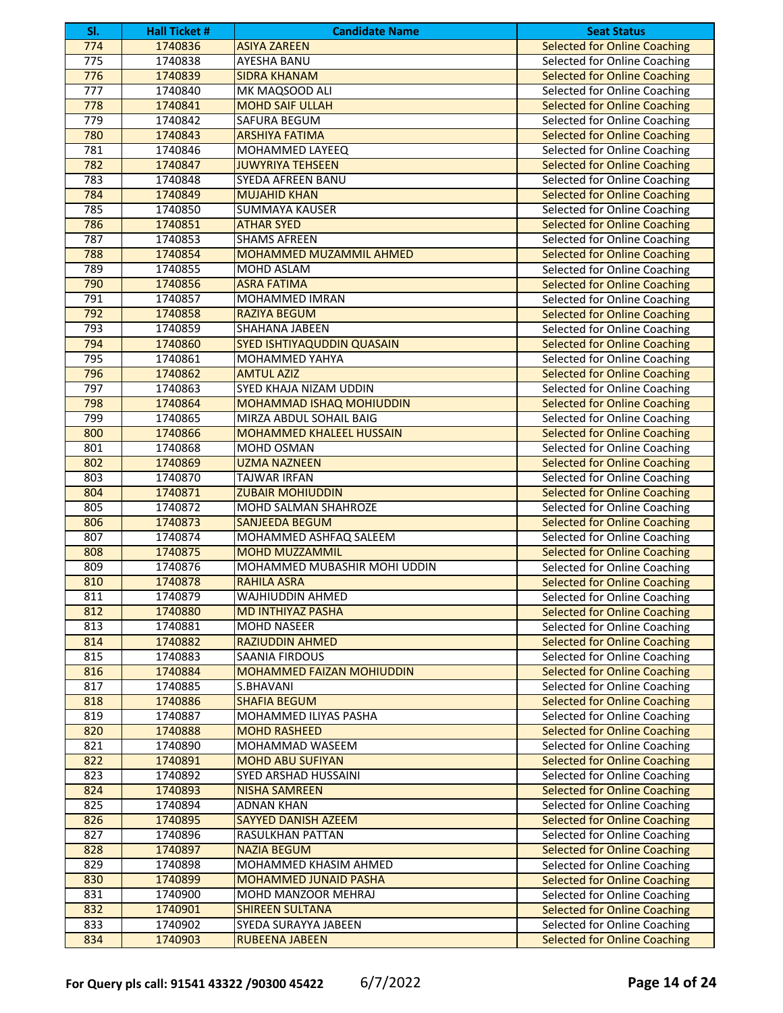| SI. | <b>Hall Ticket #</b> | <b>Candidate Name</b>           | <b>Seat Status</b>                  |
|-----|----------------------|---------------------------------|-------------------------------------|
| 774 | 1740836              | <b>ASIYA ZAREEN</b>             | <b>Selected for Online Coaching</b> |
| 775 | 1740838              | AYESHA BANU                     | Selected for Online Coaching        |
| 776 | 1740839              | <b>SIDRA KHANAM</b>             | <b>Selected for Online Coaching</b> |
| 777 | 1740840              | MK MAQSOOD ALI                  | Selected for Online Coaching        |
| 778 | 1740841              | <b>MOHD SAIF ULLAH</b>          | <b>Selected for Online Coaching</b> |
| 779 | 1740842              | SAFURA BEGUM                    | Selected for Online Coaching        |
| 780 | 1740843              | <b>ARSHIYA FATIMA</b>           | <b>Selected for Online Coaching</b> |
| 781 | 1740846              | MOHAMMED LAYEEQ                 | Selected for Online Coaching        |
| 782 | 1740847              | <b>JUWYRIYA TEHSEEN</b>         | <b>Selected for Online Coaching</b> |
| 783 | 1740848              | SYEDA AFREEN BANU               | Selected for Online Coaching        |
| 784 | 1740849              | <b>MUJAHID KHAN</b>             | <b>Selected for Online Coaching</b> |
| 785 | 1740850              | <b>SUMMAYA KAUSER</b>           | Selected for Online Coaching        |
| 786 | 1740851              | <b>ATHAR SYED</b>               | <b>Selected for Online Coaching</b> |
| 787 | 1740853              | <b>SHAMS AFREEN</b>             | Selected for Online Coaching        |
| 788 | 1740854              | MOHAMMED MUZAMMIL AHMED         | <b>Selected for Online Coaching</b> |
| 789 | 1740855              | MOHD ASLAM                      | Selected for Online Coaching        |
| 790 | 1740856              | <b>ASRA FATIMA</b>              | <b>Selected for Online Coaching</b> |
| 791 | 1740857              | MOHAMMED IMRAN                  | Selected for Online Coaching        |
| 792 | 1740858              | <b>RAZIYA BEGUM</b>             | <b>Selected for Online Coaching</b> |
| 793 | 1740859              | SHAHANA JABEEN                  | Selected for Online Coaching        |
| 794 | 1740860              | SYED ISHTIYAQUDDIN QUASAIN      | <b>Selected for Online Coaching</b> |
| 795 | 1740861              | MOHAMMED YAHYA                  | Selected for Online Coaching        |
| 796 | 1740862              | <b>AMTUL AZIZ</b>               | <b>Selected for Online Coaching</b> |
| 797 | 1740863              | SYED KHAJA NIZAM UDDIN          | Selected for Online Coaching        |
| 798 | 1740864              | <b>MOHAMMAD ISHAQ MOHIUDDIN</b> | <b>Selected for Online Coaching</b> |
| 799 | 1740865              | MIRZA ABDUL SOHAIL BAIG         | Selected for Online Coaching        |
| 800 | 1740866              | <b>MOHAMMED KHALEEL HUSSAIN</b> | <b>Selected for Online Coaching</b> |
| 801 | 1740868              | MOHD OSMAN                      | Selected for Online Coaching        |
| 802 | 1740869              | <b>UZMA NAZNEEN</b>             | <b>Selected for Online Coaching</b> |
| 803 | 1740870              | TAJWAR IRFAN                    | Selected for Online Coaching        |
| 804 | 1740871              | <b>ZUBAIR MOHIUDDIN</b>         | <b>Selected for Online Coaching</b> |
| 805 | 1740872              | MOHD SALMAN SHAHROZE            | Selected for Online Coaching        |
| 806 | 1740873              | <b>SANJEEDA BEGUM</b>           | <b>Selected for Online Coaching</b> |
| 807 | 1740874              | MOHAMMED ASHFAQ SALEEM          | Selected for Online Coaching        |
| 808 | 1740875              | <b>MOHD MUZZAMMIL</b>           | <b>Selected for Online Coaching</b> |
| 809 | 1740876              | MOHAMMED MUBASHIR MOHI UDDIN    | Selected for Online Coaching        |
| 810 | 1740878              | <b>RAHILA ASRA</b>              | <b>Selected for Online Coaching</b> |
| 811 | 1740879              | WAJHIUDDIN AHMED                | Selected for Online Coaching        |
| 812 | 1740880              | <b>MD INTHIYAZ PASHA</b>        | <b>Selected for Online Coaching</b> |
| 813 | 1740881              | MOHD NASEER                     | Selected for Online Coaching        |
| 814 | 1740882              | RAZIUDDIN AHMED                 | <b>Selected for Online Coaching</b> |
| 815 | 1740883              | SAANIA FIRDOUS                  | Selected for Online Coaching        |
| 816 | 1740884              | MOHAMMED FAIZAN MOHIUDDIN       | <b>Selected for Online Coaching</b> |
| 817 | 1740885              | S.BHAVANI                       | Selected for Online Coaching        |
| 818 | 1740886              | <b>SHAFIA BEGUM</b>             | <b>Selected for Online Coaching</b> |
| 819 | 1740887              | MOHAMMED ILIYAS PASHA           | Selected for Online Coaching        |
| 820 | 1740888              | <b>MOHD RASHEED</b>             | <b>Selected for Online Coaching</b> |
| 821 | 1740890              | MOHAMMAD WASEEM                 | Selected for Online Coaching        |
| 822 | 1740891              | <b>MOHD ABU SUFIYAN</b>         | <b>Selected for Online Coaching</b> |
| 823 | 1740892              | SYED ARSHAD HUSSAINI            | Selected for Online Coaching        |
| 824 | 1740893              | <b>NISHA SAMREEN</b>            | <b>Selected for Online Coaching</b> |
| 825 | 1740894              | <b>ADNAN KHAN</b>               | Selected for Online Coaching        |
| 826 | 1740895              | SAYYED DANISH AZEEM             | <b>Selected for Online Coaching</b> |
| 827 | 1740896              | RASULKHAN PATTAN                | Selected for Online Coaching        |
| 828 | 1740897              | <b>NAZIA BEGUM</b>              | <b>Selected for Online Coaching</b> |
| 829 | 1740898              | MOHAMMED KHASIM AHMED           | Selected for Online Coaching        |
| 830 | 1740899              | MOHAMMED JUNAID PASHA           | <b>Selected for Online Coaching</b> |
| 831 | 1740900              | MOHD MANZOOR MEHRAJ             | Selected for Online Coaching        |
| 832 | 1740901              | <b>SHIREEN SULTANA</b>          | <b>Selected for Online Coaching</b> |
| 833 | 1740902              | SYEDA SURAYYA JABEEN            | Selected for Online Coaching        |
| 834 | 1740903              | RUBEENA JABEEN                  | <b>Selected for Online Coaching</b> |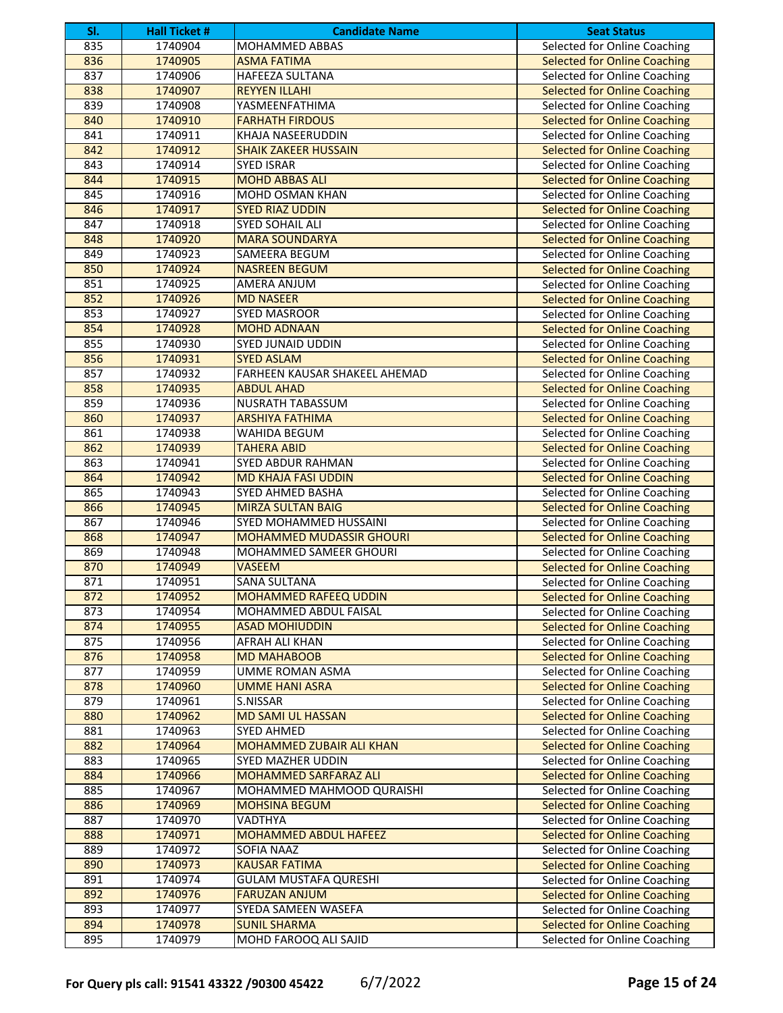| SI. | <b>Hall Ticket #</b> | <b>Candidate Name</b>           | <b>Seat Status</b>                  |
|-----|----------------------|---------------------------------|-------------------------------------|
| 835 | 1740904              | <b>MOHAMMED ABBAS</b>           | <b>Selected for Online Coaching</b> |
| 836 | 1740905              | <b>ASMA FATIMA</b>              | <b>Selected for Online Coaching</b> |
| 837 | 1740906              | <b>HAFEEZA SULTANA</b>          | Selected for Online Coaching        |
| 838 | 1740907              | <b>REYYEN ILLAHI</b>            | <b>Selected for Online Coaching</b> |
| 839 | 1740908              | YASMEENFATHIMA                  | Selected for Online Coaching        |
| 840 | 1740910              | <b>FARHATH FIRDOUS</b>          | <b>Selected for Online Coaching</b> |
| 841 | 1740911              | KHAJA NASEERUDDIN               | Selected for Online Coaching        |
| 842 | 1740912              | <b>SHAIK ZAKEER HUSSAIN</b>     | <b>Selected for Online Coaching</b> |
| 843 | 1740914              | <b>SYED ISRAR</b>               | Selected for Online Coaching        |
| 844 | 1740915              | <b>MOHD ABBAS ALI</b>           | <b>Selected for Online Coaching</b> |
| 845 | 1740916              | MOHD OSMAN KHAN                 | Selected for Online Coaching        |
| 846 | 1740917              | <b>SYED RIAZ UDDIN</b>          | <b>Selected for Online Coaching</b> |
| 847 | 1740918              | SYED SOHAIL ALI                 | Selected for Online Coaching        |
| 848 | 1740920              | <b>MARA SOUNDARYA</b>           | <b>Selected for Online Coaching</b> |
| 849 | 1740923              | SAMEERA BEGUM                   | Selected for Online Coaching        |
| 850 | 1740924              | <b>NASREEN BEGUM</b>            | <b>Selected for Online Coaching</b> |
| 851 | 1740925              | AMERA ANJUM                     | Selected for Online Coaching        |
| 852 | 1740926              | <b>MD NASEER</b>                | <b>Selected for Online Coaching</b> |
| 853 | 1740927              | <b>SYED MASROOR</b>             | Selected for Online Coaching        |
| 854 | 1740928              | <b>MOHD ADNAAN</b>              | <b>Selected for Online Coaching</b> |
| 855 | 1740930              | <b>SYED JUNAID UDDIN</b>        | Selected for Online Coaching        |
| 856 | 1740931              | <b>SYED ASLAM</b>               | <b>Selected for Online Coaching</b> |
| 857 | 1740932              | FARHEEN KAUSAR SHAKEEL AHEMAD   | Selected for Online Coaching        |
| 858 | 1740935              | <b>ABDUL AHAD</b>               | <b>Selected for Online Coaching</b> |
| 859 | 1740936              | <b>NUSRATH TABASSUM</b>         | Selected for Online Coaching        |
| 860 | 1740937              | <b>ARSHIYA FATHIMA</b>          | <b>Selected for Online Coaching</b> |
| 861 | 1740938              | WAHIDA BEGUM                    | Selected for Online Coaching        |
| 862 | 1740939              | <b>TAHERA ABID</b>              | <b>Selected for Online Coaching</b> |
| 863 | 1740941              | SYED ABDUR RAHMAN               | Selected for Online Coaching        |
| 864 | 1740942              | <b>MD KHAJA FASI UDDIN</b>      | <b>Selected for Online Coaching</b> |
| 865 | 1740943              | <b>SYED AHMED BASHA</b>         | Selected for Online Coaching        |
| 866 | 1740945              | <b>MIRZA SULTAN BAIG</b>        | <b>Selected for Online Coaching</b> |
| 867 | 1740946              | SYED MOHAMMED HUSSAINI          | Selected for Online Coaching        |
| 868 | 1740947              | <b>MOHAMMED MUDASSIR GHOURI</b> | <b>Selected for Online Coaching</b> |
| 869 | 1740948              | MOHAMMED SAMEER GHOURI          | Selected for Online Coaching        |
| 870 | 1740949              | <b>VASEEM</b>                   | <b>Selected for Online Coaching</b> |
| 871 | 1740951              | <b>SANA SULTANA</b>             | Selected for Online Coaching        |
| 872 | 1740952              | <b>MOHAMMED RAFEEQ UDDIN</b>    | <b>Selected for Online Coaching</b> |
| 873 | 1740954              | MOHAMMED ABDUL FAISAL           | Selected for Online Coaching        |
| 874 | 1740955              | <b>ASAD MOHIUDDIN</b>           | <b>Selected for Online Coaching</b> |
| 875 | 1740956              | AFRAH ALI KHAN                  | Selected for Online Coaching        |
| 876 | 1740958              | <b>MD MAHABOOB</b>              | <b>Selected for Online Coaching</b> |
| 877 | 1740959              | UMME ROMAN ASMA                 | Selected for Online Coaching        |
| 878 | 1740960              | <b>UMME HANI ASRA</b>           | <b>Selected for Online Coaching</b> |
| 879 | 1740961              | S.NISSAR                        | Selected for Online Coaching        |
| 880 | 1740962              | <b>MD SAMI UL HASSAN</b>        | <b>Selected for Online Coaching</b> |
| 881 | 1740963              | SYED AHMED                      | Selected for Online Coaching        |
| 882 | 1740964              | <b>MOHAMMED ZUBAIR ALI KHAN</b> | <b>Selected for Online Coaching</b> |
| 883 | 1740965              | <b>SYED MAZHER UDDIN</b>        | Selected for Online Coaching        |
| 884 | 1740966              | MOHAMMED SARFARAZ ALI           | <b>Selected for Online Coaching</b> |
| 885 | 1740967              | MOHAMMED MAHMOOD QURAISHI       | Selected for Online Coaching        |
| 886 | 1740969              | <b>MOHSINA BEGUM</b>            | <b>Selected for Online Coaching</b> |
| 887 | 1740970              | VADTHYA                         | Selected for Online Coaching        |
| 888 | 1740971              | <b>MOHAMMED ABDUL HAFEEZ</b>    | <b>Selected for Online Coaching</b> |
| 889 | 1740972              | SOFIA NAAZ                      | Selected for Online Coaching        |
| 890 | 1740973              | <b>KAUSAR FATIMA</b>            | <b>Selected for Online Coaching</b> |
| 891 | 1740974              | <b>GULAM MUSTAFA QURESHI</b>    | Selected for Online Coaching        |
| 892 | 1740976              | <b>FARUZAN ANJUM</b>            | <b>Selected for Online Coaching</b> |
| 893 | 1740977              | SYEDA SAMEEN WASEFA             | Selected for Online Coaching        |
| 894 | 1740978              | <b>SUNIL SHARMA</b>             | <b>Selected for Online Coaching</b> |
| 895 | 1740979              | MOHD FAROOQ ALI SAJID           | Selected for Online Coaching        |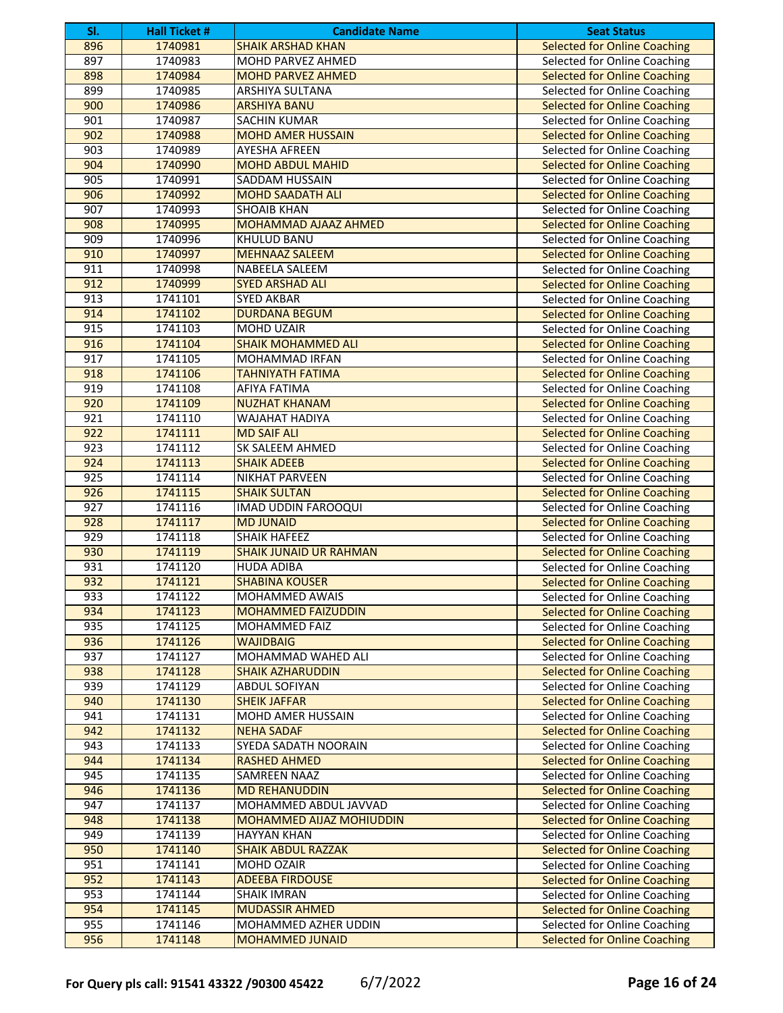| SI.              | <b>Hall Ticket #</b> | <b>Candidate Name</b>         | <b>Seat Status</b>                  |
|------------------|----------------------|-------------------------------|-------------------------------------|
| 896              | 1740981              | <b>SHAIK ARSHAD KHAN</b>      | <b>Selected for Online Coaching</b> |
| 897              | 1740983              | <b>MOHD PARVEZ AHMED</b>      | Selected for Online Coaching        |
| 898              | 1740984              | <b>MOHD PARVEZ AHMED</b>      | <b>Selected for Online Coaching</b> |
| 899              | 1740985              | <b>ARSHIYA SULTANA</b>        | Selected for Online Coaching        |
| 900              | 1740986              | <b>ARSHIYA BANU</b>           | <b>Selected for Online Coaching</b> |
| 901              | 1740987              | <b>SACHIN KUMAR</b>           | Selected for Online Coaching        |
| 902              | 1740988              | <b>MOHD AMER HUSSAIN</b>      | <b>Selected for Online Coaching</b> |
| 903              | 1740989              | <b>AYESHA AFREEN</b>          | Selected for Online Coaching        |
| 904              | 1740990              | <b>MOHD ABDUL MAHID</b>       | <b>Selected for Online Coaching</b> |
| 905              | 1740991              | SADDAM HUSSAIN                | Selected for Online Coaching        |
| 906              | 1740992              | <b>MOHD SAADATH ALI</b>       | <b>Selected for Online Coaching</b> |
| 907              | 1740993              | <b>SHOAIB KHAN</b>            | Selected for Online Coaching        |
| 908              | 1740995              | MOHAMMAD AJAAZ AHMED          | <b>Selected for Online Coaching</b> |
| 909              | 1740996              | KHULUD BANU                   | Selected for Online Coaching        |
| 910              | 1740997              | <b>MEHNAAZ SALEEM</b>         | <b>Selected for Online Coaching</b> |
| 911              | 1740998              | NABEELA SALEEM                | Selected for Online Coaching        |
| 912              | 1740999              | <b>SYED ARSHAD ALI</b>        | <b>Selected for Online Coaching</b> |
| 913              | 1741101              | <b>SYED AKBAR</b>             | Selected for Online Coaching        |
| 914              | 1741102              | <b>DURDANA BEGUM</b>          | <b>Selected for Online Coaching</b> |
| 915              | 1741103              | <b>MOHD UZAIR</b>             | Selected for Online Coaching        |
| 916              | 1741104              | <b>SHAIK MOHAMMED ALI</b>     | <b>Selected for Online Coaching</b> |
| 917              | 1741105              | MOHAMMAD IRFAN                | Selected for Online Coaching        |
| 918              | 1741106              | <b>TAHNIYATH FATIMA</b>       | <b>Selected for Online Coaching</b> |
| 919              | 1741108              | <b>AFIYA FATIMA</b>           | Selected for Online Coaching        |
| 920              | 1741109              | <b>NUZHAT KHANAM</b>          | <b>Selected for Online Coaching</b> |
| 921              | 1741110              | <b>WAJAHAT HADIYA</b>         | Selected for Online Coaching        |
| 922              | 1741111              | <b>MD SAIF ALI</b>            | <b>Selected for Online Coaching</b> |
| 923              | 1741112              | SK SALEEM AHMED               | Selected for Online Coaching        |
| 924              | 1741113              | <b>SHAIK ADEEB</b>            | <b>Selected for Online Coaching</b> |
| 925              | 1741114              | NIKHAT PARVEEN                | Selected for Online Coaching        |
| 926              | 1741115              | <b>SHAIK SULTAN</b>           | <b>Selected for Online Coaching</b> |
| 927              | 1741116              | IMAD UDDIN FAROOQUI           | Selected for Online Coaching        |
| 928              | 1741117              | <b>MD JUNAID</b>              | <b>Selected for Online Coaching</b> |
| 929              | 1741118              | <b>SHAIK HAFEEZ</b>           | Selected for Online Coaching        |
| 930              | 1741119              | <b>SHAIK JUNAID UR RAHMAN</b> | <b>Selected for Online Coaching</b> |
| 931              | 1741120              | <b>HUDA ADIBA</b>             | Selected for Online Coaching        |
| 932              | 1741121              | <b>SHABINA KOUSER</b>         | <b>Selected for Online Coaching</b> |
| 933              | 1741122              | MOHAMMED AWAIS                | Selected for Online Coaching        |
| 934              | 1741123              | <b>MOHAMMED FAIZUDDIN</b>     | <b>Selected for Online Coaching</b> |
| 935              | 1741125              | MOHAMMED FAIZ                 | Selected for Online Coaching        |
| 936              | 1741126              | <b>WAJIDBAIG</b>              | <b>Selected for Online Coaching</b> |
| $\overline{937}$ | 1741127              | MOHAMMAD WAHED ALI            | Selected for Online Coaching        |
| 938              | 1741128              | <b>SHAIK AZHARUDDIN</b>       | <b>Selected for Online Coaching</b> |
| 939              | 1741129              | ABDUL SOFIYAN                 | Selected for Online Coaching        |
| 940              | 1741130              | <b>SHEIK JAFFAR</b>           | <b>Selected for Online Coaching</b> |
| 941              | 1741131              | <b>MOHD AMER HUSSAIN</b>      | Selected for Online Coaching        |
| 942              | 1741132              | <b>NEHA SADAF</b>             | <b>Selected for Online Coaching</b> |
| 943              | 1741133              | SYEDA SADATH NOORAIN          | Selected for Online Coaching        |
| 944              | 1741134              | <b>RASHED AHMED</b>           | <b>Selected for Online Coaching</b> |
| 945              | 1741135              | SAMREEN NAAZ                  | Selected for Online Coaching        |
| 946              | 1741136              | <b>MD REHANUDDIN</b>          | <b>Selected for Online Coaching</b> |
| 947              | 1741137              | MOHAMMED ABDUL JAVVAD         | Selected for Online Coaching        |
| 948              | 1741138              | MOHAMMED AIJAZ MOHIUDDIN      | <b>Selected for Online Coaching</b> |
| 949              | 1741139              | <b>HAYYAN KHAN</b>            | Selected for Online Coaching        |
| 950              | 1741140              | <b>SHAIK ABDUL RAZZAK</b>     | <b>Selected for Online Coaching</b> |
| 951              | 1741141              | MOHD OZAIR                    | Selected for Online Coaching        |
| 952              | 1741143              | <b>ADEEBA FIRDOUSE</b>        | <b>Selected for Online Coaching</b> |
| 953              | 1741144              | <b>SHAIK IMRAN</b>            | Selected for Online Coaching        |
| 954              | 1741145              | <b>MUDASSIR AHMED</b>         | <b>Selected for Online Coaching</b> |
| 955              | 1741146              | MOHAMMED AZHER UDDIN          | Selected for Online Coaching        |
| 956              | 1741148              | <b>MOHAMMED JUNAID</b>        | <b>Selected for Online Coaching</b> |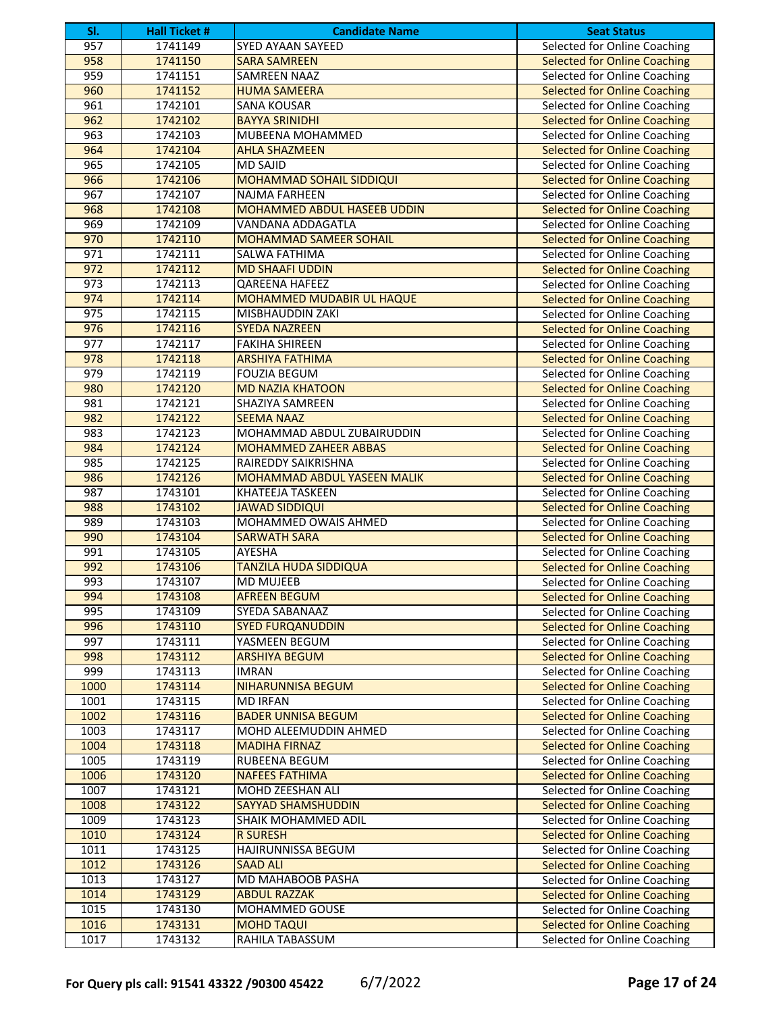| SI.  | <b>Hall Ticket #</b> | <b>Candidate Name</b>           | <b>Seat Status</b>                  |
|------|----------------------|---------------------------------|-------------------------------------|
| 957  | 1741149              | <b>SYED AYAAN SAYEED</b>        | <b>Selected for Online Coaching</b> |
| 958  | 1741150              | <b>SARA SAMREEN</b>             | <b>Selected for Online Coaching</b> |
| 959  | 1741151              | <b>SAMREEN NAAZ</b>             | Selected for Online Coaching        |
| 960  | 1741152              | <b>HUMA SAMEERA</b>             | <b>Selected for Online Coaching</b> |
| 961  | 1742101              | <b>SANA KOUSAR</b>              | Selected for Online Coaching        |
| 962  | 1742102              | <b>BAYYA SRINIDHI</b>           | <b>Selected for Online Coaching</b> |
| 963  | 1742103              | MUBEENA MOHAMMED                | Selected for Online Coaching        |
| 964  | 1742104              | <b>AHLA SHAZMEEN</b>            | <b>Selected for Online Coaching</b> |
| 965  | 1742105              | <b>MD SAJID</b>                 | Selected for Online Coaching        |
| 966  | 1742106              | <b>MOHAMMAD SOHAIL SIDDIQUI</b> | <b>Selected for Online Coaching</b> |
| 967  | 1742107              | NAJMA FARHEEN                   | Selected for Online Coaching        |
| 968  | 1742108              | MOHAMMED ABDUL HASEEB UDDIN     | <b>Selected for Online Coaching</b> |
| 969  | 1742109              | VANDANA ADDAGATLA               | Selected for Online Coaching        |
| 970  | 1742110              | <b>MOHAMMAD SAMEER SOHAIL</b>   | <b>Selected for Online Coaching</b> |
| 971  | 1742111              | SALWA FATHIMA                   | Selected for Online Coaching        |
| 972  | 1742112              | <b>MD SHAAFI UDDIN</b>          | <b>Selected for Online Coaching</b> |
| 973  | 1742113              | <b>QAREENA HAFEEZ</b>           | Selected for Online Coaching        |
| 974  | 1742114              | MOHAMMED MUDABIR UL HAQUE       | <b>Selected for Online Coaching</b> |
| 975  | 1742115              | <b>MISBHAUDDIN ZAKI</b>         | Selected for Online Coaching        |
| 976  | 1742116              | <b>SYEDA NAZREEN</b>            | <b>Selected for Online Coaching</b> |
| 977  | 1742117              | <b>FAKIHA SHIREEN</b>           | Selected for Online Coaching        |
| 978  | 1742118              | <b>ARSHIYA FATHIMA</b>          | <b>Selected for Online Coaching</b> |
| 979  | 1742119              | <b>FOUZIA BEGUM</b>             | Selected for Online Coaching        |
| 980  | 1742120              | <b>MD NAZIA KHATOON</b>         | <b>Selected for Online Coaching</b> |
| 981  | 1742121              | <b>SHAZIYA SAMREEN</b>          | Selected for Online Coaching        |
| 982  | 1742122              | <b>SEEMA NAAZ</b>               | <b>Selected for Online Coaching</b> |
| 983  | 1742123              | MOHAMMAD ABDUL ZUBAIRUDDIN      | Selected for Online Coaching        |
| 984  | 1742124              | <b>MOHAMMED ZAHEER ABBAS</b>    | <b>Selected for Online Coaching</b> |
| 985  | 1742125              | RAIREDDY SAIKRISHNA             | Selected for Online Coaching        |
| 986  | 1742126              | MOHAMMAD ABDUL YASEEN MALIK     | <b>Selected for Online Coaching</b> |
| 987  | 1743101              | <b>KHATEEJA TASKEEN</b>         | Selected for Online Coaching        |
| 988  | 1743102              | <b>JAWAD SIDDIQUI</b>           | <b>Selected for Online Coaching</b> |
| 989  | 1743103              | MOHAMMED OWAIS AHMED            | Selected for Online Coaching        |
| 990  | 1743104              | <b>SARWATH SARA</b>             | <b>Selected for Online Coaching</b> |
| 991  | 1743105              | AYESHA                          | Selected for Online Coaching        |
| 992  | 1743106              | <b>TANZILA HUDA SIDDIQUA</b>    | <b>Selected for Online Coaching</b> |
| 993  | 1743107              | <b>MD MUJEEB</b>                | Selected for Online Coaching        |
| 994  | 1743108              | <b>AFREEN BEGUM</b>             | <b>Selected for Online Coaching</b> |
| 995  | 1743109              | SYEDA SABANAAZ                  | Selected for Online Coaching        |
| 996  | 1743110              | <b>SYED FURQANUDDIN</b>         | <b>Selected for Online Coaching</b> |
| 997  | 1743111              | YASMEEN BEGUM                   | Selected for Online Coaching        |
| 998  | 1743112              | <b>ARSHIYA BEGUM</b>            | <b>Selected for Online Coaching</b> |
| 999  | 1743113              | <b>IMRAN</b>                    | Selected for Online Coaching        |
| 1000 | 1743114              | <b>NIHARUNNISA BEGUM</b>        | <b>Selected for Online Coaching</b> |
| 1001 | 1743115              | <b>MD IRFAN</b>                 | Selected for Online Coaching        |
| 1002 | 1743116              | <b>BADER UNNISA BEGUM</b>       | <b>Selected for Online Coaching</b> |
| 1003 | 1743117              | MOHD ALEEMUDDIN AHMED           | Selected for Online Coaching        |
| 1004 | 1743118              | <b>MADIHA FIRNAZ</b>            | <b>Selected for Online Coaching</b> |
| 1005 | 1743119              | <b>RUBEENA BEGUM</b>            | Selected for Online Coaching        |
| 1006 | 1743120              | <b>NAFEES FATHIMA</b>           | <b>Selected for Online Coaching</b> |
| 1007 | 1743121              | MOHD ZEESHAN ALI                | Selected for Online Coaching        |
| 1008 | 1743122              | <b>SAYYAD SHAMSHUDDIN</b>       | <b>Selected for Online Coaching</b> |
| 1009 | 1743123              | SHAIK MOHAMMED ADIL             | Selected for Online Coaching        |
| 1010 | 1743124              | <b>R SURESH</b>                 | <b>Selected for Online Coaching</b> |
| 1011 | 1743125              | <b>HAJIRUNNISSA BEGUM</b>       | <b>Selected for Online Coaching</b> |
| 1012 | 1743126              | <b>SAAD ALI</b>                 | <b>Selected for Online Coaching</b> |
| 1013 | 1743127              | MD MAHABOOB PASHA               | Selected for Online Coaching        |
| 1014 | 1743129              | <b>ABDUL RAZZAK</b>             | <b>Selected for Online Coaching</b> |
| 1015 | 1743130              | MOHAMMED GOUSE                  | Selected for Online Coaching        |
| 1016 | 1743131              | <b>MOHD TAQUI</b>               | <b>Selected for Online Coaching</b> |
| 1017 | 1743132              | RAHILA TABASSUM                 | Selected for Online Coaching        |
|      |                      |                                 |                                     |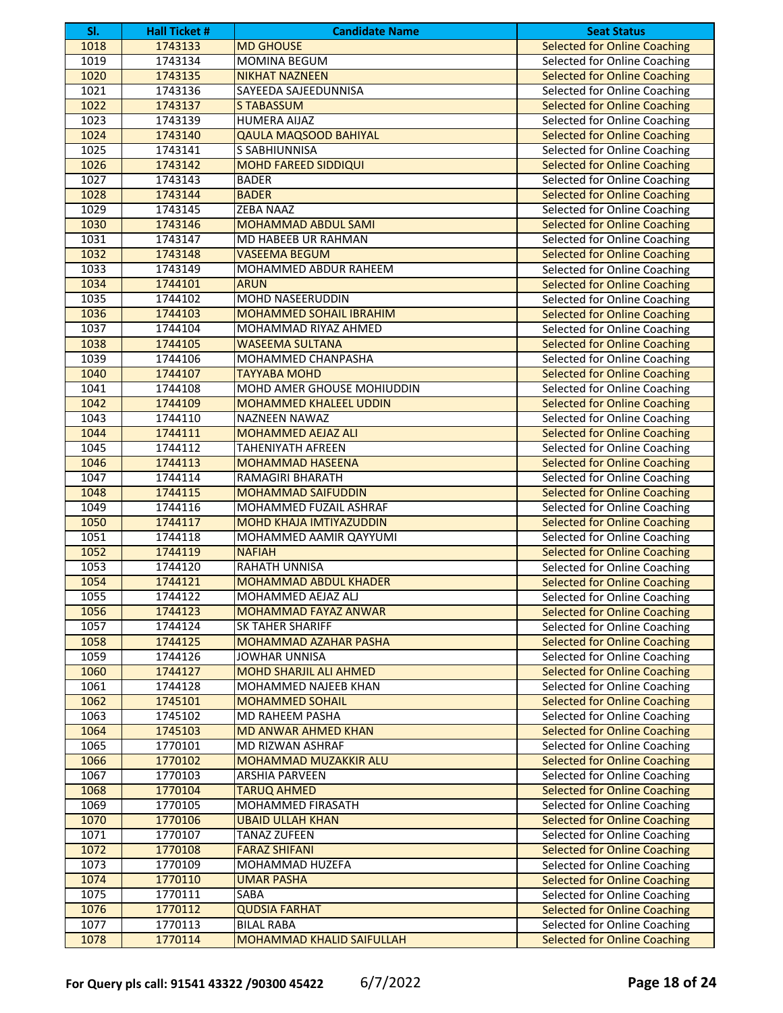| SI.          | <b>Hall Ticket #</b> | <b>Candidate Name</b>                   | <b>Seat Status</b>                                                  |
|--------------|----------------------|-----------------------------------------|---------------------------------------------------------------------|
| 1018         | 1743133              | <b>MD GHOUSE</b>                        | <b>Selected for Online Coaching</b>                                 |
| 1019         | 1743134              | <b>MOMINA BEGUM</b>                     | Selected for Online Coaching                                        |
| 1020         | 1743135              | <b>NIKHAT NAZNEEN</b>                   | <b>Selected for Online Coaching</b>                                 |
| 1021         | 1743136              | SAYEEDA SAJEEDUNNISA                    | Selected for Online Coaching                                        |
| 1022         | 1743137              | <b>STABASSUM</b>                        | <b>Selected for Online Coaching</b>                                 |
| 1023         | 1743139              | <b>HUMERA AIJAZ</b>                     | Selected for Online Coaching                                        |
| 1024         | 1743140              | <b>QAULA MAQSOOD BAHIYAL</b>            | <b>Selected for Online Coaching</b>                                 |
| 1025         | 1743141              | S SABHIUNNISA                           | Selected for Online Coaching                                        |
| 1026         | 1743142              | <b>MOHD FAREED SIDDIQUI</b>             | <b>Selected for Online Coaching</b>                                 |
| 1027         | 1743143              | <b>BADER</b>                            | Selected for Online Coaching                                        |
| 1028         | 1743144              | <b>BADER</b>                            | <b>Selected for Online Coaching</b>                                 |
| 1029         | 1743145              | <b>ZEBA NAAZ</b>                        | Selected for Online Coaching                                        |
| 1030         | 1743146              | MOHAMMAD ABDUL SAMI                     | <b>Selected for Online Coaching</b>                                 |
| 1031         | 1743147              | MD HABEEB UR RAHMAN                     | Selected for Online Coaching                                        |
| 1032         | 1743148              | <b>VASEEMA BEGUM</b>                    | <b>Selected for Online Coaching</b>                                 |
| 1033         | 1743149              | MOHAMMED ABDUR RAHEEM                   | Selected for Online Coaching                                        |
| 1034         | 1744101              | <b>ARUN</b>                             | <b>Selected for Online Coaching</b>                                 |
| 1035         | 1744102              | <b>MOHD NASEERUDDIN</b>                 | Selected for Online Coaching                                        |
| 1036         | 1744103              | <b>MOHAMMED SOHAIL IBRAHIM</b>          | <b>Selected for Online Coaching</b>                                 |
| 1037         | 1744104              | MOHAMMAD RIYAZ AHMED                    | Selected for Online Coaching                                        |
| 1038         | 1744105              | <b>WASEEMA SULTANA</b>                  | <b>Selected for Online Coaching</b>                                 |
| 1039         | 1744106              | MOHAMMED CHANPASHA                      | Selected for Online Coaching                                        |
| 1040         | 1744107              | <b>TAYYABA MOHD</b>                     | <b>Selected for Online Coaching</b>                                 |
| 1041         | 1744108              | MOHD AMER GHOUSE MOHIUDDIN              | Selected for Online Coaching                                        |
| 1042         | 1744109              | <b>MOHAMMED KHALEEL UDDIN</b>           | <b>Selected for Online Coaching</b>                                 |
| 1043         | 1744110              | <b>NAZNEEN NAWAZ</b>                    | Selected for Online Coaching                                        |
| 1044         | 1744111              | <b>MOHAMMED AEJAZ ALI</b>               | <b>Selected for Online Coaching</b>                                 |
| 1045         | 1744112              | <b>TAHENIYATH AFREEN</b>                | Selected for Online Coaching                                        |
| 1046         | 1744113              | <b>MOHAMMAD HASEENA</b>                 | <b>Selected for Online Coaching</b>                                 |
| 1047         | 1744114              | RAMAGIRI BHARATH                        | Selected for Online Coaching                                        |
| 1048         | 1744115              | <b>MOHAMMAD SAIFUDDIN</b>               | <b>Selected for Online Coaching</b>                                 |
| 1049         | 1744116              | MOHAMMED FUZAIL ASHRAF                  | Selected for Online Coaching                                        |
| 1050         | 1744117              | <b>MOHD KHAJA IMTIYAZUDDIN</b>          | <b>Selected for Online Coaching</b>                                 |
| 1051<br>1052 | 1744118<br>1744119   | MOHAMMED AAMIR QAYYUMI<br><b>NAFIAH</b> | Selected for Online Coaching                                        |
| 1053         | 1744120              | RAHATH UNNISA                           | <b>Selected for Online Coaching</b><br>Selected for Online Coaching |
| 1054         | 1744121              | <b>MOHAMMAD ABDUL KHADER</b>            | <b>Selected for Online Coaching</b>                                 |
| 1055         | 1744122              | MOHAMMED AEJAZ ALJ                      | Selected for Online Coaching                                        |
| 1056         | 1744123              | <b>MOHAMMAD FAYAZ ANWAR</b>             | <b>Selected for Online Coaching</b>                                 |
| 1057         | 1744124              | <b>SK TAHER SHARIFF</b>                 | Selected for Online Coaching                                        |
| 1058         | 1744125              | <b>MOHAMMAD AZAHAR PASHA</b>            | <b>Selected for Online Coaching</b>                                 |
| 1059         | 1744126              | <b>JOWHAR UNNISA</b>                    | Selected for Online Coaching                                        |
| 1060         | 1744127              | <b>MOHD SHARJIL ALI AHMED</b>           | <b>Selected for Online Coaching</b>                                 |
| 1061         | 1744128              | MOHAMMED NAJEEB KHAN                    | Selected for Online Coaching                                        |
| 1062         | 1745101              | <b>MOHAMMED SOHAIL</b>                  | <b>Selected for Online Coaching</b>                                 |
| 1063         | 1745102              | MD RAHEEM PASHA                         | Selected for Online Coaching                                        |
| 1064         | 1745103              | <b>MD ANWAR AHMED KHAN</b>              | <b>Selected for Online Coaching</b>                                 |
| 1065         | 1770101              | MD RIZWAN ASHRAF                        | Selected for Online Coaching                                        |
| 1066         | 1770102              | MOHAMMAD MUZAKKIR ALU                   | <b>Selected for Online Coaching</b>                                 |
| 1067         | 1770103              | <b>ARSHIA PARVEEN</b>                   | Selected for Online Coaching                                        |
| 1068         | 1770104              | <b>TARUQ AHMED</b>                      | <b>Selected for Online Coaching</b>                                 |
| 1069         | 1770105              | MOHAMMED FIRASATH                       | Selected for Online Coaching                                        |
| 1070         | 1770106              | <b>UBAID ULLAH KHAN</b>                 | <b>Selected for Online Coaching</b>                                 |
| 1071         | 1770107              | <b>TANAZ ZUFEEN</b>                     | Selected for Online Coaching                                        |
| 1072         | 1770108              | <b>FARAZ SHIFANI</b>                    | <b>Selected for Online Coaching</b>                                 |
| 1073         | 1770109              | MOHAMMAD HUZEFA                         | Selected for Online Coaching                                        |
| 1074         | 1770110              | <b>UMAR PASHA</b>                       | <b>Selected for Online Coaching</b>                                 |
| 1075         | 1770111              | SABA                                    | Selected for Online Coaching                                        |
| 1076         | 1770112              | <b>QUDSIA FARHAT</b>                    | <b>Selected for Online Coaching</b>                                 |
| 1077         | 1770113              | <b>BILAL RABA</b>                       | Selected for Online Coaching                                        |
| 1078         | 1770114              | MOHAMMAD KHALID SAIFULLAH               | <b>Selected for Online Coaching</b>                                 |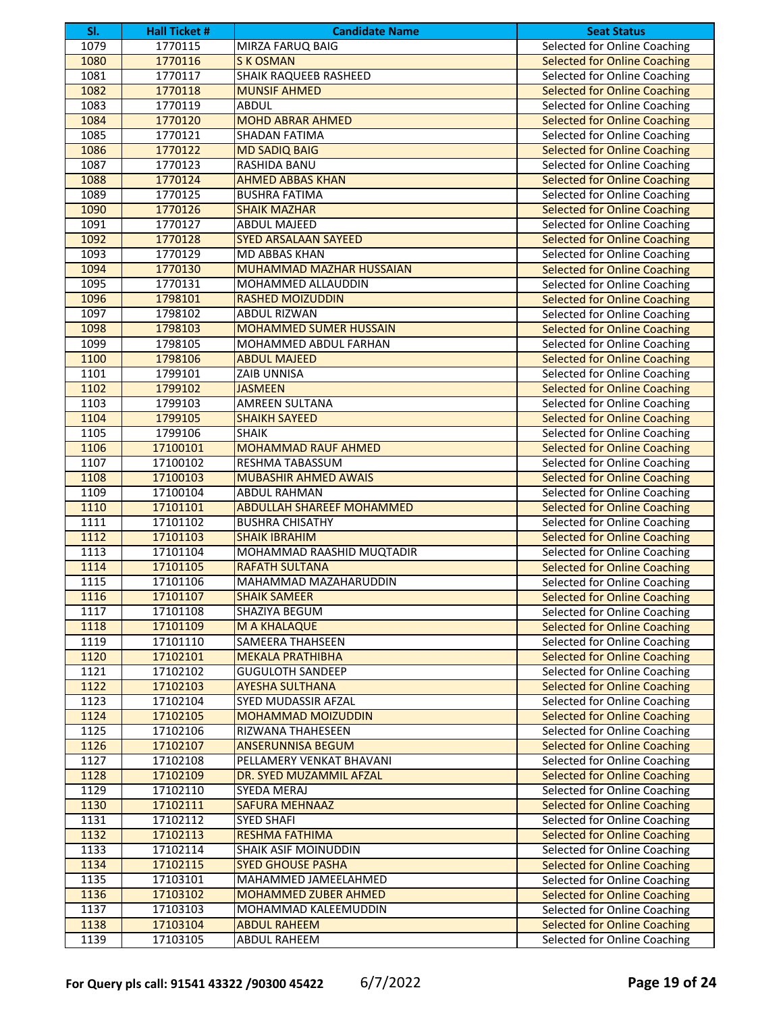| SI.  | <b>Hall Ticket #</b> | <b>Candidate Name</b>            | <b>Seat Status</b>                  |
|------|----------------------|----------------------------------|-------------------------------------|
| 1079 | 1770115              | <b>MIRZA FARUQ BAIG</b>          | Selected for Online Coaching        |
| 1080 | 1770116              | <b>SK OSMAN</b>                  | <b>Selected for Online Coaching</b> |
| 1081 | 1770117              | <b>SHAIK RAQUEEB RASHEED</b>     | Selected for Online Coaching        |
| 1082 | 1770118              | <b>MUNSIF AHMED</b>              | <b>Selected for Online Coaching</b> |
| 1083 | 1770119              | <b>ABDUL</b>                     | Selected for Online Coaching        |
| 1084 | 1770120              | <b>MOHD ABRAR AHMED</b>          | <b>Selected for Online Coaching</b> |
| 1085 | 1770121              | <b>SHADAN FATIMA</b>             | Selected for Online Coaching        |
| 1086 | 1770122              | <b>MD SADIQ BAIG</b>             | <b>Selected for Online Coaching</b> |
| 1087 | 1770123              | RASHIDA BANU                     | Selected for Online Coaching        |
| 1088 | 1770124              | <b>AHMED ABBAS KHAN</b>          | <b>Selected for Online Coaching</b> |
| 1089 | 1770125              | <b>BUSHRA FATIMA</b>             | Selected for Online Coaching        |
| 1090 | 1770126              | <b>SHAIK MAZHAR</b>              | <b>Selected for Online Coaching</b> |
| 1091 | 1770127              | <b>ABDUL MAJEED</b>              | Selected for Online Coaching        |
| 1092 | 1770128              | <b>SYED ARSALAAN SAYEED</b>      | <b>Selected for Online Coaching</b> |
| 1093 | 1770129              | <b>MD ABBAS KHAN</b>             | Selected for Online Coaching        |
| 1094 | 1770130              | MUHAMMAD MAZHAR HUSSAIAN         | <b>Selected for Online Coaching</b> |
| 1095 | 1770131              | MOHAMMED ALLAUDDIN               | Selected for Online Coaching        |
| 1096 | 1798101              | <b>RASHED MOIZUDDIN</b>          | <b>Selected for Online Coaching</b> |
| 1097 | 1798102              | <b>ABDUL RIZWAN</b>              | Selected for Online Coaching        |
| 1098 | 1798103              | <b>MOHAMMED SUMER HUSSAIN</b>    | <b>Selected for Online Coaching</b> |
| 1099 | 1798105              | MOHAMMED ABDUL FARHAN            | Selected for Online Coaching        |
| 1100 | 1798106              | <b>ABDUL MAJEED</b>              | <b>Selected for Online Coaching</b> |
| 1101 | 1799101              | <b>ZAIB UNNISA</b>               | Selected for Online Coaching        |
| 1102 | 1799102              | <b>JASMEEN</b>                   | <b>Selected for Online Coaching</b> |
| 1103 | 1799103              | AMREEN SULTANA                   | Selected for Online Coaching        |
| 1104 | 1799105              | <b>SHAIKH SAYEED</b>             | <b>Selected for Online Coaching</b> |
| 1105 | 1799106              | <b>SHAIK</b>                     | Selected for Online Coaching        |
| 1106 | 17100101             | <b>MOHAMMAD RAUF AHMED</b>       | <b>Selected for Online Coaching</b> |
| 1107 | 17100102             | RESHMA TABASSUM                  | Selected for Online Coaching        |
| 1108 | 17100103             | <b>MUBASHIR AHMED AWAIS</b>      | <b>Selected for Online Coaching</b> |
| 1109 | 17100104             | <b>ABDUL RAHMAN</b>              | Selected for Online Coaching        |
| 1110 | 17101101             | <b>ABDULLAH SHAREEF MOHAMMED</b> | <b>Selected for Online Coaching</b> |
| 1111 | 17101102             | <b>BUSHRA CHISATHY</b>           | Selected for Online Coaching        |
| 1112 | 17101103             | <b>SHAIK IBRAHIM</b>             | <b>Selected for Online Coaching</b> |
| 1113 | 17101104             | MOHAMMAD RAASHID MUQTADIR        | Selected for Online Coaching        |
| 1114 | 17101105             | <b>RAFATH SULTANA</b>            | <b>Selected for Online Coaching</b> |
| 1115 | 17101106             | MAHAMMAD MAZAHARUDDIN            | Selected for Online Coaching        |
| 1116 | 17101107             | <b>SHAIK SAMEER</b>              | <b>Selected for Online Coaching</b> |
| 1117 | 17101108             | SHAZIYA BEGUM                    | Selected for Online Coaching        |
| 1118 | 17101109             | M A KHALAQUE                     | <b>Selected for Online Coaching</b> |
| 1119 | 17101110             | <b>SAMEERA THAHSEEN</b>          | Selected for Online Coaching        |
| 1120 | 17102101             | <b>MEKALA PRATHIBHA</b>          | <b>Selected for Online Coaching</b> |
| 1121 | 17102102             | <b>GUGULOTH SANDEEP</b>          | Selected for Online Coaching        |
| 1122 | 17102103             | <b>AYESHA SULTHANA</b>           | <b>Selected for Online Coaching</b> |
| 1123 | 17102104             | SYED MUDASSIR AFZAL              | Selected for Online Coaching        |
| 1124 | 17102105             | <b>MOHAMMAD MOIZUDDIN</b>        | <b>Selected for Online Coaching</b> |
| 1125 | 17102106             | RIZWANA THAHESEEN                | Selected for Online Coaching        |
| 1126 | 17102107             | <b>ANSERUNNISA BEGUM</b>         | <b>Selected for Online Coaching</b> |
| 1127 | 17102108             | PELLAMERY VENKAT BHAVANI         | Selected for Online Coaching        |
| 1128 | 17102109             | DR. SYED MUZAMMIL AFZAL          | <b>Selected for Online Coaching</b> |
| 1129 | 17102110             | SYEDA MERAJ                      | Selected for Online Coaching        |
| 1130 | 17102111             | <b>SAFURA MEHNAAZ</b>            | <b>Selected for Online Coaching</b> |
| 1131 | 17102112             | <b>SYED SHAFI</b>                | Selected for Online Coaching        |
| 1132 | 17102113             | <b>RESHMA FATHIMA</b>            | <b>Selected for Online Coaching</b> |
| 1133 | 17102114             | SHAIK ASIF MOINUDDIN             | Selected for Online Coaching        |
| 1134 | 17102115             | <b>SYED GHOUSE PASHA</b>         | <b>Selected for Online Coaching</b> |
| 1135 | 17103101             | MAHAMMED JAMEELAHMED             | Selected for Online Coaching        |
| 1136 | 17103102             | MOHAMMED ZUBER AHMED             | <b>Selected for Online Coaching</b> |
| 1137 | 17103103             | MOHAMMAD KALEEMUDDIN             | Selected for Online Coaching        |
| 1138 | 17103104             | <b>ABDUL RAHEEM</b>              | <b>Selected for Online Coaching</b> |
| 1139 | 17103105             | ABDUL RAHEEM                     | Selected for Online Coaching        |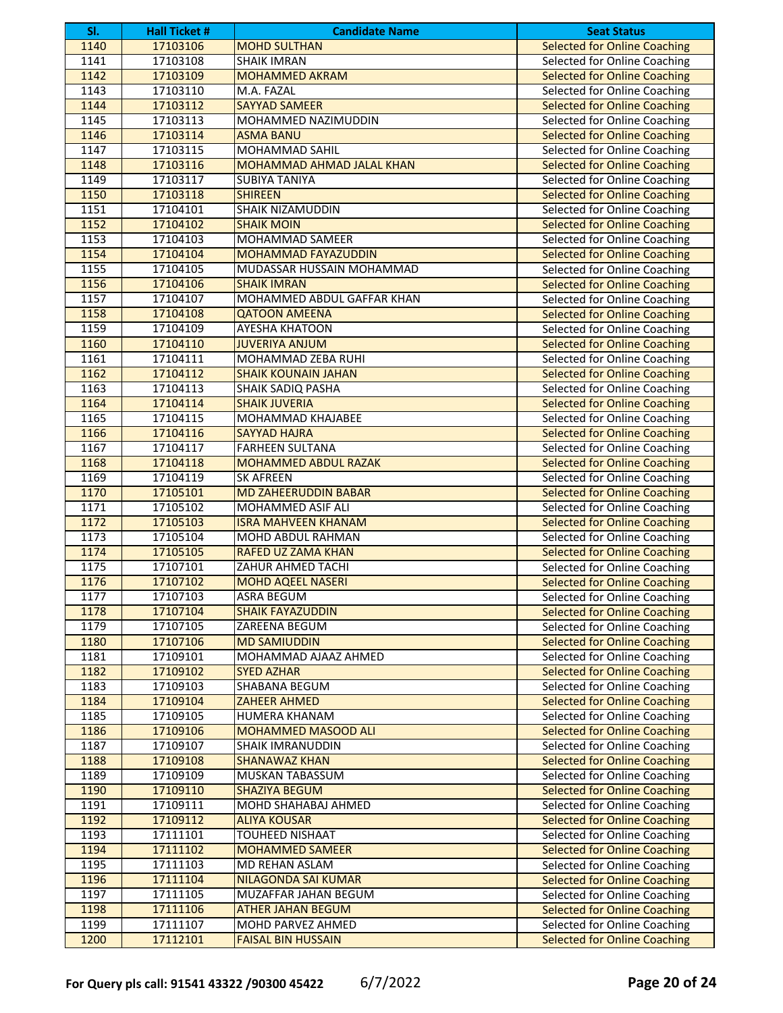| SI.  | <b>Hall Ticket #</b> | <b>Candidate Name</b>       | <b>Seat Status</b>                  |
|------|----------------------|-----------------------------|-------------------------------------|
| 1140 | 17103106             | <b>MOHD SULTHAN</b>         | <b>Selected for Online Coaching</b> |
| 1141 | 17103108             | <b>SHAIK IMRAN</b>          | Selected for Online Coaching        |
| 1142 | 17103109             | <b>MOHAMMED AKRAM</b>       | <b>Selected for Online Coaching</b> |
| 1143 | 17103110             | M.A. FAZAL                  | Selected for Online Coaching        |
| 1144 | 17103112             | <b>SAYYAD SAMEER</b>        | <b>Selected for Online Coaching</b> |
| 1145 | 17103113             | MOHAMMED NAZIMUDDIN         | Selected for Online Coaching        |
| 1146 | 17103114             | <b>ASMA BANU</b>            | <b>Selected for Online Coaching</b> |
| 1147 | 17103115             | <b>MOHAMMAD SAHIL</b>       | Selected for Online Coaching        |
| 1148 | 17103116             | MOHAMMAD AHMAD JALAL KHAN   | <b>Selected for Online Coaching</b> |
| 1149 | 17103117             | <b>SUBIYA TANIYA</b>        | Selected for Online Coaching        |
| 1150 | 17103118             | <b>SHIREEN</b>              | <b>Selected for Online Coaching</b> |
| 1151 | 17104101             | SHAIK NIZAMUDDIN            | Selected for Online Coaching        |
| 1152 | 17104102             | <b>SHAIK MOIN</b>           | <b>Selected for Online Coaching</b> |
| 1153 | 17104103             | MOHAMMAD SAMEER             | Selected for Online Coaching        |
| 1154 | 17104104             | <b>MOHAMMAD FAYAZUDDIN</b>  | <b>Selected for Online Coaching</b> |
| 1155 | 17104105             | MUDASSAR HUSSAIN MOHAMMAD   | Selected for Online Coaching        |
| 1156 | 17104106             | <b>SHAIK IMRAN</b>          | <b>Selected for Online Coaching</b> |
| 1157 | 17104107             | MOHAMMED ABDUL GAFFAR KHAN  | Selected for Online Coaching        |
| 1158 | 17104108             | <b>QATOON AMEENA</b>        | <b>Selected for Online Coaching</b> |
| 1159 | 17104109             | <b>AYESHA KHATOON</b>       | Selected for Online Coaching        |
| 1160 | 17104110             | <b>JUVERIYA ANJUM</b>       | <b>Selected for Online Coaching</b> |
| 1161 | 17104111             | MOHAMMAD ZEBA RUHI          | Selected for Online Coaching        |
| 1162 | 17104112             | <b>SHAIK KOUNAIN JAHAN</b>  | <b>Selected for Online Coaching</b> |
| 1163 | 17104113             | <b>SHAIK SADIQ PASHA</b>    | Selected for Online Coaching        |
| 1164 | 17104114             | <b>SHAIK JUVERIA</b>        | <b>Selected for Online Coaching</b> |
| 1165 | 17104115             | MOHAMMAD KHAJABEE           | Selected for Online Coaching        |
| 1166 | 17104116             | <b>SAYYAD HAJRA</b>         | <b>Selected for Online Coaching</b> |
| 1167 | 17104117             | <b>FARHEEN SULTANA</b>      | Selected for Online Coaching        |
| 1168 | 17104118             | MOHAMMED ABDUL RAZAK        | <b>Selected for Online Coaching</b> |
| 1169 | 17104119             | <b>SK AFREEN</b>            | <b>Selected for Online Coaching</b> |
| 1170 | 17105101             | <b>MD ZAHEERUDDIN BABAR</b> | <b>Selected for Online Coaching</b> |
| 1171 | 17105102             | MOHAMMED ASIF ALI           | Selected for Online Coaching        |
| 1172 | 17105103             | <b>ISRA MAHVEEN KHANAM</b>  | <b>Selected for Online Coaching</b> |
| 1173 | 17105104             | MOHD ABDUL RAHMAN           | Selected for Online Coaching        |
| 1174 | 17105105             | <b>RAFED UZ ZAMA KHAN</b>   | <b>Selected for Online Coaching</b> |
| 1175 | 17107101             | ZAHUR AHMED TACHI           | Selected for Online Coaching        |
| 1176 | 17107102             | <b>MOHD AQEEL NASERI</b>    | <b>Selected for Online Coaching</b> |
| 1177 | 17107103             | ASRA BEGUM                  | Selected for Online Coaching        |
| 1178 | 17107104             | <b>SHAIK FAYAZUDDIN</b>     | <b>Selected for Online Coaching</b> |
| 1179 | 17107105             | ZAREENA BEGUM               | Selected for Online Coaching        |
| 1180 | 17107106             | <b>MD SAMIUDDIN</b>         | <b>Selected for Online Coaching</b> |
| 1181 | 17109101             | MOHAMMAD AJAAZ AHMED        | Selected for Online Coaching        |
| 1182 | 17109102             | <b>SYED AZHAR</b>           | <b>Selected for Online Coaching</b> |
| 1183 | 17109103             | SHABANA BEGUM               | Selected for Online Coaching        |
| 1184 | 17109104             | <b>ZAHEER AHMED</b>         | <b>Selected for Online Coaching</b> |
| 1185 | 17109105             | HUMERA KHANAM               | Selected for Online Coaching        |
| 1186 | 17109106             | <b>MOHAMMED MASOOD ALI</b>  | <b>Selected for Online Coaching</b> |
| 1187 | 17109107             | <b>SHAIK IMRANUDDIN</b>     | Selected for Online Coaching        |
| 1188 | 17109108             | <b>SHANAWAZ KHAN</b>        | <b>Selected for Online Coaching</b> |
| 1189 | 17109109             | MUSKAN TABASSUM             | Selected for Online Coaching        |
| 1190 | 17109110             | <b>SHAZIYA BEGUM</b>        | <b>Selected for Online Coaching</b> |
| 1191 | 17109111             | MOHD SHAHABAJ AHMED         | Selected for Online Coaching        |
| 1192 | 17109112             | <b>ALIYA KOUSAR</b>         | <b>Selected for Online Coaching</b> |
| 1193 | 17111101             | TOUHEED NISHAAT             | Selected for Online Coaching        |
| 1194 | 17111102             | <b>MOHAMMED SAMEER</b>      | <b>Selected for Online Coaching</b> |
| 1195 | 17111103             | MD REHAN ASLAM              | Selected for Online Coaching        |
| 1196 | 17111104             | <b>NILAGONDA SAI KUMAR</b>  | <b>Selected for Online Coaching</b> |
| 1197 | 17111105             | MUZAFFAR JAHAN BEGUM        | Selected for Online Coaching        |
| 1198 | 17111106             | <b>ATHER JAHAN BEGUM</b>    | <b>Selected for Online Coaching</b> |
| 1199 | 17111107             | MOHD PARVEZ AHMED           | Selected for Online Coaching        |
| 1200 | 17112101             | <b>FAISAL BIN HUSSAIN</b>   | <b>Selected for Online Coaching</b> |
|      |                      |                             |                                     |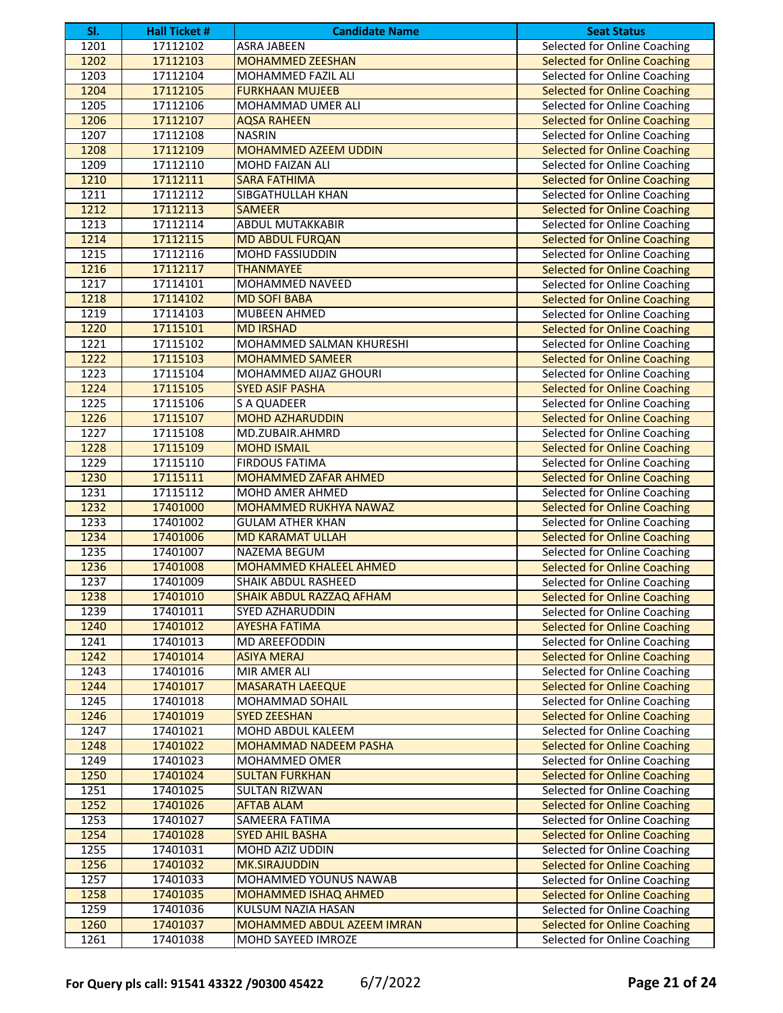| SI.          | <b>Hall Ticket #</b> | <b>Candidate Name</b>                          | <b>Seat Status</b>                                                  |
|--------------|----------------------|------------------------------------------------|---------------------------------------------------------------------|
| 1201         | 17112102             | <b>ASRA JABEEN</b>                             | Selected for Online Coaching                                        |
| 1202         | 17112103             | <b>MOHAMMED ZEESHAN</b>                        | <b>Selected for Online Coaching</b>                                 |
| 1203         | 17112104             | <b>MOHAMMED FAZIL ALI</b>                      | Selected for Online Coaching                                        |
| 1204         | 17112105             | <b>FURKHAAN MUJEEB</b>                         | <b>Selected for Online Coaching</b>                                 |
| 1205         | 17112106             | MOHAMMAD UMER ALI                              | Selected for Online Coaching                                        |
| 1206         | 17112107             | <b>AQSA RAHEEN</b>                             | <b>Selected for Online Coaching</b>                                 |
| 1207         | 17112108             | <b>NASRIN</b>                                  | Selected for Online Coaching                                        |
| 1208         | 17112109             | <b>MOHAMMED AZEEM UDDIN</b>                    | <b>Selected for Online Coaching</b>                                 |
| 1209         | 17112110             | <b>MOHD FAIZAN ALI</b>                         | Selected for Online Coaching                                        |
| 1210         | 17112111             | <b>SARA FATHIMA</b>                            | <b>Selected for Online Coaching</b>                                 |
| 1211         | 17112112             | SIBGATHULLAH KHAN                              | Selected for Online Coaching                                        |
| 1212         | 17112113             | <b>SAMEER</b>                                  | <b>Selected for Online Coaching</b>                                 |
| 1213         | 17112114             | ABDUL MUTAKKABIR                               | Selected for Online Coaching                                        |
| 1214         | 17112115             | <b>MD ABDUL FURQAN</b>                         | <b>Selected for Online Coaching</b>                                 |
| 1215         | 17112116             | <b>MOHD FASSIUDDIN</b>                         | Selected for Online Coaching                                        |
| 1216         | 17112117             | <b>THANMAYEE</b>                               | <b>Selected for Online Coaching</b>                                 |
| 1217         | 17114101             | MOHAMMED NAVEED                                | Selected for Online Coaching                                        |
| 1218         | 17114102             | <b>MD SOFI BABA</b>                            | <b>Selected for Online Coaching</b>                                 |
| 1219         | 17114103             | <b>MUBEEN AHMED</b>                            | Selected for Online Coaching                                        |
| 1220         | 17115101             | <b>MD IRSHAD</b>                               | <b>Selected for Online Coaching</b>                                 |
| 1221         | 17115102             | MOHAMMED SALMAN KHURESHI                       | Selected for Online Coaching                                        |
| 1222         | 17115103             | <b>MOHAMMED SAMEER</b>                         | <b>Selected for Online Coaching</b>                                 |
| 1223         | 17115104             | <b>MOHAMMED AIJAZ GHOURI</b>                   | Selected for Online Coaching                                        |
| 1224         | 17115105             | <b>SYED ASIF PASHA</b>                         | <b>Selected for Online Coaching</b>                                 |
| 1225         | 17115106             | <b>S A QUADEER</b>                             | Selected for Online Coaching                                        |
| 1226         | 17115107             | <b>MOHD AZHARUDDIN</b>                         | <b>Selected for Online Coaching</b>                                 |
| 1227         | 17115108             | MD.ZUBAIR.AHMRD                                | Selected for Online Coaching                                        |
| 1228         | 17115109             | <b>MOHD ISMAIL</b>                             | <b>Selected for Online Coaching</b>                                 |
| 1229         | 17115110             | <b>FIRDOUS FATIMA</b>                          | Selected for Online Coaching                                        |
| 1230         |                      |                                                |                                                                     |
| 1231         | 17115111<br>17115112 | MOHAMMED ZAFAR AHMED                           | <b>Selected for Online Coaching</b><br>Selected for Online Coaching |
| 1232         |                      | MOHD AMER AHMED                                |                                                                     |
| 1233         | 17401000<br>17401002 | <b>MOHAMMED RUKHYA NAWAZ</b>                   | <b>Selected for Online Coaching</b><br>Selected for Online Coaching |
|              | 17401006             | <b>GULAM ATHER KHAN</b>                        |                                                                     |
| 1234<br>1235 | 17401007             | <b>MD KARAMAT ULLAH</b><br><b>NAZEMA BEGUM</b> | <b>Selected for Online Coaching</b>                                 |
| 1236         | 17401008             | <b>MOHAMMED KHALEEL AHMED</b>                  | Selected for Online Coaching                                        |
|              |                      |                                                | <b>Selected for Online Coaching</b>                                 |
| 1237         | 17401009             | <b>SHAIK ABDUL RASHEED</b>                     | Selected for Online Coaching                                        |
| 1238         | 17401010             | SHAIK ABDUL RAZZAQ AFHAM                       | <b>Selected for Online Coaching</b>                                 |
| 1239         | 17401011             | SYED AZHARUDDIN                                | Selected for Online Coaching                                        |
| 1240         | 17401012             | <b>AYESHA FATIMA</b>                           | <b>Selected for Online Coaching</b>                                 |
| 1241         | 17401013             | MD AREEFODDIN                                  | Selected for Online Coaching                                        |
| 1242         | 17401014             | <b>ASIYA MERAJ</b>                             | <b>Selected for Online Coaching</b>                                 |
| 1243         | 17401016             | MIR AMER ALI                                   | Selected for Online Coaching                                        |
| 1244         | 17401017             | <b>MASARATH LAEEQUE</b>                        | <b>Selected for Online Coaching</b>                                 |
| 1245         | 17401018             | MOHAMMAD SOHAIL                                | Selected for Online Coaching                                        |
| 1246         | 17401019             | <b>SYED ZEESHAN</b>                            | <b>Selected for Online Coaching</b>                                 |
| 1247         | 17401021             | <b>MOHD ABDUL KALEEM</b>                       | Selected for Online Coaching                                        |
| 1248         | 17401022             | <b>MOHAMMAD NADEEM PASHA</b>                   | <b>Selected for Online Coaching</b>                                 |
| 1249         | 17401023             | MOHAMMED OMER                                  | Selected for Online Coaching                                        |
| 1250         | 17401024             | <b>SULTAN FURKHAN</b>                          | <b>Selected for Online Coaching</b>                                 |
| 1251         | 17401025             | <b>SULTAN RIZWAN</b>                           | Selected for Online Coaching                                        |
| 1252         | 17401026             | <b>AFTAB ALAM</b>                              | <b>Selected for Online Coaching</b>                                 |
| 1253         | 17401027             | SAMEERA FATIMA                                 | Selected for Online Coaching                                        |
| 1254         | 17401028             | <b>SYED AHIL BASHA</b>                         | <b>Selected for Online Coaching</b>                                 |
| 1255         | 17401031             | MOHD AZIZ UDDIN                                | <b>Selected for Online Coaching</b>                                 |
| 1256         | 17401032             | <b>MK.SIRAJUDDIN</b>                           | <b>Selected for Online Coaching</b>                                 |
| 1257         | 17401033             | MOHAMMED YOUNUS NAWAB                          | Selected for Online Coaching                                        |
| 1258         | 17401035             | MOHAMMED ISHAQ AHMED                           | <b>Selected for Online Coaching</b>                                 |
| 1259         | 17401036             | KULSUM NAZIA HASAN                             | Selected for Online Coaching                                        |
| 1260         | 17401037             | <b>MOHAMMED ABDUL AZEEM IMRAN</b>              | <b>Selected for Online Coaching</b>                                 |
| 1261         | 17401038             | MOHD SAYEED IMROZE                             | Selected for Online Coaching                                        |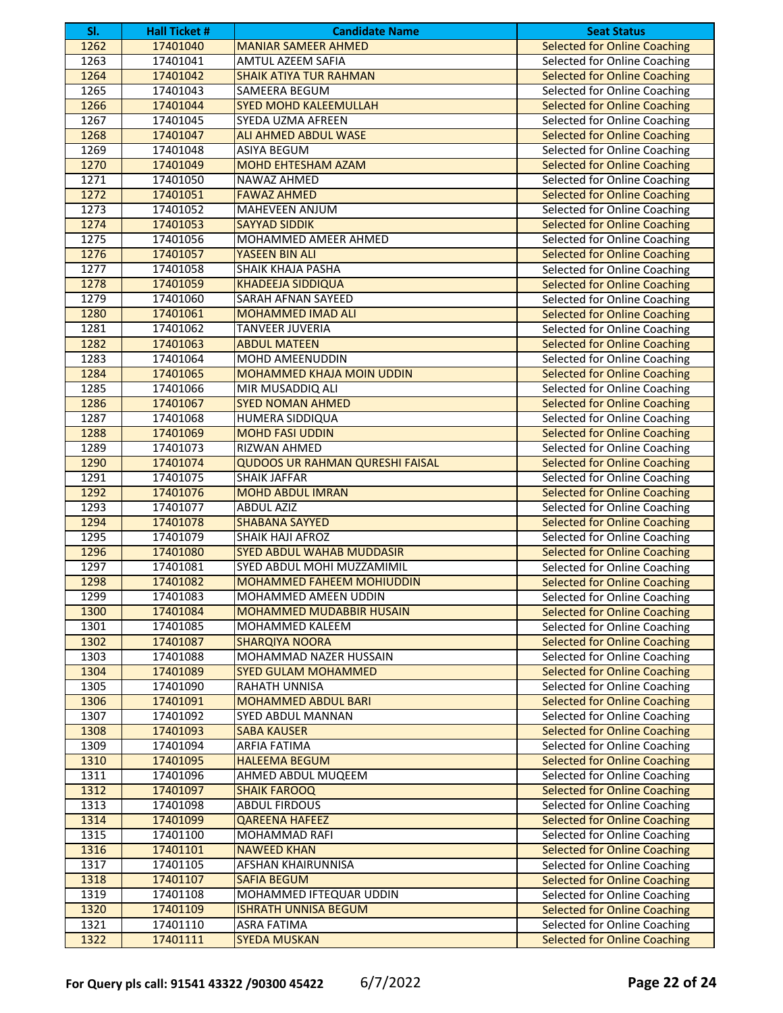| SI.  | <b>Hall Ticket #</b> | <b>Candidate Name</b>                  | <b>Seat Status</b>                  |
|------|----------------------|----------------------------------------|-------------------------------------|
| 1262 | 17401040             | <b>MANIAR SAMEER AHMED</b>             | <b>Selected for Online Coaching</b> |
| 1263 | 17401041             | <b>AMTUL AZEEM SAFIA</b>               | Selected for Online Coaching        |
| 1264 | 17401042             | <b>SHAIK ATIYA TUR RAHMAN</b>          | <b>Selected for Online Coaching</b> |
| 1265 | 17401043             | SAMEERA BEGUM                          | Selected for Online Coaching        |
| 1266 | 17401044             | <b>SYED MOHD KALEEMULLAH</b>           | <b>Selected for Online Coaching</b> |
| 1267 | 17401045             | SYEDA UZMA AFREEN                      | Selected for Online Coaching        |
| 1268 | 17401047             | <b>ALI AHMED ABDUL WASE</b>            | <b>Selected for Online Coaching</b> |
| 1269 | 17401048             | <b>ASIYA BEGUM</b>                     | Selected for Online Coaching        |
| 1270 | 17401049             | MOHD EHTESHAM AZAM                     | <b>Selected for Online Coaching</b> |
| 1271 | 17401050             | NAWAZ AHMED                            | Selected for Online Coaching        |
| 1272 | 17401051             | <b>FAWAZ AHMED</b>                     | <b>Selected for Online Coaching</b> |
| 1273 | 17401052             | MAHEVEEN ANJUM                         | <b>Selected for Online Coaching</b> |
| 1274 | 17401053             | <b>SAYYAD SIDDIK</b>                   | <b>Selected for Online Coaching</b> |
| 1275 | 17401056             | MOHAMMED AMEER AHMED                   | Selected for Online Coaching        |
| 1276 | 17401057             | YASEEN BIN ALI                         | <b>Selected for Online Coaching</b> |
| 1277 | 17401058             | SHAIK KHAJA PASHA                      | Selected for Online Coaching        |
| 1278 | 17401059             | <b>KHADEEJA SIDDIQUA</b>               | <b>Selected for Online Coaching</b> |
| 1279 | 17401060             | <b>SARAH AFNAN SAYEED</b>              | Selected for Online Coaching        |
| 1280 | 17401061             | <b>MOHAMMED IMAD ALI</b>               | <b>Selected for Online Coaching</b> |
| 1281 | 17401062             | TANVEER JUVERIA                        | Selected for Online Coaching        |
| 1282 | 17401063             | <b>ABDUL MATEEN</b>                    | <b>Selected for Online Coaching</b> |
| 1283 | 17401064             | MOHD AMEENUDDIN                        | Selected for Online Coaching        |
| 1284 | 17401065             | <b>MOHAMMED KHAJA MOIN UDDIN</b>       | <b>Selected for Online Coaching</b> |
| 1285 | 17401066             | MIR MUSADDIQ ALI                       | Selected for Online Coaching        |
| 1286 | 17401067             | <b>SYED NOMAN AHMED</b>                | <b>Selected for Online Coaching</b> |
| 1287 | 17401068             | HUMERA SIDDIQUA                        | Selected for Online Coaching        |
| 1288 | 17401069             | <b>MOHD FASI UDDIN</b>                 | <b>Selected for Online Coaching</b> |
| 1289 | 17401073             | <b>RIZWAN AHMED</b>                    | Selected for Online Coaching        |
| 1290 | 17401074             | <b>QUDOOS UR RAHMAN QURESHI FAISAL</b> | <b>Selected for Online Coaching</b> |
| 1291 | 17401075             | <b>SHAIK JAFFAR</b>                    | Selected for Online Coaching        |
| 1292 | 17401076             | <b>MOHD ABDUL IMRAN</b>                | <b>Selected for Online Coaching</b> |
| 1293 | 17401077             | <b>ABDUL AZIZ</b>                      | Selected for Online Coaching        |
| 1294 | 17401078             | <b>SHABANA SAYYED</b>                  | <b>Selected for Online Coaching</b> |
| 1295 | 17401079             | SHAIK HAJI AFROZ                       | Selected for Online Coaching        |
| 1296 | 17401080             | <b>SYED ABDUL WAHAB MUDDASIR</b>       | <b>Selected for Online Coaching</b> |
| 1297 | 17401081             | SYED ABDUL MOHI MUZZAMIMIL             | Selected for Online Coaching        |
| 1298 | 17401082             | <b>MOHAMMED FAHEEM MOHIUDDIN</b>       | <b>Selected for Online Coaching</b> |
| 1299 | 17401083             | MOHAMMED AMEEN UDDIN                   | <b>Selected for Online Coaching</b> |
| 1300 | 17401084             | MOHAMMED MUDABBIR HUSAIN               | <b>Selected for Online Coaching</b> |
| 1301 | 17401085             | MOHAMMED KALEEM                        | Selected for Online Coaching        |
| 1302 | 17401087             | <b>SHARQIYA NOORA</b>                  | <b>Selected for Online Coaching</b> |
| 1303 | 17401088             | MOHAMMAD NAZER HUSSAIN                 | Selected for Online Coaching        |
| 1304 | 17401089             | <b>SYED GULAM MOHAMMED</b>             | <b>Selected for Online Coaching</b> |
| 1305 | 17401090             | RAHATH UNNISA                          | Selected for Online Coaching        |
| 1306 | 17401091             | <b>MOHAMMED ABDUL BARI</b>             | <b>Selected for Online Coaching</b> |
| 1307 | 17401092             | <b>SYED ABDUL MANNAN</b>               | Selected for Online Coaching        |
| 1308 | 17401093             | <b>SABA KAUSER</b>                     | <b>Selected for Online Coaching</b> |
| 1309 | 17401094             | ARFIA FATIMA                           | Selected for Online Coaching        |
| 1310 | 17401095             | <b>HALEEMA BEGUM</b>                   | <b>Selected for Online Coaching</b> |
| 1311 | 17401096             | AHMED ABDUL MUQEEM                     | Selected for Online Coaching        |
| 1312 | 17401097             | <b>SHAIK FAROOQ</b>                    | <b>Selected for Online Coaching</b> |
| 1313 | 17401098             | <b>ABDUL FIRDOUS</b>                   | Selected for Online Coaching        |
| 1314 | 17401099             | <b>QAREENA HAFEEZ</b>                  | <b>Selected for Online Coaching</b> |
| 1315 | 17401100             | MOHAMMAD RAFI                          | Selected for Online Coaching        |
| 1316 | 17401101             | <b>NAWEED KHAN</b>                     | <b>Selected for Online Coaching</b> |
| 1317 | 17401105             | AFSHAN KHAIRUNNISA                     | Selected for Online Coaching        |
| 1318 | 17401107             | <b>SAFIA BEGUM</b>                     | <b>Selected for Online Coaching</b> |
| 1319 | 17401108             | MOHAMMED IFTEQUAR UDDIN                | Selected for Online Coaching        |
| 1320 | 17401109             | <b>ISHRATH UNNISA BEGUM</b>            | <b>Selected for Online Coaching</b> |
| 1321 | 17401110             | ASRA FATIMA                            | Selected for Online Coaching        |
| 1322 | 17401111             | <b>SYEDA MUSKAN</b>                    | <b>Selected for Online Coaching</b> |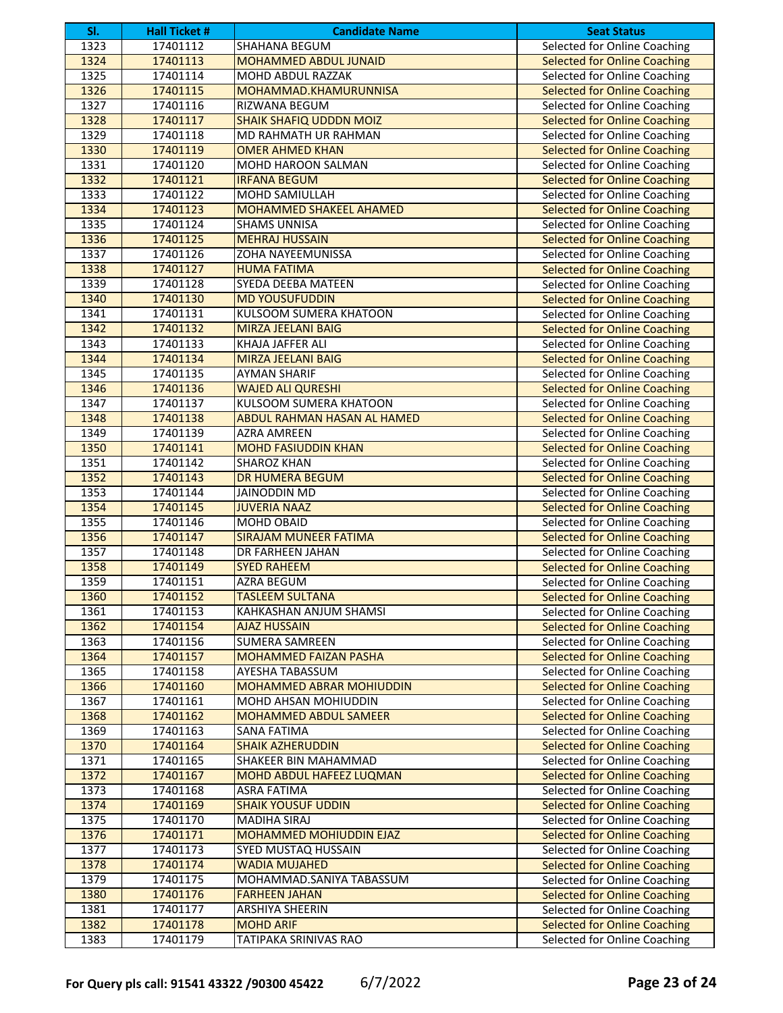| SI.  | <b>Hall Ticket #</b> | <b>Candidate Name</b>              | <b>Seat Status</b>                  |
|------|----------------------|------------------------------------|-------------------------------------|
| 1323 | 17401112             | SHAHANA BEGUM                      | <b>Selected for Online Coaching</b> |
| 1324 | 17401113             | <b>MOHAMMED ABDUL JUNAID</b>       | <b>Selected for Online Coaching</b> |
| 1325 | 17401114             | <b>MOHD ABDUL RAZZAK</b>           | Selected for Online Coaching        |
| 1326 | 17401115             | MOHAMMAD.KHAMURUNNISA              | <b>Selected for Online Coaching</b> |
| 1327 | 17401116             | RIZWANA BEGUM                      | Selected for Online Coaching        |
| 1328 | 17401117             | <b>SHAIK SHAFIQ UDDDN MOIZ</b>     | <b>Selected for Online Coaching</b> |
| 1329 | 17401118             | MD RAHMATH UR RAHMAN               | Selected for Online Coaching        |
| 1330 | 17401119             | <b>OMER AHMED KHAN</b>             | <b>Selected for Online Coaching</b> |
| 1331 | 17401120             | MOHD HAROON SALMAN                 | Selected for Online Coaching        |
| 1332 | 17401121             | <b>IRFANA BEGUM</b>                | <b>Selected for Online Coaching</b> |
| 1333 | 17401122             | MOHD SAMIULLAH                     | Selected for Online Coaching        |
| 1334 | 17401123             | <b>MOHAMMED SHAKEEL AHAMED</b>     | <b>Selected for Online Coaching</b> |
| 1335 | 17401124             | <b>SHAMS UNNISA</b>                | Selected for Online Coaching        |
| 1336 | 17401125             | <b>MEHRAJ HUSSAIN</b>              | <b>Selected for Online Coaching</b> |
| 1337 | 17401126             | ZOHA NAYEEMUNISSA                  | Selected for Online Coaching        |
| 1338 | 17401127             | <b>HUMA FATIMA</b>                 | <b>Selected for Online Coaching</b> |
| 1339 | 17401128             | SYEDA DEEBA MATEEN                 | Selected for Online Coaching        |
| 1340 | 17401130             | <b>MD YOUSUFUDDIN</b>              | <b>Selected for Online Coaching</b> |
| 1341 | 17401131             | <b>KULSOOM SUMERA KHATOON</b>      | Selected for Online Coaching        |
| 1342 | 17401132             | <b>MIRZA JEELANI BAIG</b>          | <b>Selected for Online Coaching</b> |
| 1343 | 17401133             | KHAJA JAFFER ALI                   | Selected for Online Coaching        |
| 1344 | 17401134             | <b>MIRZA JEELANI BAIG</b>          | <b>Selected for Online Coaching</b> |
| 1345 | 17401135             | <b>AYMAN SHARIF</b>                | Selected for Online Coaching        |
| 1346 | 17401136             | <b>WAJED ALI QURESHI</b>           | <b>Selected for Online Coaching</b> |
| 1347 | 17401137             | <b>KULSOOM SUMERA KHATOON</b>      | Selected for Online Coaching        |
| 1348 | 17401138             | <b>ABDUL RAHMAN HASAN AL HAMED</b> | <b>Selected for Online Coaching</b> |
| 1349 | 17401139             | AZRA AMREEN                        | Selected for Online Coaching        |
| 1350 | 17401141             | <b>MOHD FASIUDDIN KHAN</b>         | <b>Selected for Online Coaching</b> |
| 1351 | 17401142             | <b>SHAROZ KHAN</b>                 | Selected for Online Coaching        |
| 1352 | 17401143             | <b>DR HUMERA BEGUM</b>             | <b>Selected for Online Coaching</b> |
| 1353 | 17401144             | <b>JAINODDIN MD</b>                | Selected for Online Coaching        |
| 1354 | 17401145             | <b>JUVERIA NAAZ</b>                | <b>Selected for Online Coaching</b> |
| 1355 | 17401146             | <b>MOHD OBAID</b>                  | Selected for Online Coaching        |
| 1356 | 17401147             | <b>SIRAJAM MUNEER FATIMA</b>       | <b>Selected for Online Coaching</b> |
| 1357 | 17401148             | DR FARHEEN JAHAN                   | Selected for Online Coaching        |
| 1358 | 17401149             | <b>SYED RAHEEM</b>                 | <b>Selected for Online Coaching</b> |
| 1359 | 17401151             | AZRA BEGUM                         | Selected for Online Coaching        |
| 1360 | 17401152             | <b>TASI FFM SULTANA</b>            | <b>Selected for Online Coaching</b> |
| 1361 | 17401153             | KAHKASHAN ANJUM SHAMSI             | Selected for Online Coaching        |
| 1362 | 17401154             | <b>AJAZ HUSSAIN</b>                | <b>Selected for Online Coaching</b> |
| 1363 | 17401156             | SUMERA SAMREEN                     | Selected for Online Coaching        |
| 1364 | 17401157             | MOHAMMED FAIZAN PASHA              | <b>Selected for Online Coaching</b> |
| 1365 | 17401158             | AYESHA TABASSUM                    | Selected for Online Coaching        |
| 1366 | 17401160             | MOHAMMED ABRAR MOHIUDDIN           | <b>Selected for Online Coaching</b> |
| 1367 | 17401161             | MOHD AHSAN MOHIUDDIN               | Selected for Online Coaching        |
| 1368 | 17401162             | MOHAMMED ABDUL SAMEER              | <b>Selected for Online Coaching</b> |
| 1369 | 17401163             | <b>SANA FATIMA</b>                 | Selected for Online Coaching        |
| 1370 | 17401164             | <b>SHAIK AZHERUDDIN</b>            | <b>Selected for Online Coaching</b> |
| 1371 | 17401165             | SHAKEER BIN MAHAMMAD               | Selected for Online Coaching        |
| 1372 | 17401167             | MOHD ABDUL HAFEEZ LUQMAN           | <b>Selected for Online Coaching</b> |
| 1373 | 17401168             | <b>ASRA FATIMA</b>                 | Selected for Online Coaching        |
| 1374 | 17401169             | <b>SHAIK YOUSUF UDDIN</b>          | <b>Selected for Online Coaching</b> |
| 1375 | 17401170             | <b>MADIHA SIRAJ</b>                | Selected for Online Coaching        |
| 1376 | 17401171             | MOHAMMED MOHIUDDIN EJAZ            | <b>Selected for Online Coaching</b> |
| 1377 | 17401173             | SYED MUSTAQ HUSSAIN                | Selected for Online Coaching        |
| 1378 | 17401174             | <b>WADIA MUJAHED</b>               | <b>Selected for Online Coaching</b> |
| 1379 | 17401175             | MOHAMMAD.SANIYA TABASSUM           | Selected for Online Coaching        |
| 1380 | 17401176             | <b>FARHEEN JAHAN</b>               | <b>Selected for Online Coaching</b> |
| 1381 | 17401177             | ARSHIYA SHEERIN                    | Selected for Online Coaching        |
| 1382 | 17401178             | <b>MOHD ARIF</b>                   | <b>Selected for Online Coaching</b> |
| 1383 | 17401179             | TATIPAKA SRINIVAS RAO              | Selected for Online Coaching        |
|      |                      |                                    |                                     |